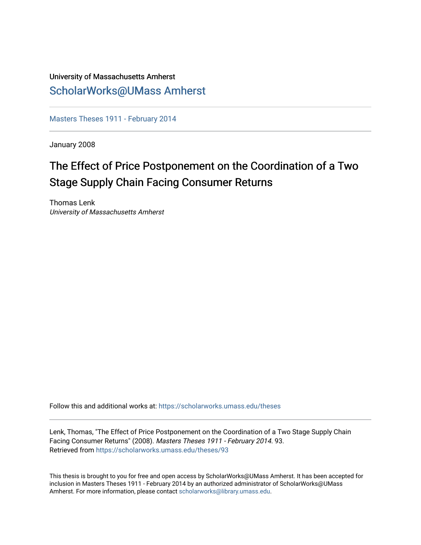## University of Massachusetts Amherst [ScholarWorks@UMass Amherst](https://scholarworks.umass.edu/)

[Masters Theses 1911 - February 2014](https://scholarworks.umass.edu/theses) 

January 2008

# The Effect of Price Postponement on the Coordination of a Two Stage Supply Chain Facing Consumer Returns

Thomas Lenk University of Massachusetts Amherst

Follow this and additional works at: [https://scholarworks.umass.edu/theses](https://scholarworks.umass.edu/theses?utm_source=scholarworks.umass.edu%2Ftheses%2F93&utm_medium=PDF&utm_campaign=PDFCoverPages) 

Lenk, Thomas, "The Effect of Price Postponement on the Coordination of a Two Stage Supply Chain Facing Consumer Returns" (2008). Masters Theses 1911 - February 2014. 93. Retrieved from [https://scholarworks.umass.edu/theses/93](https://scholarworks.umass.edu/theses/93?utm_source=scholarworks.umass.edu%2Ftheses%2F93&utm_medium=PDF&utm_campaign=PDFCoverPages) 

This thesis is brought to you for free and open access by ScholarWorks@UMass Amherst. It has been accepted for inclusion in Masters Theses 1911 - February 2014 by an authorized administrator of ScholarWorks@UMass Amherst. For more information, please contact [scholarworks@library.umass.edu](mailto:scholarworks@library.umass.edu).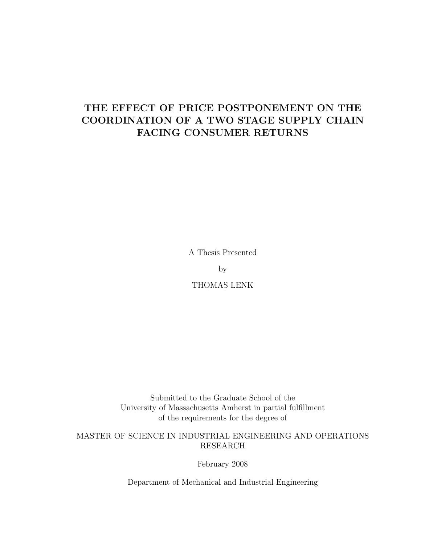# THE EFFECT OF PRICE POSTPONEMENT ON THE COORDINATION OF A TWO STAGE SUPPLY CHAIN FACING CONSUMER RETURNS

A Thesis Presented

by

THOMAS LENK

Submitted to the Graduate School of the University of Massachusetts Amherst in partial fulfillment of the requirements for the degree of

### MASTER OF SCIENCE IN INDUSTRIAL ENGINEERING AND OPERATIONS RESEARCH

February 2008

Department of Mechanical and Industrial Engineering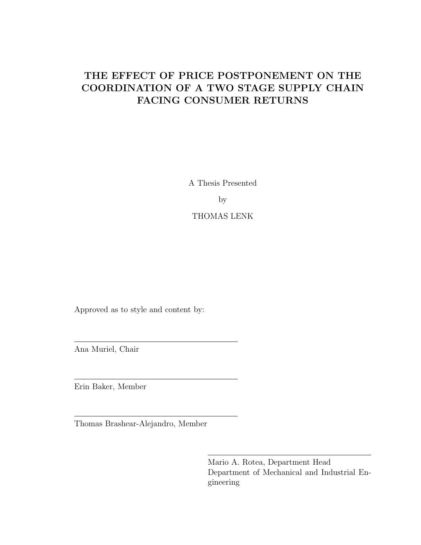# THE EFFECT OF PRICE POSTPONEMENT ON THE COORDINATION OF A TWO STAGE SUPPLY CHAIN FACING CONSUMER RETURNS

A Thesis Presented

by

## THOMAS LENK

Approved as to style and content by:

Ana Muriel, Chair

Erin Baker, Member

Thomas Brashear-Alejandro, Member

Mario A. Rotea, Department Head Department of Mechanical and Industrial Engineering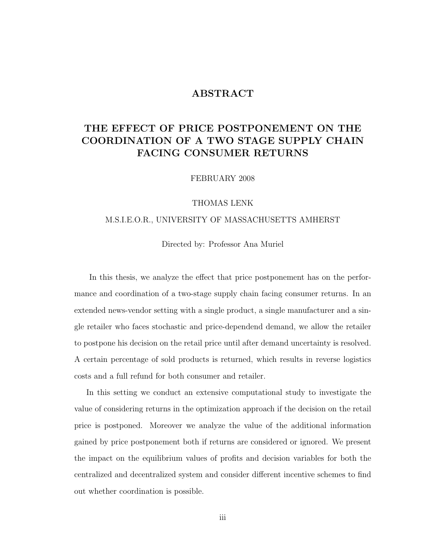## ABSTRACT

## THE EFFECT OF PRICE POSTPONEMENT ON THE COORDINATION OF A TWO STAGE SUPPLY CHAIN FACING CONSUMER RETURNS

FEBRUARY 2008

#### THOMAS LENK

### M.S.I.E.O.R., UNIVERSITY OF MASSACHUSETTS AMHERST

Directed by: Professor Ana Muriel

In this thesis, we analyze the effect that price postponement has on the performance and coordination of a two-stage supply chain facing consumer returns. In an extended news-vendor setting with a single product, a single manufacturer and a single retailer who faces stochastic and price-dependend demand, we allow the retailer to postpone his decision on the retail price until after demand uncertainty is resolved. A certain percentage of sold products is returned, which results in reverse logistics costs and a full refund for both consumer and retailer.

In this setting we conduct an extensive computational study to investigate the value of considering returns in the optimization approach if the decision on the retail price is postponed. Moreover we analyze the value of the additional information gained by price postponement both if returns are considered or ignored. We present the impact on the equilibrium values of profits and decision variables for both the centralized and decentralized system and consider different incentive schemes to find out whether coordination is possible.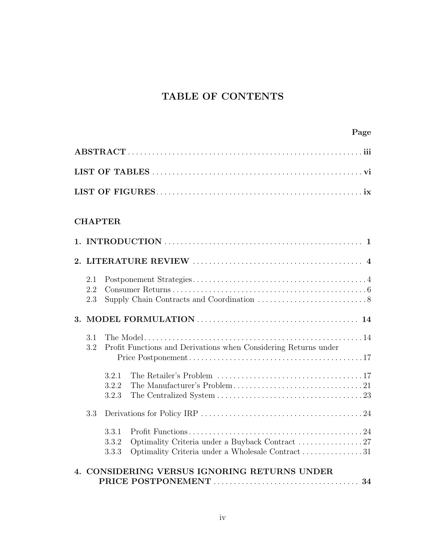# TABLE OF CONTENTS

## CHAPTER

| 2.1<br>2.2<br>2.3 |                         |                                                                                                     |  |
|-------------------|-------------------------|-----------------------------------------------------------------------------------------------------|--|
|                   |                         |                                                                                                     |  |
| 3.1<br>3.2        |                         | Profit Functions and Derivations when Considering Returns under                                     |  |
|                   | 3.2.1<br>3.2.2<br>3.2.3 |                                                                                                     |  |
| 3.3               |                         |                                                                                                     |  |
|                   | 3.3.1<br>3.3.2<br>3.3.3 | Optimality Criteria under a Buyback Contract 27<br>Optimality Criteria under a Wholesale Contract31 |  |
|                   |                         | CONSIDERING VERSUS IGNORING RETURNS UNDER                                                           |  |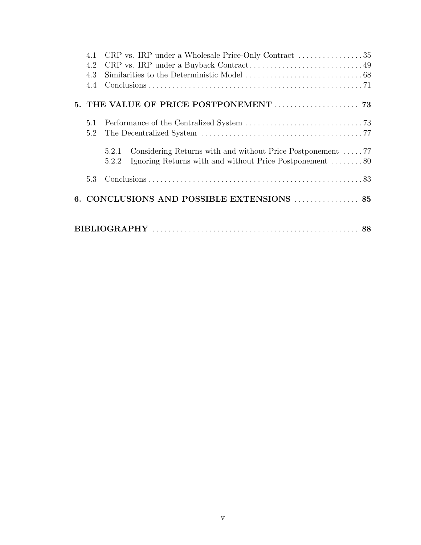| 4.1 | CRP vs. IRP under a Wholesale Price-Only Contract $\dots\dots\dots\dots\dots35$                                                                 |  |  |  |  |
|-----|-------------------------------------------------------------------------------------------------------------------------------------------------|--|--|--|--|
| 4.2 |                                                                                                                                                 |  |  |  |  |
| 4.3 |                                                                                                                                                 |  |  |  |  |
| 4.4 |                                                                                                                                                 |  |  |  |  |
|     | 5. THE VALUE OF PRICE POSTPONEMENT  73                                                                                                          |  |  |  |  |
| 5.1 |                                                                                                                                                 |  |  |  |  |
| 5.2 |                                                                                                                                                 |  |  |  |  |
|     | Considering Returns with and without Price Postponement $\dots$ 77<br>5.2.1<br>Ignoring Returns with and without Price Postponement 80<br>5.2.2 |  |  |  |  |
| 5.3 |                                                                                                                                                 |  |  |  |  |
|     | 6. CONCLUSIONS AND POSSIBLE EXTENSIONS  85                                                                                                      |  |  |  |  |
|     |                                                                                                                                                 |  |  |  |  |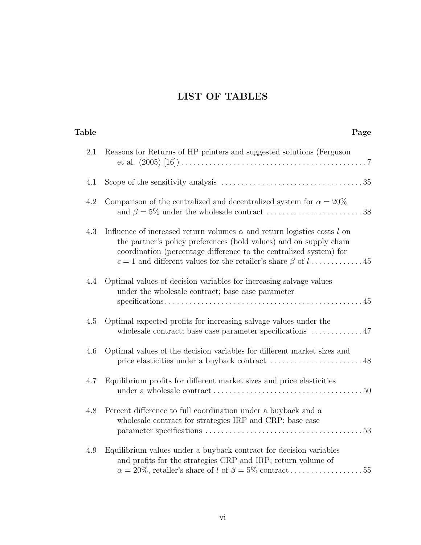# LIST OF TABLES

| Page                                                                                                                                                                                                                                | Table |
|-------------------------------------------------------------------------------------------------------------------------------------------------------------------------------------------------------------------------------------|-------|
| 2.1<br>Reasons for Returns of HP printers and suggested solutions (Ferguson                                                                                                                                                         |       |
| 4.1                                                                                                                                                                                                                                 |       |
| 4.2<br>Comparison of the centralized and decentralized system for $\alpha = 20\%$                                                                                                                                                   |       |
| 4.3<br>Influence of increased return volumes $\alpha$ and return logistics costs $l$ on<br>the partner's policy preferences (bold values) and on supply chain<br>coordination (percentage difference to the centralized system) for |       |
| Optimal values of decision variables for increasing salvage values<br>4.4<br>under the wholesale contract; base case parameter                                                                                                      |       |
| Optimal expected profits for increasing salvage values under the<br>4.5<br>wholesale contract; base case parameter specifications $\dots \dots \dots 47$                                                                            |       |
| Optimal values of the decision variables for different market sizes and<br>4.6                                                                                                                                                      |       |
| Equilibrium profits for different market sizes and price elasticities<br>4.7                                                                                                                                                        |       |
| 4.8<br>Percent difference to full coordination under a buyback and a<br>wholesale contract for strategies IRP and CRP; base case                                                                                                    |       |
| Equilibrium values under a buyback contract for decision variables<br>4.9<br>and profits for the strategies CRP and IRP; return volume of<br>$\alpha = 20\%$ , retailer's share of l of $\beta = 5\%$ contract55                    |       |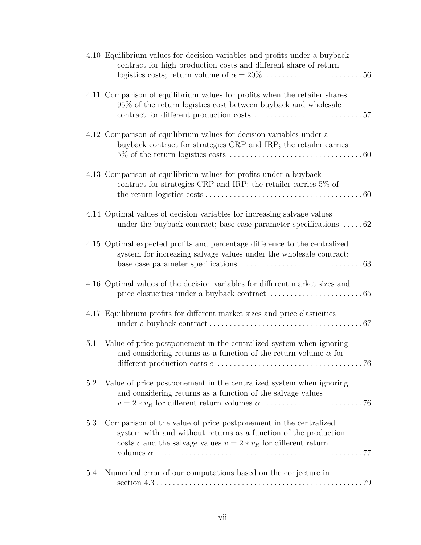|     | 4.10 Equilibrium values for decision variables and profits under a buyback<br>contract for high production costs and different share of return                                                                                                                       |
|-----|----------------------------------------------------------------------------------------------------------------------------------------------------------------------------------------------------------------------------------------------------------------------|
|     | 4.11 Comparison of equilibrium values for profits when the retailer shares<br>95% of the return logistics cost between buyback and wholesale                                                                                                                         |
|     | 4.12 Comparison of equilibrium values for decision variables under a<br>buyback contract for strategies CRP and IRP; the retailer carries                                                                                                                            |
|     | 4.13 Comparison of equilibrium values for profits under a buyback<br>contract for strategies CRP and IRP; the retailer carries $5\%$ of                                                                                                                              |
|     | 4.14 Optimal values of decision variables for increasing salvage values<br>under the buyback contract; base case parameter specifications $\dots$ 62                                                                                                                 |
|     | 4.15 Optimal expected profits and percentage difference to the centralized<br>system for increasing salvage values under the wholesale contract;                                                                                                                     |
|     | 4.16 Optimal values of the decision variables for different market sizes and                                                                                                                                                                                         |
|     | 4.17 Equilibrium profits for different market sizes and price elasticities                                                                                                                                                                                           |
| 5.1 | Value of price postponement in the centralized system when ignoring<br>and considering returns as a function of the return volume $\alpha$ for<br>different production costs $c \ldots \ldots \ldots \ldots \ldots \ldots \ldots \ldots \ldots \ldots \ldots \ldots$ |
| 5.2 | Value of price postponement in the centralized system when ignoring<br>and considering returns as a function of the salvage values                                                                                                                                   |
| 5.3 | Comparison of the value of price postponement in the centralized<br>system with and without returns as a function of the production<br>costs c and the salvage values $v = 2 * v_R$ for different return                                                             |
| 5.4 | Numerical error of our computations based on the conjecture in                                                                                                                                                                                                       |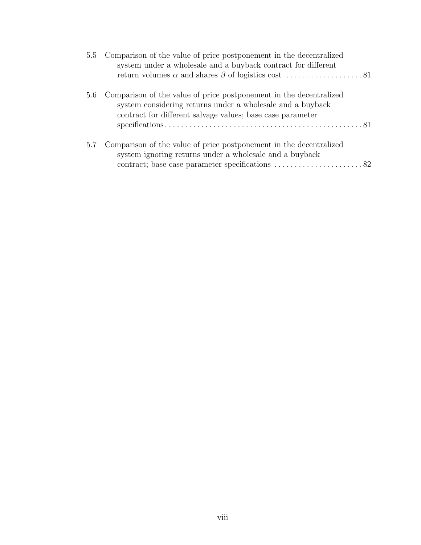|     | 5.5 Comparison of the value of price postponement in the decentralized<br>system under a wholesale and a buyback contract for different                                                            |
|-----|----------------------------------------------------------------------------------------------------------------------------------------------------------------------------------------------------|
|     | 5.6 Comparison of the value of price postponement in the decentralized<br>system considering returns under a wholesale and a buyback<br>contract for different salvage values; base case parameter |
| 5.7 | Comparison of the value of price postponement in the decentralized<br>system ignoring returns under a wholesale and a buyback                                                                      |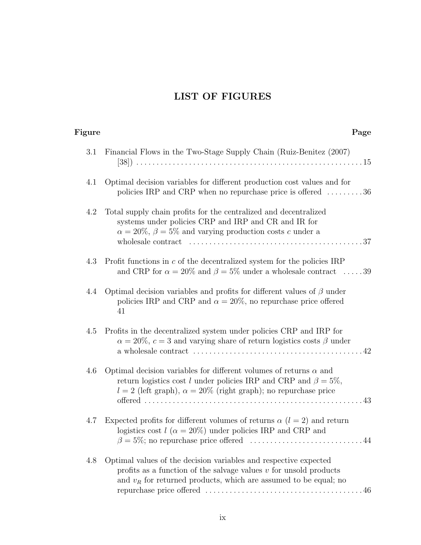## LIST OF FIGURES

| Figure | Page                                                                                                                                                                                                                                                         |
|--------|--------------------------------------------------------------------------------------------------------------------------------------------------------------------------------------------------------------------------------------------------------------|
| 3.1    | Financial Flows in the Two-Stage Supply Chain (Ruiz-Benitez (2007)                                                                                                                                                                                           |
| 4.1    | Optimal decision variables for different production cost values and for<br>policies IRP and CRP when no repurchase price is offered $\dots\dots\dots36$                                                                                                      |
| 4.2    | Total supply chain profits for the centralized and decentralized<br>systems under policies CRP and IRP and CR and IR for<br>$\alpha = 20\%$ , $\beta = 5\%$ and varying production costs c under a                                                           |
| 4.3    | Profit functions in $c$ of the decentralized system for the policies IRP<br>and CRP for $\alpha = 20\%$ and $\beta = 5\%$ under a wholesale contract 39                                                                                                      |
| 4.4    | Optimal decision variables and profits for different values of $\beta$ under<br>policies IRP and CRP and $\alpha = 20\%$ , no repurchase price offered<br>41                                                                                                 |
| 4.5    | Profits in the decentralized system under policies CRP and IRP for<br>$\alpha = 20\%$ , $c = 3$ and varying share of return logistics costs $\beta$ under<br>a wholesale contract $\dots\dots\dots\dots\dots\dots\dots\dots\dots\dots\dots\dots\dots\dots42$ |
| 4.6    | Optimal decision variables for different volumes of returns $\alpha$ and<br>return logistics cost l under policies IRP and CRP and $\beta = 5\%,$<br>$l = 2$ (left graph), $\alpha = 20\%$ (right graph); no repurchase price                                |
| 4.7    | Expected profits for different volumes of returns $\alpha$ ( $l = 2$ ) and return<br>logistics cost $l(\alpha = 20\%)$ under policies IRP and CRP and                                                                                                        |
| 4.8    | Optimal values of the decision variables and respective expected<br>profits as a function of the salvage values $v$ for unsold products<br>and $v_R$ for returned products, which are assumed to be equal; no                                                |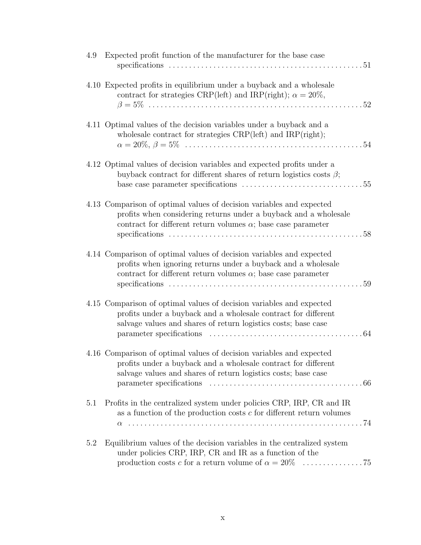| 4.9 | Expected profit function of the manufacturer for the base case<br>. $51$                                                                                                                                         |
|-----|------------------------------------------------------------------------------------------------------------------------------------------------------------------------------------------------------------------|
|     | 4.10 Expected profits in equilibrium under a buyback and a wholesale<br>contract for strategies CRP(left) and IRP(right); $\alpha = 20\%,$                                                                       |
|     | 4.11 Optimal values of the decision variables under a buyback and a<br>wholesale contract for strategies CRP(left) and IRP(right);<br>54                                                                         |
|     | 4.12 Optimal values of decision variables and expected profits under a<br>buyback contract for different shares of return logistics costs $\beta$ ;                                                              |
|     | 4.13 Comparison of optimal values of decision variables and expected<br>profits when considering returns under a buyback and a wholesale<br>contract for different return volumes $\alpha$ ; base case parameter |
|     | 4.14 Comparison of optimal values of decision variables and expected<br>profits when ignoring returns under a buyback and a wholesale<br>contract for different return volumes $\alpha$ ; base case parameter    |
|     | 4.15 Comparison of optimal values of decision variables and expected<br>profits under a buyback and a wholesale contract for different<br>salvage values and shares of return logistics costs; base case<br>.64  |
|     | 4.16 Comparison of optimal values of decision variables and expected<br>profits under a buyback and a wholesale contract for different<br>salvage values and shares of return logistics costs; base case         |
| 5.1 | Profits in the centralized system under policies CRP, IRP, CR and IR<br>as a function of the production costs $c$ for different return volumes                                                                   |
| 5.2 | Equilibrium values of the decision variables in the centralized system<br>under policies CRP, IRP, CR and IR as a function of the                                                                                |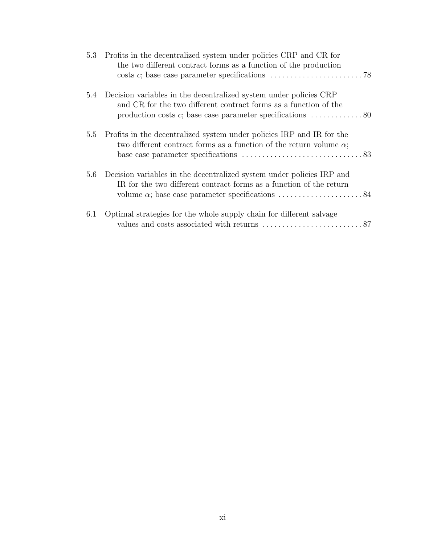|     | 5.3 Profits in the decentralized system under policies CRP and CR for<br>the two different contract forms as a function of the production<br>costs c; base case parameter specifications $\dots \dots \dots \dots \dots \dots \dots \dots$ 78 |
|-----|-----------------------------------------------------------------------------------------------------------------------------------------------------------------------------------------------------------------------------------------------|
|     | 5.4 Decision variables in the decentralized system under policies CRP<br>and CR for the two different contract forms as a function of the<br>production costs $c$ ; base case parameter specifications $\dots \dots \dots \dots 80$           |
|     | 5.5 Profits in the decentralized system under policies IRP and IR for the<br>two different contract forms as a function of the return volume $\alpha$ ;                                                                                       |
|     | 5.6 Decision variables in the decentralized system under policies IRP and<br>IR for the two different contract forms as a function of the return                                                                                              |
| 6.1 | Optimal strategies for the whole supply chain for different salvage                                                                                                                                                                           |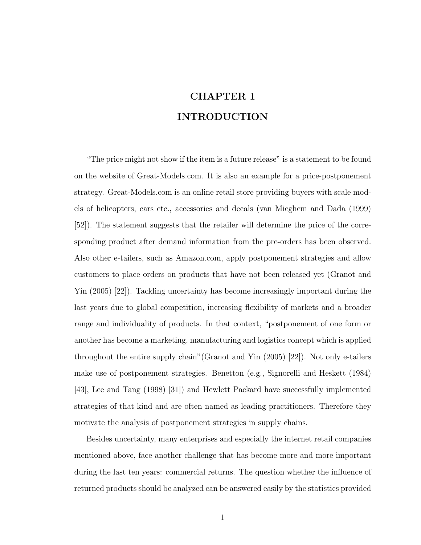# CHAPTER 1 INTRODUCTION

"The price might not show if the item is a future release" is a statement to be found on the website of Great-Models.com. It is also an example for a price-postponement strategy. Great-Models.com is an online retail store providing buyers with scale models of helicopters, cars etc., accessories and decals (van Mieghem and Dada (1999) [52]). The statement suggests that the retailer will determine the price of the corresponding product after demand information from the pre-orders has been observed. Also other e-tailers, such as Amazon.com, apply postponement strategies and allow customers to place orders on products that have not been released yet (Granot and Yin (2005) [22]). Tackling uncertainty has become increasingly important during the last years due to global competition, increasing flexibility of markets and a broader range and individuality of products. In that context, "postponement of one form or another has become a marketing, manufacturing and logistics concept which is applied throughout the entire supply chain"(Granot and Yin (2005) [22]). Not only e-tailers make use of postponement strategies. Benetton (e.g., Signorelli and Heskett (1984) [43], Lee and Tang (1998) [31]) and Hewlett Packard have successfully implemented strategies of that kind and are often named as leading practitioners. Therefore they motivate the analysis of postponement strategies in supply chains.

Besides uncertainty, many enterprises and especially the internet retail companies mentioned above, face another challenge that has become more and more important during the last ten years: commercial returns. The question whether the influence of returned products should be analyzed can be answered easily by the statistics provided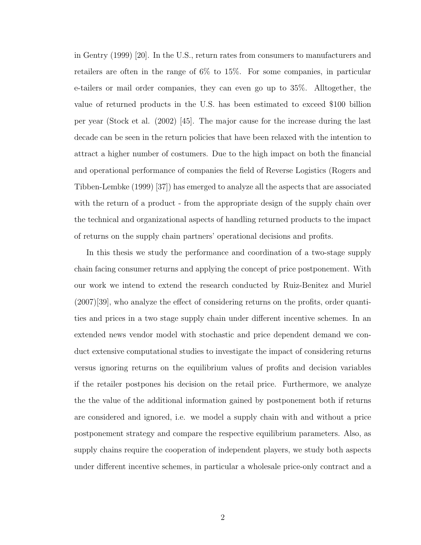in Gentry (1999) [20]. In the U.S., return rates from consumers to manufacturers and retailers are often in the range of 6% to 15%. For some companies, in particular e-tailers or mail order companies, they can even go up to 35%. Alltogether, the value of returned products in the U.S. has been estimated to exceed \$100 billion per year (Stock et al. (2002) [45]. The major cause for the increase during the last decade can be seen in the return policies that have been relaxed with the intention to attract a higher number of costumers. Due to the high impact on both the financial and operational performance of companies the field of Reverse Logistics (Rogers and Tibben-Lembke (1999) [37]) has emerged to analyze all the aspects that are associated with the return of a product - from the appropriate design of the supply chain over the technical and organizational aspects of handling returned products to the impact of returns on the supply chain partners' operational decisions and profits.

In this thesis we study the performance and coordination of a two-stage supply chain facing consumer returns and applying the concept of price postponement. With our work we intend to extend the research conducted by Ruiz-Benitez and Muriel (2007)[39], who analyze the effect of considering returns on the profits, order quantities and prices in a two stage supply chain under different incentive schemes. In an extended news vendor model with stochastic and price dependent demand we conduct extensive computational studies to investigate the impact of considering returns versus ignoring returns on the equilibrium values of profits and decision variables if the retailer postpones his decision on the retail price. Furthermore, we analyze the the value of the additional information gained by postponement both if returns are considered and ignored, i.e. we model a supply chain with and without a price postponement strategy and compare the respective equilibrium parameters. Also, as supply chains require the cooperation of independent players, we study both aspects under different incentive schemes, in particular a wholesale price-only contract and a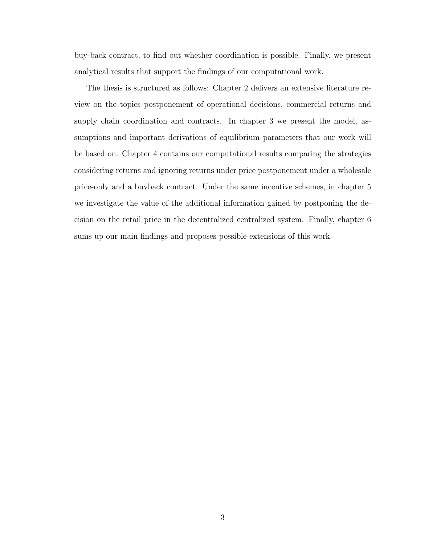buy-back contract, to find out whether coordination is possible. Finally, we present analytical results that support the findings of our computational work.

The thesis is structured as follows: Chapter 2 delivers an extensive literature review on the topics postponement of operational decisions, commercial returns and supply chain coordination and contracts. In chapter 3 we present the model, assumptions and important derivations of equilibrium parameters that our work will be based on. Chapter 4 contains our computational results comparing the strategies considering returns and ignoring returns under price postponement under a wholesale price-only and a buyback contract. Under the same incentive schemes, in chapter 5 we investigate the value of the additional information gained by postponing the decision on the retail price in the decentralized centralized system. Finally, chapter 6 sums up our main findings and proposes possible extensions of this work.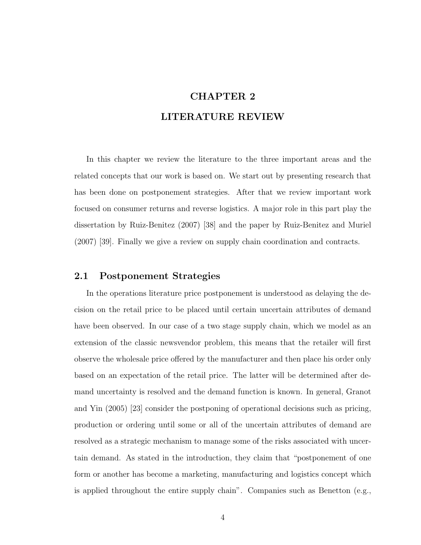# CHAPTER 2 LITERATURE REVIEW

In this chapter we review the literature to the three important areas and the related concepts that our work is based on. We start out by presenting research that has been done on postponement strategies. After that we review important work focused on consumer returns and reverse logistics. A major role in this part play the dissertation by Ruiz-Benitez (2007) [38] and the paper by Ruiz-Benitez and Muriel (2007) [39]. Finally we give a review on supply chain coordination and contracts.

### 2.1 Postponement Strategies

In the operations literature price postponement is understood as delaying the decision on the retail price to be placed until certain uncertain attributes of demand have been observed. In our case of a two stage supply chain, which we model as an extension of the classic newsvendor problem, this means that the retailer will first observe the wholesale price offered by the manufacturer and then place his order only based on an expectation of the retail price. The latter will be determined after demand uncertainty is resolved and the demand function is known. In general, Granot and Yin (2005) [23] consider the postponing of operational decisions such as pricing, production or ordering until some or all of the uncertain attributes of demand are resolved as a strategic mechanism to manage some of the risks associated with uncertain demand. As stated in the introduction, they claim that "postponement of one form or another has become a marketing, manufacturing and logistics concept which is applied throughout the entire supply chain". Companies such as Benetton (e.g.,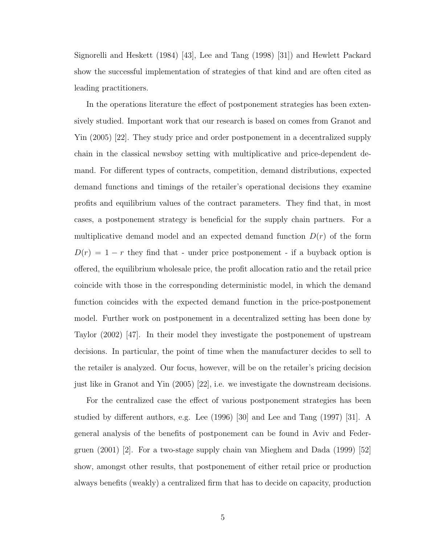Signorelli and Heskett (1984) [43], Lee and Tang (1998) [31]) and Hewlett Packard show the successful implementation of strategies of that kind and are often cited as leading practitioners.

In the operations literature the effect of postponement strategies has been extensively studied. Important work that our research is based on comes from Granot and Yin (2005) [22]. They study price and order postponement in a decentralized supply chain in the classical newsboy setting with multiplicative and price-dependent demand. For different types of contracts, competition, demand distributions, expected demand functions and timings of the retailer's operational decisions they examine profits and equilibrium values of the contract parameters. They find that, in most cases, a postponement strategy is beneficial for the supply chain partners. For a multiplicative demand model and an expected demand function  $D(r)$  of the form  $D(r) = 1 - r$  they find that - under price postponement - if a buyback option is offered, the equilibrium wholesale price, the profit allocation ratio and the retail price coincide with those in the corresponding deterministic model, in which the demand function coincides with the expected demand function in the price-postponement model. Further work on postponement in a decentralized setting has been done by Taylor (2002) [47]. In their model they investigate the postponement of upstream decisions. In particular, the point of time when the manufacturer decides to sell to the retailer is analyzed. Our focus, however, will be on the retailer's pricing decision just like in Granot and Yin (2005) [22], i.e. we investigate the downstream decisions.

For the centralized case the effect of various postponement strategies has been studied by different authors, e.g. Lee (1996) [30] and Lee and Tang (1997) [31]. A general analysis of the benefits of postponement can be found in Aviv and Federgruen (2001) [2]. For a two-stage supply chain van Mieghem and Dada (1999) [52] show, amongst other results, that postponement of either retail price or production always benefits (weakly) a centralized firm that has to decide on capacity, production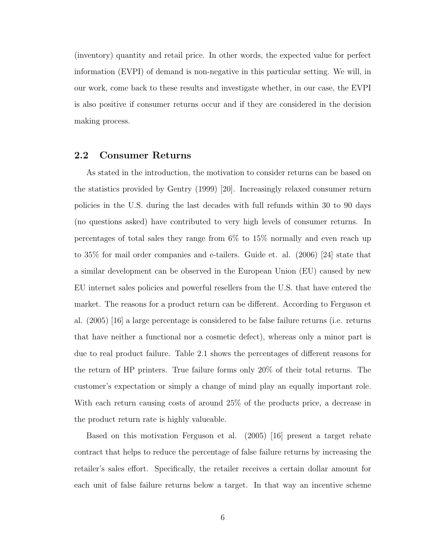(inventory) quantity and retail price. In other words, the expected value for perfect information (EVPI) of demand is non-negative in this particular setting. We will, in our work, come back to these results and investigate whether, in our case, the EVPI is also positive if consumer returns occur and if they are considered in the decision making process.

### 2.2 Consumer Returns

As stated in the introduction, the motivation to consider returns can be based on the statistics provided by Gentry (1999) [20]. Increasingly relaxed consumer return policies in the U.S. during the last decades with full refunds within 30 to 90 days (no questions asked) have contributed to very high levels of consumer returns. In percentages of total sales they range from 6% to 15% normally and even reach up to 35% for mail order companies and e-tailers. Guide et. al. (2006) [24] state that a similar development can be observed in the European Union (EU) caused by new EU internet sales policies and powerful resellers from the U.S. that have entered the market. The reasons for a product return can be different. According to Ferguson et al. (2005) [16] a large percentage is considered to be false failure returns (i.e. returns that have neither a functional nor a cosmetic defect), whereas only a minor part is due to real product failure. Table 2.1 shows the percentages of different reasons for the return of HP printers. True failure forms only 20% of their total returns. The customer's expectation or simply a change of mind play an equally important role. With each return causing costs of around 25% of the products price, a decrease in the product return rate is highly valueable.

Based on this motivation Ferguson et al. (2005) [16] present a target rebate contract that helps to reduce the percentage of false failure returns by increasing the retailer's sales effort. Specifically, the retailer receives a certain dollar amount for each unit of false failure returns below a target. In that way an incentive scheme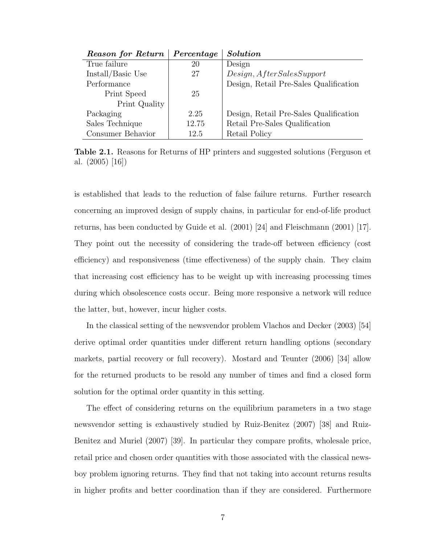| <b>Reason for Return</b> | Percentage | <b>Solution</b>                        |
|--------------------------|------------|----------------------------------------|
| True failure             | 20         | Design                                 |
| Install/Basic Use        | 27         | Design, After Sales Support            |
| Performance              |            | Design, Retail Pre-Sales Qualification |
| Print Speed              | 25         |                                        |
| Print Quality            |            |                                        |
| Packaging                | 2.25       | Design, Retail Pre-Sales Qualification |
| Sales Technique          | 12.75      | Retail Pre-Sales Qualification         |
| Consumer Behavior        | 12.5       | Retail Policy                          |

Table 2.1. Reasons for Returns of HP printers and suggested solutions (Ferguson et al. (2005) [16])

is established that leads to the reduction of false failure returns. Further research concerning an improved design of supply chains, in particular for end-of-life product returns, has been conducted by Guide et al. (2001) [24] and Fleischmann (2001) [17]. They point out the necessity of considering the trade-off between efficiency (cost efficiency) and responsiveness (time effectiveness) of the supply chain. They claim that increasing cost efficiency has to be weight up with increasing processing times during which obsolescence costs occur. Being more responsive a network will reduce the latter, but, however, incur higher costs.

In the classical setting of the newsvendor problem Vlachos and Decker (2003) [54] derive optimal order quantities under different return handling options (secondary markets, partial recovery or full recovery). Mostard and Teunter (2006) [34] allow for the returned products to be resold any number of times and find a closed form solution for the optimal order quantity in this setting.

The effect of considering returns on the equilibrium parameters in a two stage newsvendor setting is exhaustively studied by Ruiz-Benitez (2007) [38] and Ruiz-Benitez and Muriel (2007) [39]. In particular they compare profits, wholesale price, retail price and chosen order quantities with those associated with the classical newsboy problem ignoring returns. They find that not taking into account returns results in higher profits and better coordination than if they are considered. Furthermore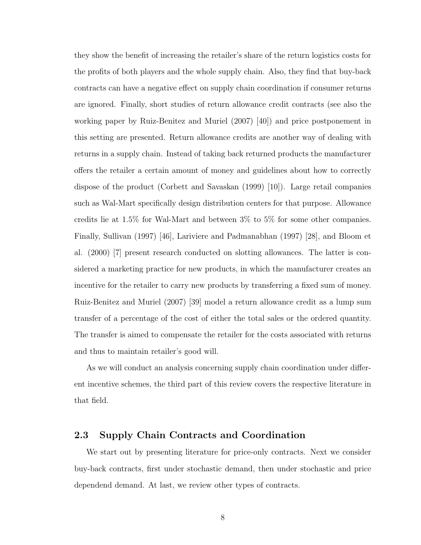they show the benefit of increasing the retailer's share of the return logistics costs for the profits of both players and the whole supply chain. Also, they find that buy-back contracts can have a negative effect on supply chain coordination if consumer returns are ignored. Finally, short studies of return allowance credit contracts (see also the working paper by Ruiz-Benitez and Muriel (2007) [40]) and price postponement in this setting are presented. Return allowance credits are another way of dealing with returns in a supply chain. Instead of taking back returned products the manufacturer offers the retailer a certain amount of money and guidelines about how to correctly dispose of the product (Corbett and Savaskan (1999) [10]). Large retail companies such as Wal-Mart specifically design distribution centers for that purpose. Allowance credits lie at 1.5% for Wal-Mart and between 3% to 5% for some other companies. Finally, Sullivan (1997) [46], Lariviere and Padmanabhan (1997) [28], and Bloom et al. (2000) [7] present research conducted on slotting allowances. The latter is considered a marketing practice for new products, in which the manufacturer creates an incentive for the retailer to carry new products by transferring a fixed sum of money. Ruiz-Benitez and Muriel (2007) [39] model a return allowance credit as a lump sum transfer of a percentage of the cost of either the total sales or the ordered quantity. The transfer is aimed to compensate the retailer for the costs associated with returns and thus to maintain retailer's good will.

As we will conduct an analysis concerning supply chain coordination under different incentive schemes, the third part of this review covers the respective literature in that field.

### 2.3 Supply Chain Contracts and Coordination

We start out by presenting literature for price-only contracts. Next we consider buy-back contracts, first under stochastic demand, then under stochastic and price dependend demand. At last, we review other types of contracts.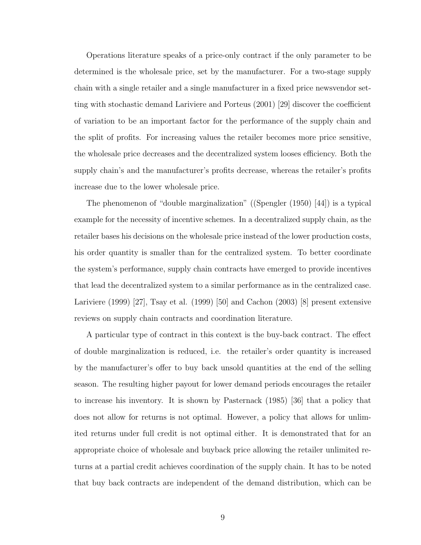Operations literature speaks of a price-only contract if the only parameter to be determined is the wholesale price, set by the manufacturer. For a two-stage supply chain with a single retailer and a single manufacturer in a fixed price newsvendor setting with stochastic demand Lariviere and Porteus (2001) [29] discover the coefficient of variation to be an important factor for the performance of the supply chain and the split of profits. For increasing values the retailer becomes more price sensitive, the wholesale price decreases and the decentralized system looses efficiency. Both the supply chain's and the manufacturer's profits decrease, whereas the retailer's profits increase due to the lower wholesale price.

The phenomenon of "double marginalization" ((Spengler (1950) [44]) is a typical example for the necessity of incentive schemes. In a decentralized supply chain, as the retailer bases his decisions on the wholesale price instead of the lower production costs, his order quantity is smaller than for the centralized system. To better coordinate the system's performance, supply chain contracts have emerged to provide incentives that lead the decentralized system to a similar performance as in the centralized case. Lariviere (1999) [27], Tsay et al. (1999) [50] and Cachon (2003) [8] present extensive reviews on supply chain contracts and coordination literature.

A particular type of contract in this context is the buy-back contract. The effect of double marginalization is reduced, i.e. the retailer's order quantity is increased by the manufacturer's offer to buy back unsold quantities at the end of the selling season. The resulting higher payout for lower demand periods encourages the retailer to increase his inventory. It is shown by Pasternack (1985) [36] that a policy that does not allow for returns is not optimal. However, a policy that allows for unlimited returns under full credit is not optimal either. It is demonstrated that for an appropriate choice of wholesale and buyback price allowing the retailer unlimited returns at a partial credit achieves coordination of the supply chain. It has to be noted that buy back contracts are independent of the demand distribution, which can be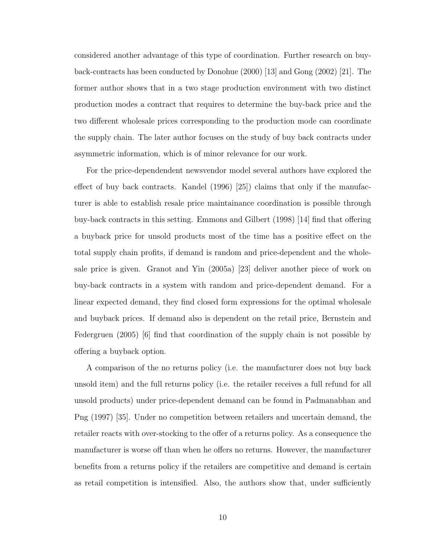considered another advantage of this type of coordination. Further research on buyback-contracts has been conducted by Donohue (2000) [13] and Gong (2002) [21]. The former author shows that in a two stage production environment with two distinct production modes a contract that requires to determine the buy-back price and the two different wholesale prices corresponding to the production mode can coordinate the supply chain. The later author focuses on the study of buy back contracts under asymmetric information, which is of minor relevance for our work.

For the price-dependendent newsvendor model several authors have explored the effect of buy back contracts. Kandel  $(1996)$   $(25)$  claims that only if the manufacturer is able to establish resale price maintainance coordination is possible through buy-back contracts in this setting. Emmons and Gilbert (1998) [14] find that offering a buyback price for unsold products most of the time has a positive effect on the total supply chain profits, if demand is random and price-dependent and the wholesale price is given. Granot and Yin (2005a) [23] deliver another piece of work on buy-back contracts in a system with random and price-dependent demand. For a linear expected demand, they find closed form expressions for the optimal wholesale and buyback prices. If demand also is dependent on the retail price, Bernstein and Federgruen (2005) [6] find that coordination of the supply chain is not possible by offering a buyback option.

A comparison of the no returns policy (i.e. the manufacturer does not buy back unsold item) and the full returns policy (i.e. the retailer receives a full refund for all unsold products) under price-dependent demand can be found in Padmanabhan and Png (1997) [35]. Under no competition between retailers and uncertain demand, the retailer reacts with over-stocking to the offer of a returns policy. As a consequence the manufacturer is worse off than when he offers no returns. However, the manufacturer benefits from a returns policy if the retailers are competitive and demand is certain as retail competition is intensified. Also, the authors show that, under sufficiently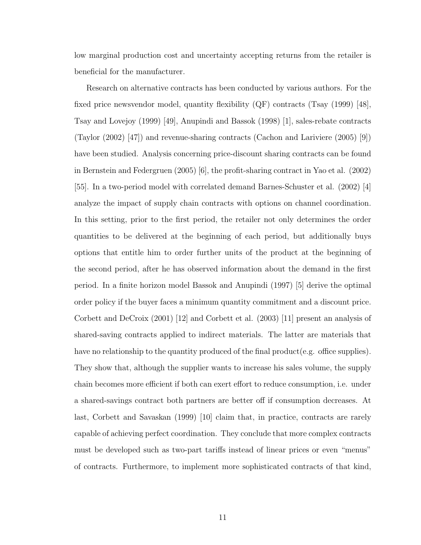low marginal production cost and uncertainty accepting returns from the retailer is beneficial for the manufacturer.

Research on alternative contracts has been conducted by various authors. For the fixed price newsvendor model, quantity flexibility  $(QF)$  contracts (Tsay (1999) [48], Tsay and Lovejoy (1999) [49], Anupindi and Bassok (1998) [1], sales-rebate contracts (Taylor (2002) [47]) and revenue-sharing contracts (Cachon and Lariviere (2005) [9]) have been studied. Analysis concerning price-discount sharing contracts can be found in Bernstein and Federgruen (2005) [6], the profit-sharing contract in Yao et al. (2002) [55]. In a two-period model with correlated demand Barnes-Schuster et al. (2002) [4] analyze the impact of supply chain contracts with options on channel coordination. In this setting, prior to the first period, the retailer not only determines the order quantities to be delivered at the beginning of each period, but additionally buys options that entitle him to order further units of the product at the beginning of the second period, after he has observed information about the demand in the first period. In a finite horizon model Bassok and Anupindi (1997) [5] derive the optimal order policy if the buyer faces a minimum quantity commitment and a discount price. Corbett and DeCroix (2001) [12] and Corbett et al. (2003) [11] present an analysis of shared-saving contracts applied to indirect materials. The latter are materials that have no relationship to the quantity produced of the final product (e.g. office supplies). They show that, although the supplier wants to increase his sales volume, the supply chain becomes more efficient if both can exert effort to reduce consumption, i.e. under a shared-savings contract both partners are better off if consumption decreases. At last, Corbett and Savaskan (1999) [10] claim that, in practice, contracts are rarely capable of achieving perfect coordination. They conclude that more complex contracts must be developed such as two-part tariffs instead of linear prices or even "menus" of contracts. Furthermore, to implement more sophisticated contracts of that kind,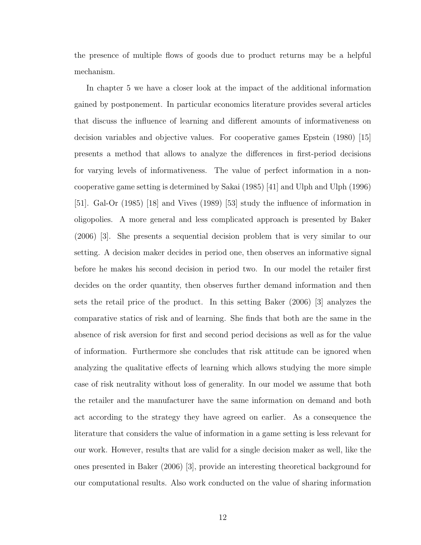the presence of multiple flows of goods due to product returns may be a helpful mechanism.

In chapter 5 we have a closer look at the impact of the additional information gained by postponement. In particular economics literature provides several articles that discuss the influence of learning and different amounts of informativeness on decision variables and objective values. For cooperative games Epstein (1980) [15] presents a method that allows to analyze the differences in first-period decisions for varying levels of informativeness. The value of perfect information in a noncooperative game setting is determined by Sakai (1985) [41] and Ulph and Ulph (1996) [51]. Gal-Or (1985) [18] and Vives (1989) [53] study the influence of information in oligopolies. A more general and less complicated approach is presented by Baker (2006) [3]. She presents a sequential decision problem that is very similar to our setting. A decision maker decides in period one, then observes an informative signal before he makes his second decision in period two. In our model the retailer first decides on the order quantity, then observes further demand information and then sets the retail price of the product. In this setting Baker (2006) [3] analyzes the comparative statics of risk and of learning. She finds that both are the same in the absence of risk aversion for first and second period decisions as well as for the value of information. Furthermore she concludes that risk attitude can be ignored when analyzing the qualitative effects of learning which allows studying the more simple case of risk neutrality without loss of generality. In our model we assume that both the retailer and the manufacturer have the same information on demand and both act according to the strategy they have agreed on earlier. As a consequence the literature that considers the value of information in a game setting is less relevant for our work. However, results that are valid for a single decision maker as well, like the ones presented in Baker (2006) [3], provide an interesting theoretical background for our computational results. Also work conducted on the value of sharing information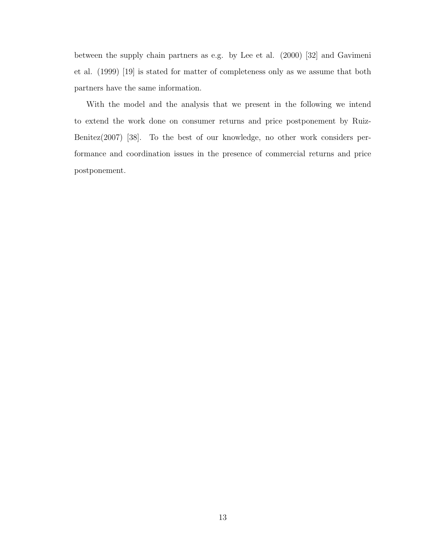between the supply chain partners as e.g. by Lee et al. (2000) [32] and Gavimeni et al. (1999) [19] is stated for matter of completeness only as we assume that both partners have the same information.

With the model and the analysis that we present in the following we intend to extend the work done on consumer returns and price postponement by Ruiz-Benitez(2007) [38]. To the best of our knowledge, no other work considers performance and coordination issues in the presence of commercial returns and price postponement.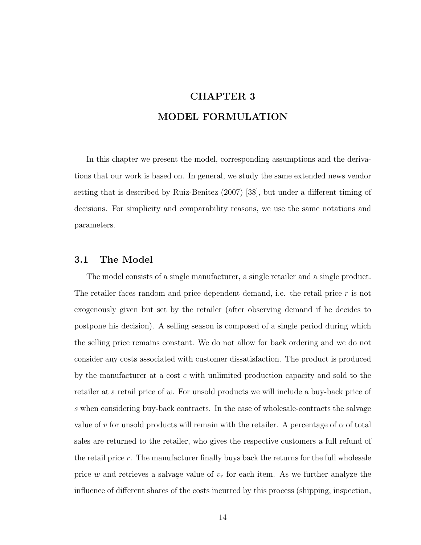# CHAPTER 3 MODEL FORMULATION

In this chapter we present the model, corresponding assumptions and the derivations that our work is based on. In general, we study the same extended news vendor setting that is described by Ruiz-Benitez (2007) [38], but under a different timing of decisions. For simplicity and comparability reasons, we use the same notations and parameters.

### 3.1 The Model

The model consists of a single manufacturer, a single retailer and a single product. The retailer faces random and price dependent demand, i.e. the retail price r is not exogenously given but set by the retailer (after observing demand if he decides to postpone his decision). A selling season is composed of a single period during which the selling price remains constant. We do not allow for back ordering and we do not consider any costs associated with customer dissatisfaction. The product is produced by the manufacturer at a cost c with unlimited production capacity and sold to the retailer at a retail price of w. For unsold products we will include a buy-back price of s when considering buy-back contracts. In the case of wholesale-contracts the salvage value of v for unsold products will remain with the retailer. A percentage of  $\alpha$  of total sales are returned to the retailer, who gives the respective customers a full refund of the retail price  $r$ . The manufacturer finally buys back the returns for the full wholesale price w and retrieves a salvage value of  $v_r$  for each item. As we further analyze the influence of different shares of the costs incurred by this process (shipping, inspection,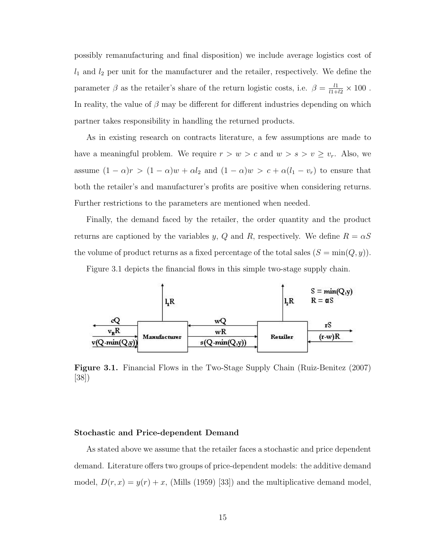possibly remanufacturing and final disposition) we include average logistics cost of  $l_1$  and  $l_2$  per unit for the manufacturer and the retailer, respectively. We define the parameter  $\beta$  as the retailer's share of the return logistic costs, i.e.  $\beta = \frac{l1}{l1+l2} \times 100$ . In reality, the value of  $\beta$  may be different for different industries depending on which partner takes responsibility in handling the returned products.

As in existing research on contracts literature, a few assumptions are made to have a meaningful problem. We require  $r > w > c$  and  $w > s > v \ge v_r$ . Also, we assume  $(1 - \alpha)r > (1 - \alpha)w + \alpha l_2$  and  $(1 - \alpha)w > c + \alpha(l_1 - v_r)$  to ensure that both the retailer's and manufacturer's profits are positive when considering returns. Further restrictions to the parameters are mentioned when needed.

Finally, the demand faced by the retailer, the order quantity and the product returns are captioned by the variables y, Q and R, respectively. We define  $R = \alpha S$ the volume of product returns as a fixed percentage of the total sales  $(S = \min(Q, y))$ .

Figure 3.1 depicts the financial flows in this simple two-stage supply chain.



Figure 3.1. Financial Flows in the Two-Stage Supply Chain (Ruiz-Benitez (2007) [38])

### Stochastic and Price-dependent Demand

As stated above we assume that the retailer faces a stochastic and price dependent demand. Literature offers two groups of price-dependent models: the additive demand model,  $D(r, x) = y(r) + x$ , (Mills (1959) [33]) and the multiplicative demand model,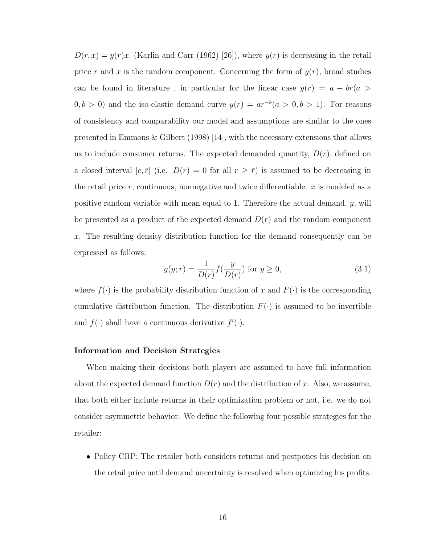$D(r, x) = y(r)x$ , (Karlin and Carr (1962) [26]), where  $y(r)$  is decreasing in the retail price r and x is the random component. Concerning the form of  $y(r)$ , broad studies can be found in literature, in particular for the linear case  $y(r) = a - br(a)$  $(0, b > 0)$  and the iso-elastic demand curve  $y(r) = ar^{-b}(a > 0, b > 1)$ . For reasons of consistency and comparability our model and assumptions are similar to the ones presented in Emmons & Gilbert (1998) [14], with the necessary extensions that allows us to include consumer returns. The expected demanded quantity,  $D(r)$ , defined on a closed interval [c,  $\bar{r}$ ] (i.e.  $D(r) = 0$  for all  $r \geq \bar{r}$ ) is assumed to be decreasing in the retail price  $r$ , continuous, nonnegative and twice differentiable.  $x$  is modeled as a positive random variable with mean equal to 1. Therefore the actual demand, y, will be presented as a product of the expected demand  $D(r)$  and the random component x. The resulting density distribution function for the demand consequently can be expressed as follows:

$$
g(y; r) = \frac{1}{D(r)} f(\frac{y}{D(r)}) \text{ for } y \ge 0,
$$
\n(3.1)

where  $f(\cdot)$  is the probability distribution function of x and  $F(\cdot)$  is the corresponding cumulative distribution function. The distribution  $F(\cdot)$  is assumed to be invertible and  $f(\cdot)$  shall have a continuous derivative  $f'(\cdot)$ .

#### Information and Decision Strategies

When making their decisions both players are assumed to have full information about the expected demand function  $D(r)$  and the distribution of x. Also, we assume, that both either include returns in their optimization problem or not, i.e. we do not consider asymmetric behavior. We define the following four possible strategies for the retailer:

• Policy CRP: The retailer both considers returns and postpones his decision on the retail price until demand uncertainty is resolved when optimizing his profits.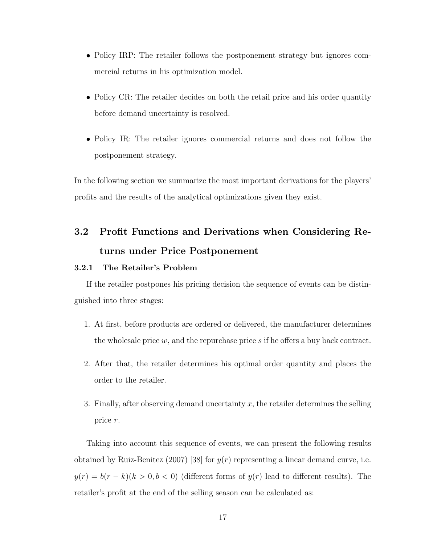- Policy IRP: The retailer follows the postponement strategy but ignores commercial returns in his optimization model.
- Policy CR: The retailer decides on both the retail price and his order quantity before demand uncertainty is resolved.
- Policy IR: The retailer ignores commercial returns and does not follow the postponement strategy.

In the following section we summarize the most important derivations for the players' profits and the results of the analytical optimizations given they exist.

# 3.2 Profit Functions and Derivations when Considering Returns under Price Postponement

#### 3.2.1 The Retailer's Problem

If the retailer postpones his pricing decision the sequence of events can be distinguished into three stages:

- 1. At first, before products are ordered or delivered, the manufacturer determines the wholesale price  $w$ , and the repurchase price  $s$  if he offers a buy back contract.
- 2. After that, the retailer determines his optimal order quantity and places the order to the retailer.
- 3. Finally, after observing demand uncertainty  $x$ , the retailer determines the selling price r.

Taking into account this sequence of events, we can present the following results obtained by Ruiz-Benitez (2007) [38] for  $y(r)$  representing a linear demand curve, i.e.  $y(r) = b(r - k)(k > 0, b < 0)$  (different forms of  $y(r)$  lead to different results). The retailer's profit at the end of the selling season can be calculated as: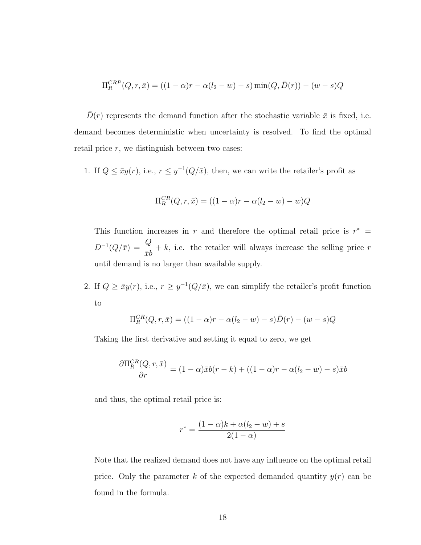$$
\Pi_R^{CRP}(Q, r, \bar{x}) = ((1 - \alpha)r - \alpha(l_2 - w) - s) \min(Q, \bar{D}(r)) - (w - s)Q
$$

 $\bar{D}(r)$  represents the demand function after the stochastic variable  $\bar{x}$  is fixed, i.e. demand becomes deterministic when uncertainty is resolved. To find the optimal retail price  $r$ , we distinguish between two cases:

1. If  $Q \leq \bar{x}y(r)$ , i.e.,  $r \leq y^{-1}(Q/\bar{x})$ , then, we can write the retailer's profit as

$$
\Pi_R^{CR}(Q, r, \bar{x}) = ((1 - \alpha)r - \alpha(l_2 - w) - w)Q
$$

This function increases in r and therefore the optimal retail price is  $r^* =$  $D^{-1}(Q/\bar{x}) = \frac{Q}{I}$  $\bar{x}b$  $+ k$ , i.e. the retailer will always increase the selling price r until demand is no larger than available supply.

2. If  $Q \geq \bar{x}y(r)$ , i.e.,  $r \geq y^{-1}(Q/\bar{x})$ , we can simplify the retailer's profit function to

$$
\Pi_R^{CR}(Q, r, \bar{x}) = ((1 - \alpha)r - \alpha(l_2 - w) - s)\bar{D}(r) - (w - s)Q
$$

Taking the first derivative and setting it equal to zero, we get

$$
\frac{\partial \Pi_R^{CR}(Q, r, \bar{x})}{\partial r} = (1 - \alpha)\bar{x}b(r - k) + ((1 - \alpha)r - \alpha(l_2 - w) - s)\bar{x}b
$$

and thus, the optimal retail price is:

$$
r^* = \frac{(1-\alpha)k + \alpha(l_2 - w) + s}{2(1-\alpha)}
$$

Note that the realized demand does not have any influence on the optimal retail price. Only the parameter k of the expected demanded quantity  $y(r)$  can be found in the formula.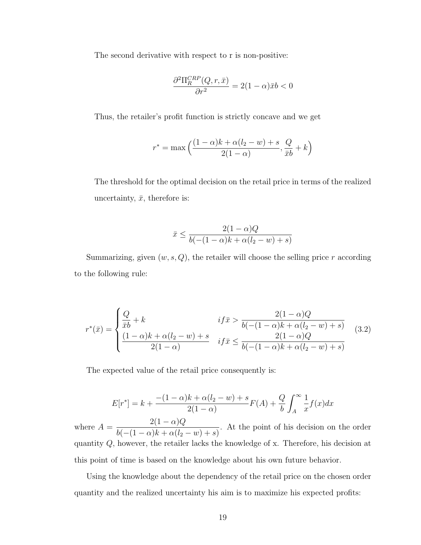The second derivative with respect to r is non-positive:

$$
\frac{\partial^2 \Pi_R^{CRP}(Q, r, \bar{x})}{\partial r^2} = 2(1 - \alpha)\bar{x}b < 0
$$

Thus, the retailer's profit function is strictly concave and we get

$$
r^* = \max\left(\frac{(1-\alpha)k + \alpha(l_2 - w) + s}{2(1-\alpha)}, \frac{Q}{\bar{x}b} + k\right)
$$

The threshold for the optimal decision on the retail price in terms of the realized uncertainty,  $\bar{x}$ , therefore is:

$$
\bar{x} \le \frac{2(1-\alpha)Q}{b(-(1-\alpha)k + \alpha(l_2 - w) + s)}
$$

Summarizing, given  $(w, s, Q)$ , the retailer will choose the selling price r according to the following rule:

$$
r^*(\bar{x}) = \begin{cases} \frac{Q}{\bar{x}b} + k & if \bar{x} > \frac{2(1-\alpha)Q}{b(-(1-\alpha)k + \alpha(l_2 - w) + s)} \\ \frac{(1-\alpha)k + \alpha(l_2 - w) + s}{2(1-\alpha)} & if \bar{x} \le \frac{2(1-\alpha)Q}{b(-(1-\alpha)k + \alpha(l_2 - w) + s)} \end{cases}
$$
(3.2)

The expected value of the retail price consequently is:

$$
E[r^*] = k + \frac{-(1 - \alpha)k + \alpha(l_2 - w) + s}{2(1 - \alpha)}F(A) + \frac{Q}{b} \int_A^{\infty} \frac{1}{x} f(x) dx
$$

where  $A =$  $2(1-\alpha)Q$  $b(-(1-\alpha)k + \alpha(l_2 - w) + s)$ . At the point of his decision on the order quantity Q, however, the retailer lacks the knowledge of x. Therefore, his decision at this point of time is based on the knowledge about his own future behavior.

Using the knowledge about the dependency of the retail price on the chosen order quantity and the realized uncertainty his aim is to maximize his expected profits: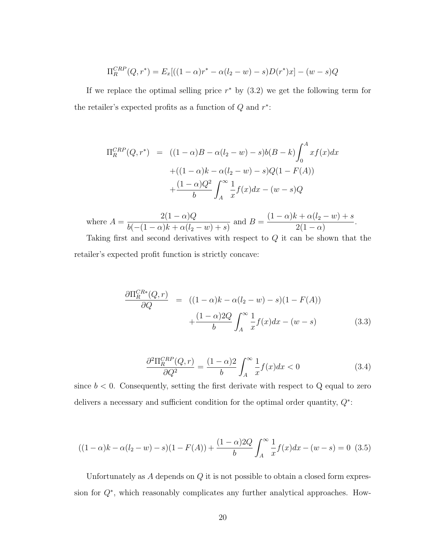$$
\Pi_R^{CRP}(Q,r^*) = E_x[((1-\alpha)r^* - \alpha(l_2-w) - s)D(r^*)x] - (w-s)Q
$$

If we replace the optimal selling price  $r^*$  by  $(3.2)$  we get the following term for the retailer's expected profits as a function of  $Q$  and  $r^*$ :

$$
\Pi_R^{CRP}(Q, r^*) = ((1 - \alpha)B - \alpha(l_2 - w) - s)b(B - k)\int_0^A x f(x)dx
$$
  
 
$$
+ ((1 - \alpha)k - \alpha(l_2 - w) - s)Q(1 - F(A))
$$
  
 
$$
+ \frac{(1 - \alpha)Q^2}{b} \int_A^\infty \frac{1}{x} f(x)dx - (w - s)Q
$$

where  $A =$  $2(1-\alpha)Q$  $b(-(1-\alpha)k + \alpha(l_2 - w) + s)$ and  $B = \frac{(1-\alpha)k + \alpha(l_2 - w) + s}{\alpha(l_2 - w)}$  $2(1 - \alpha)$ .

Taking first and second derivatives with respect to Q it can be shown that the retailer's expected profit function is strictly concave:

$$
\frac{\partial \Pi_R^{CR*}(Q,r)}{\partial Q} = ((1-\alpha)k - \alpha(l_2 - w) - s)(1 - F(A))
$$

$$
+ \frac{(1-\alpha)2Q}{b} \int_A^\infty \frac{1}{x} f(x) dx - (w - s) \tag{3.3}
$$

$$
\frac{\partial^2 \Pi_R^{CRP}(Q, r)}{\partial Q^2} = \frac{(1 - \alpha)2}{b} \int_A^{\infty} \frac{1}{x} f(x) dx < 0
$$
\n(3.4)

since  $b < 0$ . Consequently, setting the first derivate with respect to Q equal to zero delivers a necessary and sufficient condition for the optimal order quantity,  $Q^*$ :

$$
((1 - \alpha)k - \alpha(l_2 - w) - s)(1 - F(A)) + \frac{(1 - \alpha)2Q}{b} \int_A^{\infty} \frac{1}{x} f(x) dx - (w - s) = 0
$$
 (3.5)

Unfortunately as  $A$  depends on  $Q$  it is not possible to obtain a closed form expression for Q<sup>∗</sup> , which reasonably complicates any further analytical approaches. How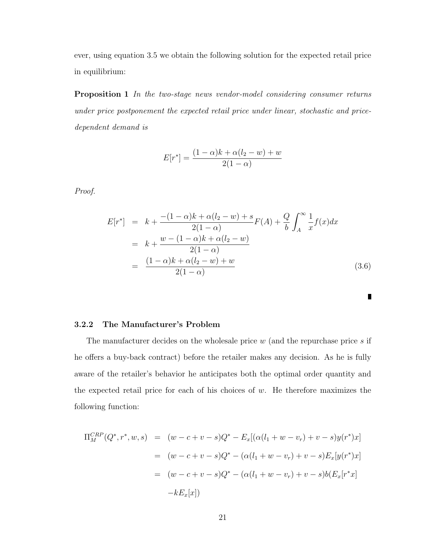ever, using equation 3.5 we obtain the following solution for the expected retail price in equilibrium:

Proposition 1 In the two-stage news vendor-model considering consumer returns under price postponement the expected retail price under linear, stochastic and pricedependent demand is

$$
E[r^*] = \frac{(1 - \alpha)k + \alpha(l_2 - w) + w}{2(1 - \alpha)}
$$

Proof.

$$
E[r^*] = k + \frac{-(1-\alpha)k + \alpha(l_2 - w) + s}{2(1-\alpha)} F(A) + \frac{Q}{b} \int_A^{\infty} \frac{1}{x} f(x) dx
$$
  
=  $k + \frac{w - (1-\alpha)k + \alpha(l_2 - w)}{2(1-\alpha)}$   
=  $\frac{(1-\alpha)k + \alpha(l_2 - w) + w}{2(1-\alpha)}$  (3.6)

#### 3.2.2 The Manufacturer's Problem

The manufacturer decides on the wholesale price  $w$  (and the repurchase price  $s$  if he offers a buy-back contract) before the retailer makes any decision. As he is fully aware of the retailer's behavior he anticipates both the optimal order quantity and the expected retail price for each of his choices of  $w$ . He therefore maximizes the following function:

$$
\Pi_M^{CRP}(Q^*, r^*, w, s) = (w - c + v - s)Q^* - E_x[(\alpha(l_1 + w - v_r) + v - s)y(r^*)x]
$$
  

$$
= (w - c + v - s)Q^* - (\alpha(l_1 + w - v_r) + v - s)E_x[y(r^*)x]
$$
  

$$
= (w - c + v - s)Q^* - (\alpha(l_1 + w - v_r) + v - s)b(E_x[r^*x]
$$
  

$$
-kE_x[x])
$$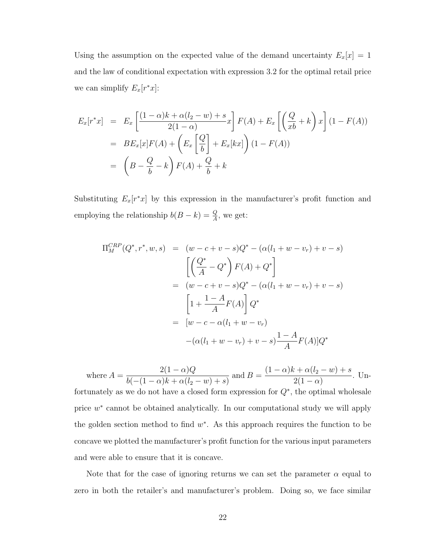Using the assumption on the expected value of the demand uncertainty  $E_x[x] = 1$ and the law of conditional expectation with expression 3.2 for the optimal retail price we can simplify  $E_x[r^*x]$ :

$$
E_x[r^*x] = E_x \left[ \frac{(1-\alpha)k + \alpha(l_2 - w) + s}{2(1-\alpha)} x \right] F(A) + E_x \left[ \left( \frac{Q}{xb} + k \right) x \right] (1 - F(A))
$$
  
= 
$$
BE_x[x]F(A) + \left( E_x \left[ \frac{Q}{b} \right] + E_x[kx] \right) (1 - F(A))
$$
  
= 
$$
\left( B - \frac{Q}{b} - k \right) F(A) + \frac{Q}{b} + k
$$

Substituting  $E_x[r^*x]$  by this expression in the manufacturer's profit function and employing the relationship  $b(B - k) = \frac{Q}{A}$ , we get:

$$
\Pi_M^{CRP}(Q^*, r^*, w, s) = (w - c + v - s)Q^* - (\alpha(l_1 + w - v_r) + v - s)
$$
  
\n
$$
\left[ \left( \frac{Q^*}{A} - Q^* \right) F(A) + Q^* \right]
$$
  
\n
$$
= (w - c + v - s)Q^* - (\alpha(l_1 + w - v_r) + v - s)
$$
  
\n
$$
\left[ 1 + \frac{1 - A}{A} F(A) \right] Q^*
$$
  
\n
$$
= [w - c - \alpha(l_1 + w - v_r)
$$
  
\n
$$
- (\alpha(l_1 + w - v_r) + v - s) \frac{1 - A}{A} F(A)]Q^*
$$

where  $A =$  $2(1-\alpha)Q$  $b(-(1-\alpha)k + \alpha(l_2 - w) + s)$ and  $B = \frac{(1-\alpha)k + \alpha(l_2 - w) + s}{\alpha(l_2 - w)}$  $2(1 - \alpha)$ . Unfortunately as we do not have a closed form expression for  $Q^*$ , the optimal wholesale price  $w^*$  cannot be obtained analytically. In our computational study we will apply the golden section method to find  $w^*$ . As this approach requires the function to be concave we plotted the manufacturer's profit function for the various input parameters and were able to ensure that it is concave.

Note that for the case of ignoring returns we can set the parameter  $\alpha$  equal to zero in both the retailer's and manufacturer's problem. Doing so, we face similar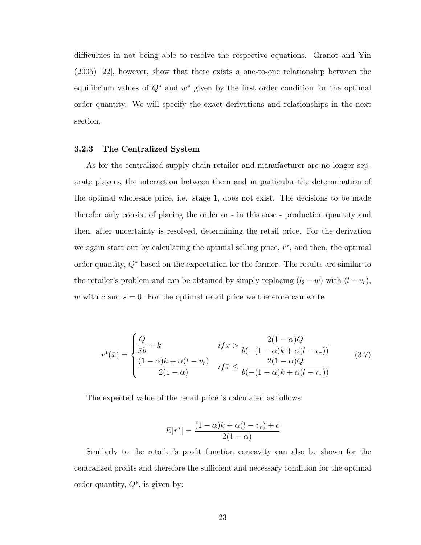difficulties in not being able to resolve the respective equations. Granot and Yin (2005) [22], however, show that there exists a one-to-one relationship between the equilibrium values of  $Q^*$  and  $w^*$  given by the first order condition for the optimal order quantity. We will specify the exact derivations and relationships in the next section.

### 3.2.3 The Centralized System

As for the centralized supply chain retailer and manufacturer are no longer separate players, the interaction between them and in particular the determination of the optimal wholesale price, i.e. stage 1, does not exist. The decisions to be made therefor only consist of placing the order or - in this case - production quantity and then, after uncertainty is resolved, determining the retail price. For the derivation we again start out by calculating the optimal selling price,  $r^*$ , and then, the optimal order quantity,  $Q^*$  based on the expectation for the former. The results are similar to the retailer's problem and can be obtained by simply replacing  $(l_2 - w)$  with  $(l - v_r)$ , w with c and  $s = 0$ . For the optimal retail price we therefore can write

$$
r^*(\bar{x}) = \begin{cases} \frac{Q}{\bar{x}b} + k & if x > \frac{2(1-\alpha)Q}{b(-(1-\alpha)k + \alpha(l-v_r))} \\ \frac{(1-\alpha)k + \alpha(l-v_r)}{2(1-\alpha)} & if \bar{x} \le \frac{2(1-\alpha)Q}{b(-(1-\alpha)k + \alpha(l-v_r))} \end{cases}
$$
(3.7)

The expected value of the retail price is calculated as follows:

$$
E[r^*] = \frac{(1-\alpha)k + \alpha(l-v_r) + c}{2(1-\alpha)}
$$

Similarly to the retailer's profit function concavity can also be shown for the centralized profits and therefore the sufficient and necessary condition for the optimal order quantity,  $Q^*$ , is given by: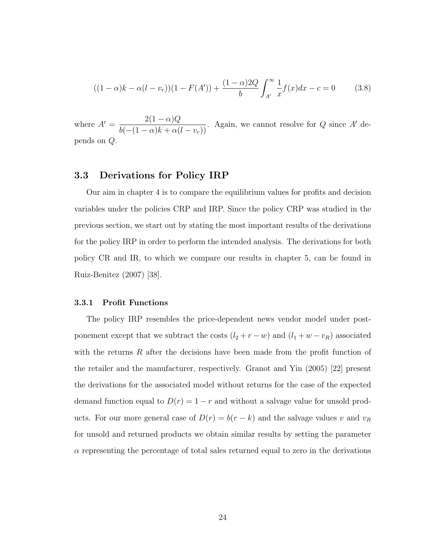$$
((1 - \alpha)k - \alpha(l - v_r))(1 - F(A')) + \frac{(1 - \alpha)2Q}{b} \int_{A'}^{\infty} \frac{1}{x} f(x) dx - c = 0 \qquad (3.8)
$$

where  $A' = \frac{2(1-\alpha)Q}{b(-(1-\alpha)k + \alpha(l-v_r))}$ . Again, we cannot resolve for Q since A' depends on Q.

### 3.3 Derivations for Policy IRP

Our aim in chapter 4 is to compare the equilibrium values for profits and decision variables under the policies CRP and IRP. Since the policy CRP was studied in the previous section, we start out by stating the most important results of the derivations for the policy IRP in order to perform the intended analysis. The derivations for both policy CR and IR, to which we compare our results in chapter 5, can be found in Ruiz-Benitez (2007) [38].

#### 3.3.1 Profit Functions

The policy IRP resembles the price-dependent news vendor model under postponement except that we subtract the costs  $(l_2 + r - w)$  and  $(l_1 + w - v_R)$  associated with the returns  $R$  after the decisions have been made from the profit function of the retailer and the manufacturer, respectively. Granot and Yin (2005) [22] present the derivations for the associated model without returns for the case of the expected demand function equal to  $D(r) = 1 - r$  and without a salvage value for unsold products. For our more general case of  $D(r) = b(r - k)$  and the salvage values v and  $v_R$ for unsold and returned products we obtain similar results by setting the parameter  $\alpha$  representing the percentage of total sales returned equal to zero in the derivations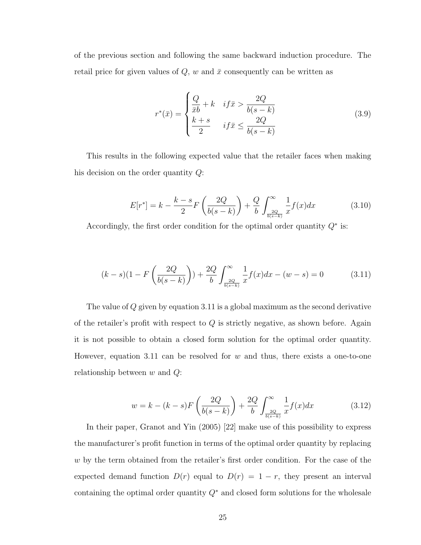of the previous section and following the same backward induction procedure. The retail price for given values of  $Q$ ,  $w$  and  $\bar{x}$  consequently can be written as

$$
r^*(\bar{x}) = \begin{cases} \frac{Q}{\bar{x}b} + k & if \bar{x} > \frac{2Q}{b(s-k)}\\ \frac{k+s}{2} & if \bar{x} \le \frac{2Q}{b(s-k)} \end{cases}
$$
(3.9)

This results in the following expected value that the retailer faces when making his decision on the order quantity Q:

$$
E[r^*] = k - \frac{k - s}{2} F\left(\frac{2Q}{b(s - k)}\right) + \frac{Q}{b} \int_{\frac{2Q}{b(s - k)}}^{\infty} \frac{1}{x} f(x) dx \tag{3.10}
$$

Accordingly, the first order condition for the optimal order quantity  $Q^*$  is:

$$
(k-s)(1 - F\left(\frac{2Q}{b(s-k)}\right)) + \frac{2Q}{b} \int_{\frac{2Q}{b(s-k)}}^{\infty} \frac{1}{x} f(x) dx - (w-s) = 0 \tag{3.11}
$$

The value of Q given by equation 3.11 is a global maximum as the second derivative of the retailer's profit with respect to  $Q$  is strictly negative, as shown before. Again it is not possible to obtain a closed form solution for the optimal order quantity. However, equation 3.11 can be resolved for  $w$  and thus, there exists a one-to-one relationship between  $w$  and  $Q$ :

$$
w = k - (k - s)F\left(\frac{2Q}{b(s - k)}\right) + \frac{2Q}{b} \int_{\frac{2Q}{b(s - k)}}^{\infty} \frac{1}{x} f(x) dx \tag{3.12}
$$

In their paper, Granot and Yin (2005) [22] make use of this possibility to express the manufacturer's profit function in terms of the optimal order quantity by replacing w by the term obtained from the retailer's first order condition. For the case of the expected demand function  $D(r)$  equal to  $D(r) = 1 - r$ , they present an interval containing the optimal order quantity  $Q^*$  and closed form solutions for the wholesale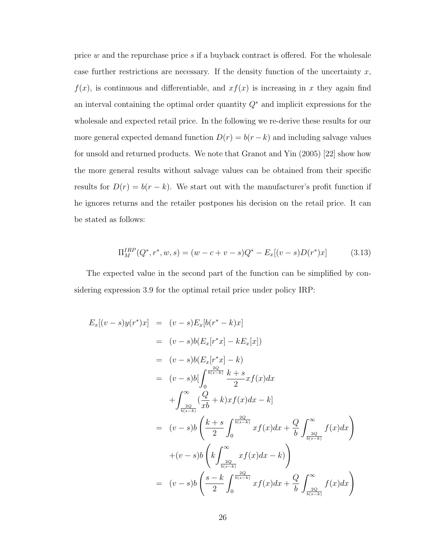price w and the repurchase price s if a buyback contract is offered. For the wholesale case further restrictions are necessary. If the density function of the uncertainty  $x$ ,  $f(x)$ , is continuous and differentiable, and  $xf(x)$  is increasing in x they again find an interval containing the optimal order quantity  $Q^*$  and implicit expressions for the wholesale and expected retail price. In the following we re-derive these results for our more general expected demand function  $D(r) = b(r - k)$  and including salvage values for unsold and returned products. We note that Granot and Yin (2005) [22] show how the more general results without salvage values can be obtained from their specific results for  $D(r) = b(r - k)$ . We start out with the manufacturer's profit function if he ignores returns and the retailer postpones his decision on the retail price. It can be stated as follows:

$$
\Pi_M^{IRP}(Q^*, r^*, w, s) = (w - c + v - s)Q^* - E_x[(v - s)D(r^*)x]
$$
(3.13)

The expected value in the second part of the function can be simplified by considering expression 3.9 for the optimal retail price under policy IRP:

$$
E_x[(v-s)y(r^*)x] = (v-s)E_x[b(r^*-k)x]
$$
  
\n
$$
= (v-s)b(E_x[r^*x] - kE_x[x])
$$
  
\n
$$
= (v-s)b(E_x[r^*x] - k)
$$
  
\n
$$
= (v-s)b\left[\int_0^{\frac{2Q}{b(s-k)}} \frac{k+s}{2}xf(x)dx + \int_{\frac{2Q}{b(s-k)}}^{\infty} \frac{Q}{xb} + k\right)xf(x)dx - k]
$$
  
\n
$$
= (v-s)b\left(\frac{k+s}{2}\int_0^{\frac{2Q}{b(s-k)}} xf(x)dx + \frac{Q}{b}\int_{\frac{2Q}{b(s-k)}}^{\infty} f(x)dx\right)
$$
  
\n
$$
+ (v-s)b\left(k\int_{\frac{2Q}{b(s-k)}}^{\infty} xf(x)dx - k\right)
$$
  
\n
$$
= (v-s)b\left(\frac{s-k}{2}\int_0^{\frac{2Q}{b(s-k)}} xf(x)dx + \frac{Q}{b}\int_{\frac{2Q}{b(s-k)}}^{\infty} f(x)dx\right)
$$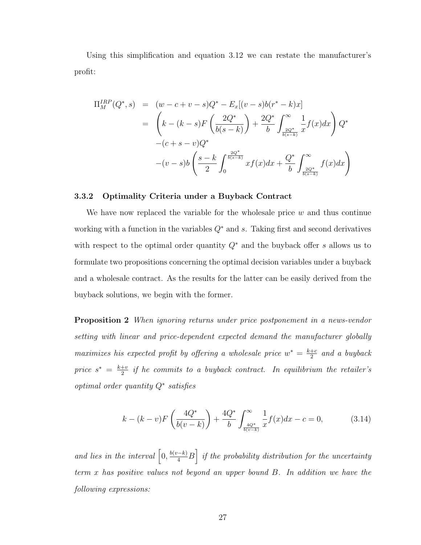Using this simplification and equation 3.12 we can restate the manufacturer's profit:

$$
\Pi_M^{IRP}(Q^*,s) = (w-c+v-s)Q^* - E_x[(v-s)b(r^*-k)x]
$$
  
=  $\left(k - (k-s)F\left(\frac{2Q^*}{b(s-k)}\right) + \frac{2Q^*}{b}\int_{\frac{2Q^*}{b(s-k)}}^{\infty} \frac{1}{x}f(x)dx\right)Q^*$   
-(c+s-v)Q^\*  
-(v-s)b $\left(\frac{s-k}{2}\int_0^{\frac{2Q^*}{b(s-k)}} xf(x)dx + \frac{Q^*}{b}\int_{\frac{2Q^*}{b(s-k)}}^{\infty} f(x)dx\right)$ 

#### 3.3.2 Optimality Criteria under a Buyback Contract

We have now replaced the variable for the wholesale price  $w$  and thus continue working with a function in the variables  $Q^*$  and s. Taking first and second derivatives with respect to the optimal order quantity  $Q^*$  and the buyback offer s allows us to formulate two propositions concerning the optimal decision variables under a buyback and a wholesale contract. As the results for the latter can be easily derived from the buyback solutions, we begin with the former.

Proposition 2 When ignoring returns under price postponement in a news-vendor setting with linear and price-dependent expected demand the manufacturer globally maximizes his expected profit by offering a wholesale price  $w^* = \frac{k+c}{2}$  $rac{+c}{2}$  and a buyback price  $s^* = \frac{k+v}{2}$  $\frac{2}{2}^u$  if he commits to a buyback contract. In equilibrium the retailer's optimal order quantity Q<sup>∗</sup> satisfies

$$
k - (k - v)F\left(\frac{4Q^*}{b(v - k)}\right) + \frac{4Q^*}{b} \int_{\frac{4Q^*}{b(v - k)}}^{\infty} \frac{1}{x} f(x) dx - c = 0,
$$
 (3.14)

and lies in the interval  $\left[0, \frac{b(v-k)}{4}B\right]$  if the probability distribution for the uncertainty term x has positive values not beyond an upper bound B. In addition we have the following expressions: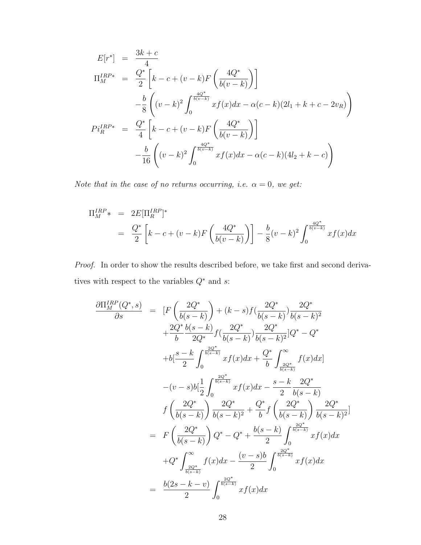$$
E[r^*] = \frac{3k + c}{4}
$$
  
\n
$$
\Pi_M^{IRP*} = \frac{Q^*}{2} \left[ k - c + (v - k)F \left( \frac{4Q^*}{b(v - k)} \right) \right]
$$
  
\n
$$
- \frac{b}{8} \left( (v - k)^2 \int_0^{\frac{4Q^*}{b(v - k)}} x f(x) dx - \alpha(c - k)(2l_1 + k + c - 2v_R) \right)
$$
  
\n
$$
Pi_R^{IRP*} = \frac{Q^*}{4} \left[ k - c + (v - k)F \left( \frac{4Q^*}{b(v - k)} \right) \right]
$$
  
\n
$$
- \frac{b}{16} \left( (v - k)^2 \int_0^{\frac{4Q^*}{b(v - k)}} x f(x) dx - \alpha(c - k)(4l_2 + k - c) \right)
$$

Note that in the case of no returns occurring, i.e.  $\alpha = 0$ , we get:

$$
\Pi_M^{IRP*} = 2E[\Pi_R^{IRP}]^*
$$
  
=  $\frac{Q^*}{2} \left[ k - c + (v - k)F\left(\frac{4Q^*}{b(v - k)}\right) \right] - \frac{b}{8}(v - k)^2 \int_0^{\frac{4Q^*}{b(v - k)}} x f(x) dx$ 

Proof. In order to show the results described before, we take first and second derivatives with respect to the variables  $Q^{\ast}$  and  $s\colon$ 

$$
\frac{\partial\Pi_{M}^{IRP}(Q^{*},s)}{\partial s} = [F\left(\frac{2Q^{*}}{b(s-k)}\right) + (k-s)f(\frac{2Q^{*}}{b(s-k)})\frac{2Q^{*}}{b(s-k)^{2}}
$$
\n
$$
+ \frac{2Q^{*}}{b}\frac{b(s-k)}{2Q^{*}}f(\frac{2Q^{*}}{b(s-k)})\frac{2Q^{*}}{2(b(s-k)^{2}}]Q^{*} - Q^{*}
$$
\n
$$
+ b[\frac{s-k}{2}\int_{0}^{\frac{2Q^{*}}{b(s-k)}}xf(x)dx + \frac{Q^{*}}{b}\int_{\frac{2Q^{*}}{b(s-k)}}^{\infty}f(x)dx]
$$
\n
$$
-(v-s)b[\frac{1}{2}\int_{0}^{\frac{2Q^{*}}{b(s-k)}}xf(x)dx - \frac{s-k}{2}\frac{2Q^{*}}{b(s-k)}
$$
\n
$$
f\left(\frac{2Q^{*}}{b(s-k)}\right)\frac{2Q^{*}}{b(s-k)^{2}} + \frac{Q^{*}}{b}f\left(\frac{2Q^{*}}{b(s-k)}\right)\frac{2Q^{*}}{b(s-k)^{2}}]
$$
\n
$$
= F\left(\frac{2Q^{*}}{b(s-k)}\right)Q^{*} - Q^{*} + \frac{b(s-k)}{2}\int_{0}^{\frac{2Q^{*}}{b(s-k)}}xf(x)dx
$$
\n
$$
+ Q^{*}\int_{\frac{2Q^{*}}{b(s-k)}}^{\infty}f(x)dx - \frac{(v-s)b}{2}\int_{0}^{\frac{2Q^{*}}{b(s-k)}}xf(x)dx
$$
\n
$$
= \frac{b(2s-k-v)}{2}\int_{0}^{\frac{2Q^{*}}{b(s-k)}}xf(x)dx
$$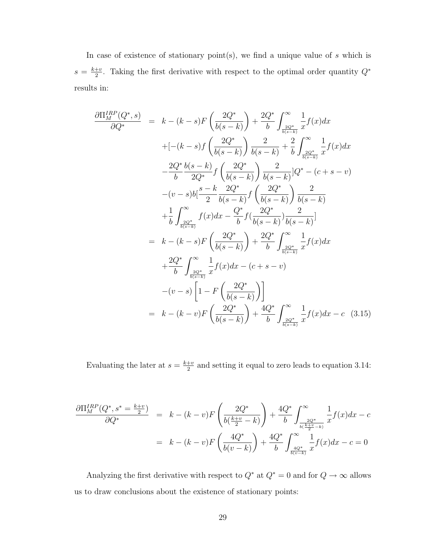In case of existence of stationary point $(s)$ , we find a unique value of s which is  $s = \frac{k+v}{2}$  $\frac{+v}{2}$ . Taking the first derivative with respect to the optimal order quantity  $Q^*$ results in:

$$
\frac{\partial\Pi_{M}^{RPP}(Q^{*},s)}{\partial Q^{*}} = k - (k-s)F\left(\frac{2Q^{*}}{b(s-k)}\right) + \frac{2Q^{*}}{b}\int_{\frac{2Q^{*}}{b(s-k)}}^{\infty} \frac{1}{x}f(x)dx
$$
  
+  $[-(k-s)f\left(\frac{2Q^{*}}{b(s-k)}\right)\frac{2}{b(s-k)} + \frac{2}{b}\int_{\frac{2Q^{*}}{b(s-k)}}^{\infty} \frac{1}{x}f(x)dx$   
 $-\frac{2Q^{*}}{b}\frac{b(s-k)}{2Q^{*}}f\left(\frac{2Q^{*}}{b(s-k)}\right)\frac{2}{b(s-k)}[Q^{*} - (c+s-v)$   
 $-(v-s)b\left[\frac{s-k}{2}\frac{2Q^{*}}{b(s-k)}\right] \frac{2Q^{*}}{b(s-k)}\right]Q^{*} - (c+s-v)$   
 $+\frac{1}{b}\int_{\frac{2Q^{*}}{b(s-k)}}^{\infty} f(x)dx - \frac{Q^{*}}{b}f\left(\frac{2Q^{*}}{b(s-k)}\right)\frac{2}{b(s-k)}$   
 $= k - (k-s)F\left(\frac{2Q^{*}}{b(s-k)}\right) + \frac{2Q^{*}}{b}\int_{\frac{2Q^{*}}{b(s-k)}}^{\infty} \frac{1}{x}f(x)dx$   
 $+\frac{2Q^{*}}{b}\int_{\frac{2Q^{*}}{b(s-k)}}^{\infty} \frac{1}{x}f(x)dx - (c+s-v)$   
 $-(v-s)\left[1 - F\left(\frac{2Q^{*}}{b(s-k)}\right)\right]$   
 $= k - (k-v)F\left(\frac{2Q^{*}}{b(s-k)}\right) + \frac{4Q^{*}}{b}\int_{\frac{2Q^{*}}{b(s-k)}}^{\infty} \frac{1}{x}f(x)dx - c$ (3.15)

Evaluating the later at  $s = \frac{k+v}{2}$  $\frac{+v}{2}$  and setting it equal to zero leads to equation 3.14:

$$
\frac{\partial \Pi_M^{IRP}(Q^*, s^* = \frac{k+v}{2})}{\partial Q^*} = k - (k-v)F\left(\frac{2Q^*}{b(\frac{k+v}{2} - k)}\right) + \frac{4Q^*}{b} \int_{\frac{2Q^*}{b(\frac{k+v}{2} - k)}}^{\infty} \frac{1}{x} f(x) dx - c
$$

$$
= k - (k-v)F\left(\frac{4Q^*}{b(v-k)}\right) + \frac{4Q^*}{b} \int_{\frac{4Q^*}{b(v-k)}}^{\infty} \frac{1}{x} f(x) dx - c = 0
$$

Analyzing the first derivative with respect to  $Q^*$  at  $Q^*=0$  and for  $Q\to\infty$  allows us to draw conclusions about the existence of stationary points: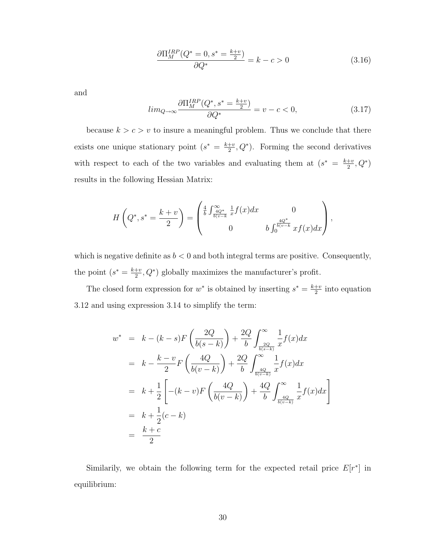$$
\frac{\partial \Pi_M^{IRP}(Q^* = 0, s^* = \frac{k+v}{2})}{\partial Q^*} = k - c > 0
$$
\n(3.16)

and

$$
lim_{Q \to \infty} \frac{\partial \Pi_M^{IRP}(Q^*, s^* = \frac{k+v}{2})}{\partial Q^*} = v - c < 0,\tag{3.17}
$$

because  $k > c > v$  to insure a meaningful problem. Thus we conclude that there exists one unique stationary point  $(s^* = \frac{k+v}{2})$  $\frac{1+v}{2}, Q^*$ ). Forming the second derivatives with respect to each of the two variables and evaluating them at  $(s^* = \frac{k+v}{2})$  $\frac{+v}{2}, Q^*$ results in the following Hessian Matrix:

$$
H\left(Q^*, s^* = \frac{k+v}{2}\right) = \begin{pmatrix} \frac{4}{b} \int_{\frac{4Q^*}{b(v-k)}}^{\infty} \frac{1}{x} f(x) dx & 0\\ 0 & b \int_{0}^{\frac{4Q^*}{b(v-k)}} x f(x) dx \end{pmatrix},
$$

which is negative definite as  $b < 0$  and both integral terms are positive. Consequently, the point  $(s^* = \frac{k+v}{2})$  $\frac{1+v}{2}$ ,  $Q^*$ ) globally maximizes the manufacturer's profit.

The closed form expression for  $w^*$  is obtained by inserting  $s^* = \frac{k+v}{2}$  $\frac{+v}{2}$  into equation 3.12 and using expression 3.14 to simplify the term:

$$
w^* = k - (k - s)F\left(\frac{2Q}{b(s - k)}\right) + \frac{2Q}{b} \int_{\frac{2Q}{b(s - k)}}^{\infty} \frac{1}{x} f(x) dx
$$
  
\n
$$
= k - \frac{k - v}{2} F\left(\frac{4Q}{b(v - k)}\right) + \frac{2Q}{b} \int_{\frac{4Q}{b(v - k)}}^{\infty} \frac{1}{x} f(x) dx
$$
  
\n
$$
= k + \frac{1}{2} \left[ -(k - v)F\left(\frac{4Q}{b(v - k)}\right) + \frac{4Q}{b} \int_{\frac{4Q}{b(v - k)}}^{\infty} \frac{1}{x} f(x) dx \right]
$$
  
\n
$$
= k + \frac{1}{2} (c - k)
$$
  
\n
$$
= \frac{k + c}{2}
$$

Similarily, we obtain the following term for the expected retail price  $E[r^*]$  in equilibrium: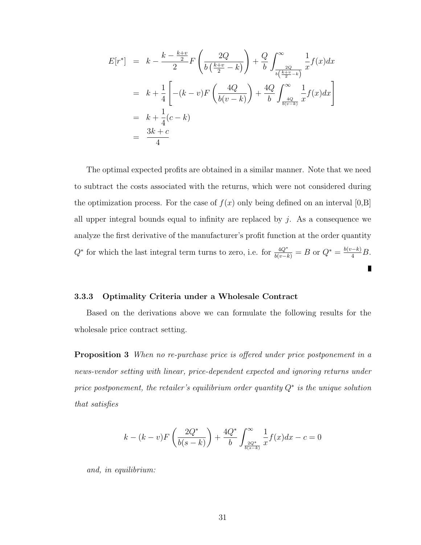$$
E[r^*] = k - \frac{k - \frac{k+v}{2}}{2} F\left(\frac{2Q}{b(\frac{k+v}{2} - k)}\right) + \frac{Q}{b} \int_{\frac{2Q}{b(\frac{k+v}{2} - k)}}^{\infty} \frac{1}{x} f(x) dx
$$
  

$$
= k + \frac{1}{4} \left[ -(k-v) F\left(\frac{4Q}{b(v-k)}\right) + \frac{4Q}{b} \int_{\frac{4Q}{b(v-k)}}^{\infty} \frac{1}{x} f(x) dx \right]
$$
  

$$
= k + \frac{1}{4} (c - k)
$$
  

$$
= \frac{3k+c}{4}
$$

The optimal expected profits are obtained in a similar manner. Note that we need to subtract the costs associated with the returns, which were not considered during the optimization process. For the case of  $f(x)$  only being defined on an interval [0,B] all upper integral bounds equal to infinity are replaced by  $j$ . As a consequence we analyze the first derivative of the manufacturer's profit function at the order quantity  $Q^*$  for which the last integral term turns to zero, i.e. for  $\frac{4Q^*}{b(v-k)} = B$  or  $Q^* = \frac{b(v-k)}{4}B$ .

#### 3.3.3 Optimality Criteria under a Wholesale Contract

Based on the derivations above we can formulate the following results for the wholesale price contract setting.

**Proposition 3** When no re-purchase price is offered under price postponement in a news-vendor setting with linear, price-dependent expected and ignoring returns under price postponement, the retailer's equilibrium order quantity  $Q^*$  is the unique solution that satisfies

$$
k - (k - v)F\left(\frac{2Q^*}{b(s - k)}\right) + \frac{4Q^*}{b} \int_{\frac{2Q^*}{b(s - k)}}^{\infty} \frac{1}{x} f(x) dx - c = 0
$$

and, in equilibrium: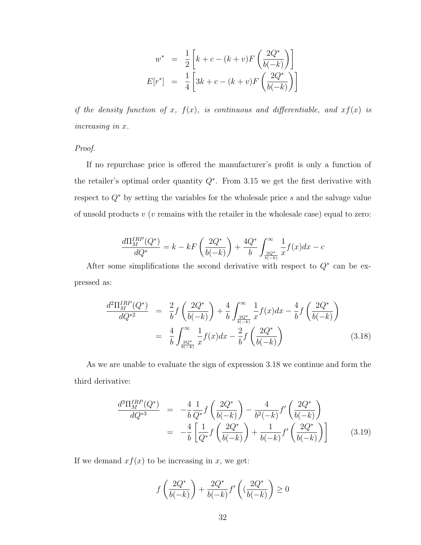$$
w^* = \frac{1}{2} \left[ k + c - (k + v) F\left(\frac{2Q^*}{b(-k)}\right) \right]
$$

$$
E[r^*] = \frac{1}{4} \left[ 3k + c - (k + v) F\left(\frac{2Q^*}{b(-k)}\right) \right]
$$

if the density function of x,  $f(x)$ , is continuous and differentiable, and  $xf(x)$  is increasing in x.

Proof.

If no repurchase price is offered the manufacturer's profit is only a function of the retailer's optimal order quantity  $Q^*$ . From 3.15 we get the first derivative with respect to  $Q^*$  by setting the variables for the wholesale price s and the salvage value of unsold products  $v(v)$  remains with the retailer in the wholesale case) equal to zero:

$$
\frac{d\Pi_{M}^{IRP}(Q^{*})}{dQ^{*}} = k - kF\left(\frac{2Q^{*}}{b(-k)}\right) + \frac{4Q^{*}}{b}\int_{\frac{2Q^{*}}{b(-k)}}^{\infty} \frac{1}{x}f(x)dx - c
$$

After some simplifications the second derivative with respect to  $Q^*$  can be expressed as:

$$
\frac{d^2\Pi_M^{IRP}(Q^*)}{dQ^{*2}} = \frac{2}{b} f\left(\frac{2Q^*}{b(-k)}\right) + \frac{4}{b} \int_{\frac{2Q^*}{b(-k)}}^{\infty} \frac{1}{x} f(x) dx - \frac{4}{b} f\left(\frac{2Q^*}{b(-k)}\right)
$$
\n
$$
= \frac{4}{b} \int_{\frac{2Q^*}{b(-k)}}^{\infty} \frac{1}{x} f(x) dx - \frac{2}{b} f\left(\frac{2Q^*}{b(-k)}\right) \tag{3.18}
$$

As we are unable to evaluate the sign of expression 3.18 we continue and form the third derivative:

$$
\frac{d^3\Pi_M^{IRP}(Q^*)}{dQ^{*3}} = -\frac{4}{b}\frac{1}{Q^*}f\left(\frac{2Q^*}{b(-k)}\right) - \frac{4}{b^2(-k)}f'\left(\frac{2Q^*}{b(-k)}\right)
$$
\n
$$
= -\frac{4}{b}\left[\frac{1}{Q^*}f\left(\frac{2Q^*}{b(-k)}\right) + \frac{1}{b(-k)}f'\left(\frac{2Q^*}{b(-k)}\right)\right] \tag{3.19}
$$

If we demand  $xf(x)$  to be increasing in x, we get:

$$
f\left(\frac{2Q^*}{b(-k)}\right) + \frac{2Q^*}{b(-k)}f'\left((\frac{2Q^*}{b(-k)}\right) \ge 0
$$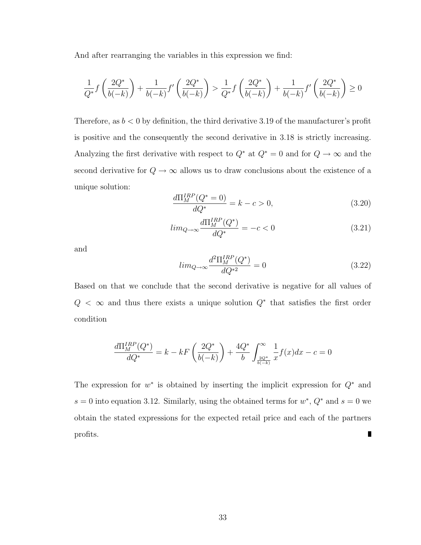And after rearranging the variables in this expression we find:

$$
\frac{1}{Q^*}f\left(\frac{2Q^*}{b(-k)}\right) + \frac{1}{b(-k)}f'\left(\frac{2Q^*}{b(-k)}\right) > \frac{1}{Q^*}f\left(\frac{2Q^*}{b(-k)}\right) + \frac{1}{b(-k)}f'\left(\frac{2Q^*}{b(-k)}\right) \ge 0
$$

Therefore, as  $b < 0$  by definition, the third derivative 3.19 of the manufacturer's profit is positive and the consequently the second derivative in 3.18 is strictly increasing. Analyzing the first derivative with respect to  $Q^*$  at  $Q^* = 0$  and for  $Q \to \infty$  and the second derivative for  $Q\to\infty$  allows us to draw conclusions about the existence of a unique solution:

$$
\frac{d\Pi_M^{IRP}(Q^* = 0)}{dQ^*} = k - c > 0,
$$
\n(3.20)

$$
lim_{Q \to \infty} \frac{d\Pi_M^{IRP}(Q^*)}{dQ^*} = -c < 0 \tag{3.21}
$$

and

$$
lim_{Q \to \infty} \frac{d^2 \Pi_M^{IRP}(Q^*)}{dQ^{*2}} = 0
$$
\n(3.22)

Based on that we conclude that the second derivative is negative for all values of  $Q < \infty$  and thus there exists a unique solution  $Q^*$  that satisfies the first order condition

$$
\frac{d\Pi_{M}^{IRP}(Q^{*})}{dQ^{*}} = k - kF\left(\frac{2Q^{*}}{b(-k)}\right) + \frac{4Q^{*}}{b}\int_{\frac{2Q^{*}}{b(-k)}}^{\infty} \frac{1}{x}f(x)dx - c = 0
$$

The expression for  $w^*$  is obtained by inserting the implicit expression for  $Q^*$  and  $s = 0$  into equation 3.12. Similarly, using the obtained terms for  $w^*$ ,  $Q^*$  and  $s = 0$  we obtain the stated expressions for the expected retail price and each of the partners profits. П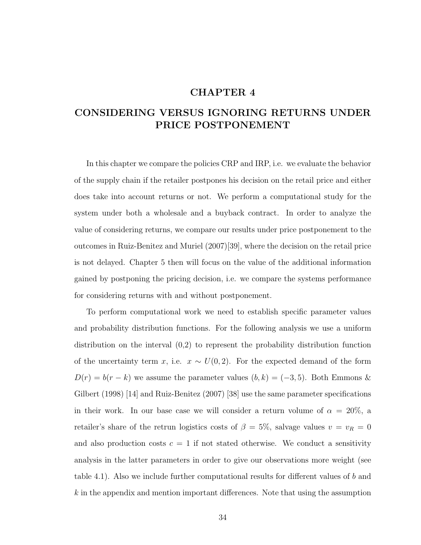## CHAPTER 4

# CONSIDERING VERSUS IGNORING RETURNS UNDER PRICE POSTPONEMENT

In this chapter we compare the policies CRP and IRP, i.e. we evaluate the behavior of the supply chain if the retailer postpones his decision on the retail price and either does take into account returns or not. We perform a computational study for the system under both a wholesale and a buyback contract. In order to analyze the value of considering returns, we compare our results under price postponement to the outcomes in Ruiz-Benitez and Muriel (2007)[39], where the decision on the retail price is not delayed. Chapter 5 then will focus on the value of the additional information gained by postponing the pricing decision, i.e. we compare the systems performance for considering returns with and without postponement.

To perform computational work we need to establish specific parameter values and probability distribution functions. For the following analysis we use a uniform distribution on the interval (0,2) to represent the probability distribution function of the uncertainty term x, i.e.  $x \sim U(0, 2)$ . For the expected demand of the form  $D(r) = b(r - k)$  we assume the parameter values  $(b, k) = (-3, 5)$ . Both Emmons & Gilbert (1998) [14] and Ruiz-Benitez (2007) [38] use the same parameter specifications in their work. In our base case we will consider a return volume of  $\alpha = 20\%$ , a retailer's share of the retrun logistics costs of  $\beta = 5\%$ , salvage values  $v = v_R = 0$ and also production costs  $c = 1$  if not stated otherwise. We conduct a sensitivity analysis in the latter parameters in order to give our observations more weight (see table 4.1). Also we include further computational results for different values of b and  $k$  in the appendix and mention important differences. Note that using the assumption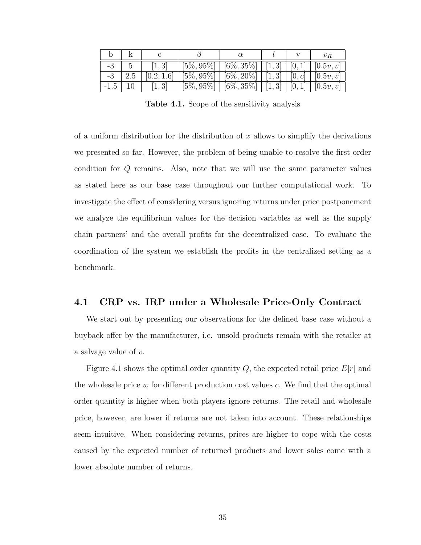|     |            | $[5\%,95\%]$  | $\boxed{6\%}, 35\% \mid [1,3] \mid [0,1] \mid [0.5v, v]$        |  |                   |
|-----|------------|---------------|-----------------------------------------------------------------|--|-------------------|
| 2.5 | [0.2, 1.6] | $[5\%, 95\%]$ | $[6\%, 20\%]$   $[1,3]$   $[0,c]$ '                             |  | [0.5v, v]         |
|     | [1, 3]     |               | $\boxed{5\%, 95\% \mid [6\%, 35\%] \mid [1,3] \mid [0,1] \mid}$ |  | $\vert$ [0.5v, v] |

Table 4.1. Scope of the sensitivity analysis

of a uniform distribution for the distribution of  $x$  allows to simplify the derivations we presented so far. However, the problem of being unable to resolve the first order condition for Q remains. Also, note that we will use the same parameter values as stated here as our base case throughout our further computational work. To investigate the effect of considering versus ignoring returns under price postponement we analyze the equilibrium values for the decision variables as well as the supply chain partners' and the overall profits for the decentralized case. To evaluate the coordination of the system we establish the profits in the centralized setting as a benchmark.

### 4.1 CRP vs. IRP under a Wholesale Price-Only Contract

We start out by presenting our observations for the defined base case without a buyback offer by the manufacturer, i.e. unsold products remain with the retailer at a salvage value of v.

Figure 4.1 shows the optimal order quantity  $Q$ , the expected retail price  $E[r]$  and the wholesale price  $w$  for different production cost values  $c$ . We find that the optimal order quantity is higher when both players ignore returns. The retail and wholesale price, however, are lower if returns are not taken into account. These relationships seem intuitive. When considering returns, prices are higher to cope with the costs caused by the expected number of returned products and lower sales come with a lower absolute number of returns.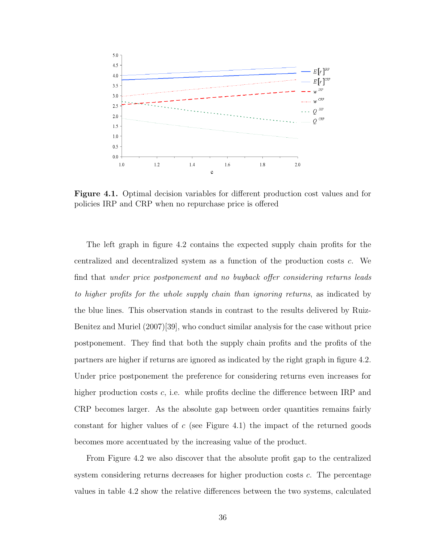

Figure 4.1. Optimal decision variables for different production cost values and for policies IRP and CRP when no repurchase price is offered

The left graph in figure 4.2 contains the expected supply chain profits for the centralized and decentralized system as a function of the production costs c. We find that under price postponement and no buyback offer considering returns leads to higher profits for the whole supply chain than ignoring returns, as indicated by the blue lines. This observation stands in contrast to the results delivered by Ruiz-Benitez and Muriel (2007)[39], who conduct similar analysis for the case without price postponement. They find that both the supply chain profits and the profits of the partners are higher if returns are ignored as indicated by the right graph in figure 4.2. Under price postponement the preference for considering returns even increases for higher production costs  $c$ , i.e. while profits decline the difference between IRP and CRP becomes larger. As the absolute gap between order quantities remains fairly constant for higher values of  $c$  (see Figure 4.1) the impact of the returned goods becomes more accentuated by the increasing value of the product.

From Figure 4.2 we also discover that the absolute profit gap to the centralized system considering returns decreases for higher production costs c. The percentage values in table 4.2 show the relative differences between the two systems, calculated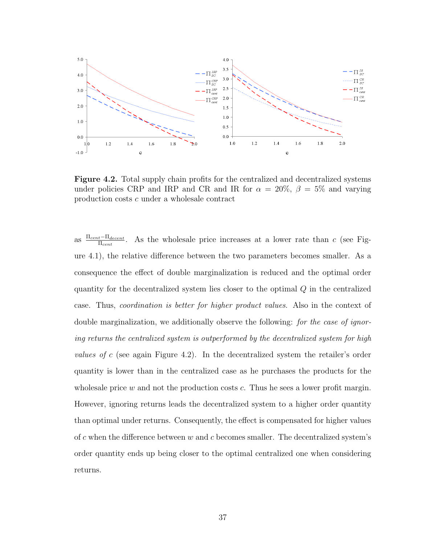

Figure 4.2. Total supply chain profits for the centralized and decentralized systems under policies CRP and IRP and CR and IR for  $\alpha = 20\%$ ,  $\beta = 5\%$  and varying production costs c under a wholesale contract

as  $\frac{\Pi_{cent} - \Pi_{decent}}{\Pi_{cent}}$ . As the wholesale price increases at a lower rate than c (see Figure 4.1), the relative difference between the two parameters becomes smaller. As a consequence the effect of double marginalization is reduced and the optimal order quantity for the decentralized system lies closer to the optimal Q in the centralized case. Thus, coordination is better for higher product values. Also in the context of double marginalization, we additionally observe the following: for the case of ignoring returns the centralized system is outperformed by the decentralized system for high values of c (see again Figure 4.2). In the decentralized system the retailer's order quantity is lower than in the centralized case as he purchases the products for the wholes all price w and not the production costs  $c$ . Thus he sees a lower profit margin. However, ignoring returns leads the decentralized system to a higher order quantity than optimal under returns. Consequently, the effect is compensated for higher values of c when the difference between  $w$  and  $c$  becomes smaller. The decentralized system's order quantity ends up being closer to the optimal centralized one when considering returns.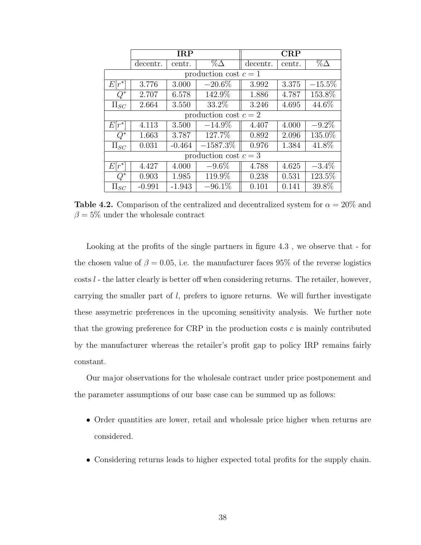|                  |                       | IRP      |                         | CRP      |        |            |  |  |  |
|------------------|-----------------------|----------|-------------------------|----------|--------|------------|--|--|--|
|                  | decentr.              | centr.   | $\% \Delta$             | decentr. | centr. | $\%\Delta$ |  |  |  |
|                  | production cost $c=1$ |          |                         |          |        |            |  |  |  |
| $E[r^*]$         | 3.776                 | 3.000    | $-20.6\%$               | 3.992    | 3.375  | $-15.5\%$  |  |  |  |
| $Q^*$            | 2.707                 | 6.578    | 142.9%                  | 1.886    | 4.787  | 153.8%     |  |  |  |
| $\Pi_{SC}$       | 2.664                 | 3.550    | 33.2%                   | 3.246    | 4.695  | 44.6%      |  |  |  |
|                  |                       |          | production cost $c=2$   |          |        |            |  |  |  |
| $E[r^*]$         | 4.113                 | 3.500    | $-14.9\%$               | 4.407    | 4.000  | $-9.2\%$   |  |  |  |
| $\overline{Q^*}$ | 1.663                 | 3.787    | 127.7%                  | 0.892    | 2.096  | 135.0%     |  |  |  |
| $\Pi_{SC}$       | 0.031                 | $-0.464$ | $-1587.3\%$             | 0.976    | 1.384  | 41.8%      |  |  |  |
|                  |                       |          | production cost $c = 3$ |          |        |            |  |  |  |
| $E[r^*]$         | 4.427                 | 4.000    | $-9.6\%$                | 4.788    | 4.625  | $-3.4\%$   |  |  |  |
| $Q^*$            | 0.903                 | 1.985    | 119.9%                  | 0.238    | 0.531  | 123.5%     |  |  |  |
| $\Pi_{SC}$       | $-0.991$              | $-1.943$ | $-96.1\%$               | 0.101    | 0.141  | 39.8%      |  |  |  |

**Table 4.2.** Comparison of the centralized and decentralized system for  $\alpha = 20\%$  and  $\beta = 5\%$  under the wholesale contract

Looking at the profits of the single partners in figure 4.3 , we observe that - for the chosen value of  $\beta = 0.05$ , i.e. the manufacturer faces 95% of the reverse logistics  $\cos\theta$  - the latter clearly is better off when considering returns. The retailer, however, carrying the smaller part of l, prefers to ignore returns. We will further investigate these assymetric preferences in the upcoming sensitivity analysis. We further note that the growing preference for CRP in the production costs  $c$  is mainly contributed by the manufacturer whereas the retailer's profit gap to policy IRP remains fairly constant.

Our major observations for the wholesale contract under price postponement and the parameter assumptions of our base case can be summed up as follows:

- Order quantities are lower, retail and wholesale price higher when returns are considered.
- Considering returns leads to higher expected total profits for the supply chain.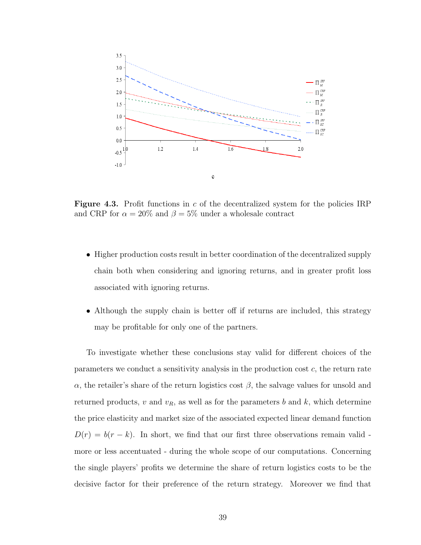

**Figure 4.3.** Profit functions in  $c$  of the decentralized system for the policies IRP and CRP for  $\alpha = 20\%$  and  $\beta = 5\%$  under a wholesale contract

- Higher production costs result in better coordination of the decentralized supply chain both when considering and ignoring returns, and in greater profit loss associated with ignoring returns.
- Although the supply chain is better off if returns are included, this strategy may be profitable for only one of the partners.

To investigate whether these conclusions stay valid for different choices of the parameters we conduct a sensitivity analysis in the production cost  $c$ , the return rate α, the retailer's share of the return logistics cost  $β$ , the salvage values for unsold and returned products, v and  $v_R$ , as well as for the parameters b and k, which determine the price elasticity and market size of the associated expected linear demand function  $D(r) = b(r - k)$ . In short, we find that our first three observations remain valid more or less accentuated - during the whole scope of our computations. Concerning the single players' profits we determine the share of return logistics costs to be the decisive factor for their preference of the return strategy. Moreover we find that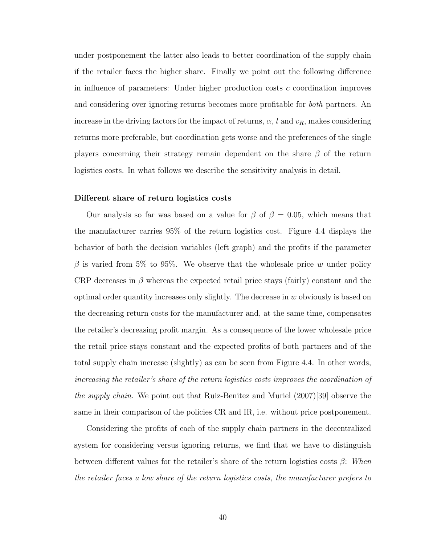under postponement the latter also leads to better coordination of the supply chain if the retailer faces the higher share. Finally we point out the following difference in influence of parameters: Under higher production costs  $c$  coordination improves and considering over ignoring returns becomes more profitable for both partners. An increase in the driving factors for the impact of returns,  $\alpha$ , l and  $v_R$ , makes considering returns more preferable, but coordination gets worse and the preferences of the single players concerning their strategy remain dependent on the share  $\beta$  of the return logistics costs. In what follows we describe the sensitivity analysis in detail.

#### Different share of return logistics costs

Our analysis so far was based on a value for  $\beta$  of  $\beta = 0.05$ , which means that the manufacturer carries 95% of the return logistics cost. Figure 4.4 displays the behavior of both the decision variables (left graph) and the profits if the parameter  $\beta$  is varied from 5% to 95%. We observe that the wholesale price w under policy CRP decreases in  $\beta$  whereas the expected retail price stays (fairly) constant and the optimal order quantity increases only slightly. The decrease in  $w$  obviously is based on the decreasing return costs for the manufacturer and, at the same time, compensates the retailer's decreasing profit margin. As a consequence of the lower wholesale price the retail price stays constant and the expected profits of both partners and of the total supply chain increase (slightly) as can be seen from Figure 4.4. In other words, increasing the retailer's share of the return logistics costs improves the coordination of the supply chain. We point out that Ruiz-Benitez and Muriel (2007)[39] observe the same in their comparison of the policies CR and IR, i.e. without price postponement.

Considering the profits of each of the supply chain partners in the decentralized system for considering versus ignoring returns, we find that we have to distinguish between different values for the retailer's share of the return logistics costs  $\beta$ : When the retailer faces a low share of the return logistics costs, the manufacturer prefers to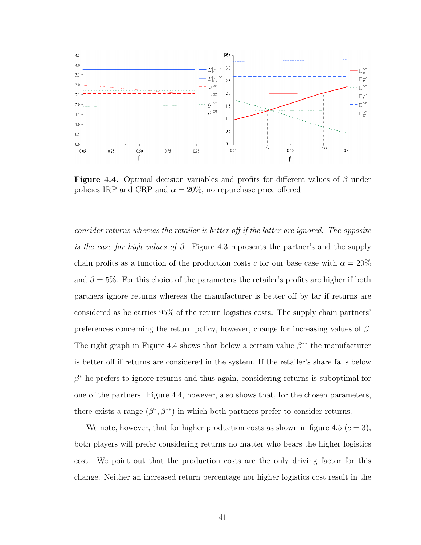

**Figure 4.4.** Optimal decision variables and profits for different values of  $\beta$  under policies IRP and CRP and  $\alpha = 20\%$ , no repurchase price offered

consider returns whereas the retailer is better off if the latter are ignored. The opposite is the case for high values of  $\beta$ . Figure 4.3 represents the partner's and the supply chain profits as a function of the production costs c for our base case with  $\alpha = 20\%$ and  $\beta = 5\%$ . For this choice of the parameters the retailer's profits are higher if both partners ignore returns whereas the manufacturer is better off by far if returns are considered as he carries 95% of the return logistics costs. The supply chain partners' preferences concerning the return policy, however, change for increasing values of  $\beta$ . The right graph in Figure 4.4 shows that below a certain value  $\beta^{**}$  the manufacturer is better off if returns are considered in the system. If the retailer's share falls below  $\beta^*$  he prefers to ignore returns and thus again, considering returns is suboptimal for one of the partners. Figure 4.4, however, also shows that, for the chosen parameters, there exists a range  $(\beta^*, \beta^{**})$  in which both partners prefer to consider returns.

We note, however, that for higher production costs as shown in figure 4.5 ( $c = 3$ ), both players will prefer considering returns no matter who bears the higher logistics cost. We point out that the production costs are the only driving factor for this change. Neither an increased return percentage nor higher logistics cost result in the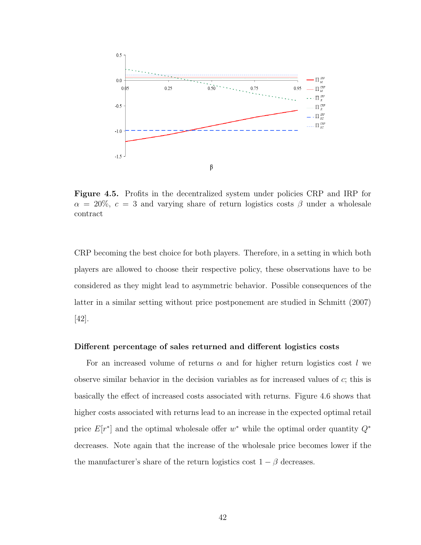

Figure 4.5. Profits in the decentralized system under policies CRP and IRP for  $\alpha = 20\%$ ,  $c = 3$  and varying share of return logistics costs  $\beta$  under a wholesale contract

CRP becoming the best choice for both players. Therefore, in a setting in which both players are allowed to choose their respective policy, these observations have to be considered as they might lead to asymmetric behavior. Possible consequences of the latter in a similar setting without price postponement are studied in Schmitt (2007) [42].

#### Different percentage of sales returned and different logistics costs

For an increased volume of returns  $\alpha$  and for higher return logistics cost l we observe similar behavior in the decision variables as for increased values of c; this is basically the effect of increased costs associated with returns. Figure 4.6 shows that higher costs associated with returns lead to an increase in the expected optimal retail price  $E[r^*]$  and the optimal wholesale offer w<sup>\*</sup> while the optimal order quantity  $Q^*$ decreases. Note again that the increase of the wholesale price becomes lower if the the manufacturer's share of the return logistics cost  $1 - \beta$  decreases.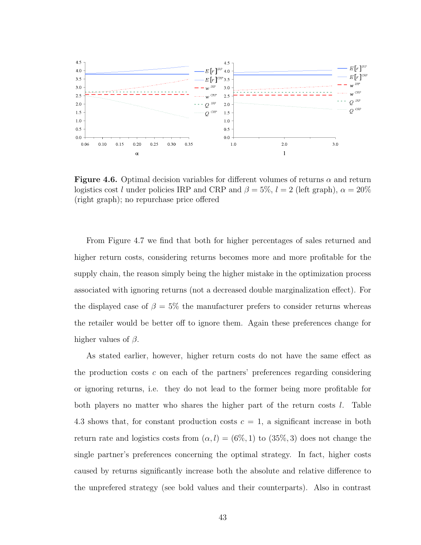

**Figure 4.6.** Optimal decision variables for different volumes of returns  $\alpha$  and return logistics cost l under policies IRP and CRP and  $\beta = 5\%$ ,  $l = 2$  (left graph),  $\alpha = 20\%$ (right graph); no repurchase price offered

From Figure 4.7 we find that both for higher percentages of sales returned and higher return costs, considering returns becomes more and more profitable for the supply chain, the reason simply being the higher mistake in the optimization process associated with ignoring returns (not a decreased double marginalization effect). For the displayed case of  $\beta = 5\%$  the manufacturer prefers to consider returns whereas the retailer would be better off to ignore them. Again these preferences change for higher values of  $\beta$ .

As stated earlier, however, higher return costs do not have the same effect as the production costs  $c$  on each of the partners' preferences regarding considering or ignoring returns, i.e. they do not lead to the former being more profitable for both players no matter who shares the higher part of the return costs l. Table 4.3 shows that, for constant production costs  $c = 1$ , a significant increase in both return rate and logistics costs from  $(\alpha, l) = (6\%, 1)$  to  $(35\%, 3)$  does not change the single partner's preferences concerning the optimal strategy. In fact, higher costs caused by returns significantly increase both the absolute and relative difference to the unprefered strategy (see bold values and their counterparts). Also in contrast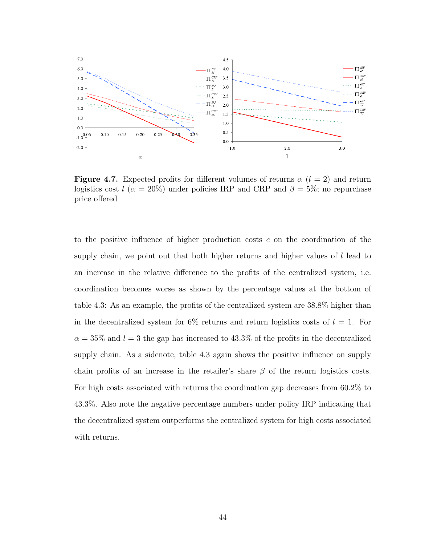

**Figure 4.7.** Expected profits for different volumes of returns  $\alpha$  ( $l = 2$ ) and return logistics cost l ( $\alpha = 20\%$ ) under policies IRP and CRP and  $\beta = 5\%$ ; no repurchase price offered

to the positive influence of higher production costs  $c$  on the coordination of the supply chain, we point out that both higher returns and higher values of  $l$  lead to an increase in the relative difference to the profits of the centralized system, i.e. coordination becomes worse as shown by the percentage values at the bottom of table 4.3: As an example, the profits of the centralized system are 38.8% higher than in the decentralized system for  $6\%$  returns and return logistics costs of  $l = 1$ . For  $\alpha = 35\%$  and  $l = 3$  the gap has increased to 43.3% of the profits in the decentralized supply chain. As a sidenote, table 4.3 again shows the positive influence on supply chain profits of an increase in the retailer's share  $\beta$  of the return logistics costs. For high costs associated with returns the coordination gap decreases from 60.2% to 43.3%. Also note the negative percentage numbers under policy IRP indicating that the decentralized system outperforms the centralized system for high costs associated with returns.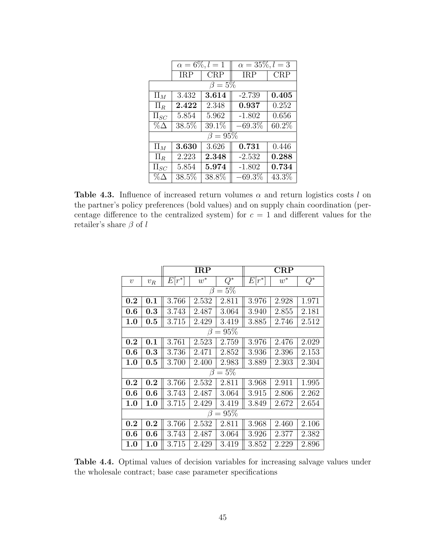|             | $\alpha = 6\%, l = 1$ |              | $\alpha = 35\%, l = 3$ |          |  |  |  |  |
|-------------|-----------------------|--------------|------------------------|----------|--|--|--|--|
|             | <b>IRP</b>            | $\rm CRP$    | IRP                    | CRP      |  |  |  |  |
| $\beta=5\%$ |                       |              |                        |          |  |  |  |  |
| $\Pi_M$     | 3.432                 | 3.614        | $-2.739$               | 0.405    |  |  |  |  |
| $\Pi_R$     | 2.422                 | 2.348        | 0.937                  | 0.252    |  |  |  |  |
| $\Pi_{SC}$  | 5.854                 | 5.962        | $-1.802$               | 0.656    |  |  |  |  |
| $\%\Delta$  | 38.5%                 | $39.1\%$     | $-69.3\%$              | $60.2\%$ |  |  |  |  |
|             |                       | $\beta=95\%$ |                        |          |  |  |  |  |
| $\Pi_M$     | 3.630                 | 3.626        | 0.731                  | 0.446    |  |  |  |  |
| $\Pi_R$     | 2.223                 | 2.348        | $-2.532$               | 0.288    |  |  |  |  |
| $\Pi_{SC}$  | 5.854                 | 5.974        | $-1.802$               | 0.734    |  |  |  |  |
| $\%\Delta$  | 38.5%                 | 38.8%        | $-69.3\%$              | 43.3%    |  |  |  |  |

**Table 4.3.** Influence of increased return volumes  $\alpha$  and return logistics costs l on the partner's policy preferences (bold values) and on supply chain coordination (percentage difference to the centralized system) for  $c = 1$  and different values for the retailer's share $\beta$  of  $l$ 

|            |                  |          | $_{\rm IRP}$ |                | CRP      |       |       |  |  |
|------------|------------------|----------|--------------|----------------|----------|-------|-------|--|--|
| $\upsilon$ | $v_{\cal R}$     | $E[r^*]$ | $w^*$        | $\bar{Q^*}$    | $E[r^*]$ | $w^*$ | $Q^*$ |  |  |
|            | $=5%$<br>$\beta$ |          |              |                |          |       |       |  |  |
| 0.2        | 0.1              | 3.766    | 2.532        | 2.811          | 3.976    | 2.928 | 1.971 |  |  |
| $0.6\,$    | 0.3              | 3.743    | 2.487        | 3.064          | 3.940    | 2.855 | 2.181 |  |  |
| 1.0        | 0.5              | 3.715    | 2.429        | 3.419          | 3.885    | 2.746 | 2.512 |  |  |
|            |                  |          |              | $\beta=95\%$   |          |       |       |  |  |
| 0.2        | 0.1              | 3.761    | 2.523        | 2.759          | 3.976    | 2.476 | 2.029 |  |  |
| 0.6        | 0.3              | 3.736    | 2.471        | 2.852          | 3.936    | 2.396 | 2.153 |  |  |
| $1.0\,$    | $\rm 0.5$        | 3.700    | 2.400        | 2.983          | 3.889    | 2.303 | 2.304 |  |  |
|            |                  |          | β            | $=5\%$         |          |       |       |  |  |
| 0.2        | 0.2              | 3.766    | 2.532        | 2.811          | 3.968    | 2.911 | 1.995 |  |  |
| 0.6        | 0.6              | 3.743    | 2.487        | 3.064          | 3.915    | 2.806 | 2.262 |  |  |
| 1.0        | 1.0              | 3.715    | 2.429        | 3.419          | 3.849    | 2.672 | 2.654 |  |  |
|            |                  |          |              | $\beta = 95\%$ |          |       |       |  |  |
| 0.2        | 0.2              | 3.766    | 2.532        | 2.811          | 3.968    | 2.460 | 2.106 |  |  |
| $0.6\,$    | 0.6              | 3.743    | 2.487        | 3.064          | 3.926    | 2.377 | 2.382 |  |  |
| 1.0        | 1.0              | 3.715    | 2.429        | 3.419          | 3.852    | 2.229 | 2.896 |  |  |

Table 4.4. Optimal values of decision variables for increasing salvage values under the wholesale contract; base case parameter specifications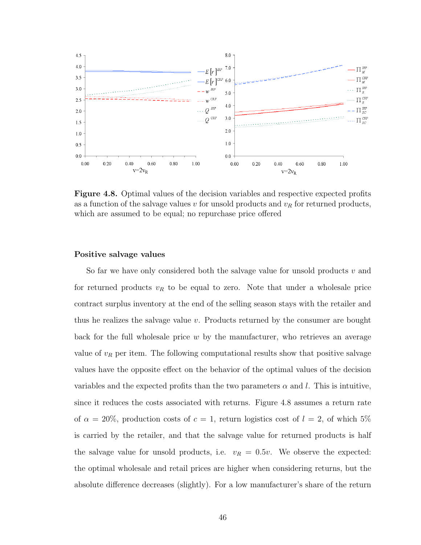

Figure 4.8. Optimal values of the decision variables and respective expected profits as a function of the salvage values  $v$  for unsold products and  $v_R$  for returned products, which are assumed to be equal; no repurchase price offered

#### Positive salvage values

So far we have only considered both the salvage value for unsold products v and for returned products  $v_R$  to be equal to zero. Note that under a wholesale price contract surplus inventory at the end of the selling season stays with the retailer and thus he realizes the salvage value  $v$ . Products returned by the consumer are bought back for the full wholesale price  $w$  by the manufacturer, who retrieves an average value of  $v_R$  per item. The following computational results show that positive salvage values have the opposite effect on the behavior of the optimal values of the decision variables and the expected profits than the two parameters  $\alpha$  and l. This is intuitive, since it reduces the costs associated with returns. Figure 4.8 assumes a return rate of  $\alpha = 20\%$ , production costs of  $c = 1$ , return logistics cost of  $l = 2$ , of which 5% is carried by the retailer, and that the salvage value for returned products is half the salvage value for unsold products, i.e.  $v_R = 0.5v$ . We observe the expected: the optimal wholesale and retail prices are higher when considering returns, but the absolute difference decreases (slightly). For a low manufacturer's share of the return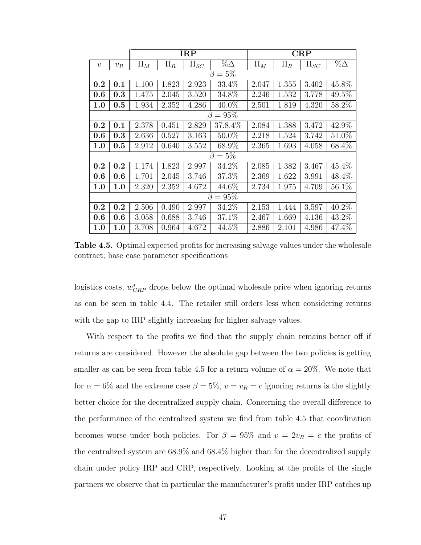|                  |             |         |         | <b>IRP</b> |                | CRP     |         |            |            |  |
|------------------|-------------|---------|---------|------------|----------------|---------|---------|------------|------------|--|
| $\boldsymbol{v}$ | $v_R$       | $\Pi_M$ | $\Pi_R$ | $\Pi_{SC}$ | $\%\Delta$     | $\Pi_M$ | $\Pi_R$ | $\Pi_{SC}$ | $\%\Delta$ |  |
|                  | $\beta=5\%$ |         |         |            |                |         |         |            |            |  |
| 0.2              | 0.1         | 1.100   | 1.823   | 2.923      | 33.4%          | 2.047   | 1.355   | 3.402      | 45.8%      |  |
| 0.6              | 0.3         | 1.475   | 2.045   | 3.520      | 34.8%          | 2.246   | 1.532   | 3.778      | 49.5%      |  |
| 1.0              | $0.5\,$     | 1.934   | 2.352   | 4.286      | $40.0\%$       | 2.501   | 1.819   | 4.320      | 58.2%      |  |
|                  |             |         |         |            | $\beta = 95\%$ |         |         |            |            |  |
| 0.2              | 0.1         | 2.378   | 0.451   | 2.829      | 37.8.4\%       | 2.084   | 1.388   | 3.472      | 42.9%      |  |
| 0.6              | 0.3         | 2.636   | 0.527   | 3.163      | $50.0\%$       | 2.218   | 1.524   | 3.742      | 51.0%      |  |
| 1.0              | 0.5         | 2.912   | 0.640   | 3.552      | 68.9%          | 2.365   | 1.693   | 4.058      | 68.4%      |  |
|                  |             |         |         |            | $\beta=5\%$    |         |         |            |            |  |
| 0.2              | 0.2         | 1.174   | 1.823   | 2.997      | 34.2%          | 2.085   | 1.382   | 3.467      | 45.4%      |  |
| 0.6              | 0.6         | 1.701   | 2.045   | 3.746      | 37.3%          | 2.369   | 1.622   | 3.991      | 48.4%      |  |
| 1.0              | 1.0         | 2.320   | 2.352   | 4.672      | 44.6%          | 2.734   | 1.975   | 4.709      | $56.1\%$   |  |
|                  |             |         |         |            | $\beta = 95\%$ |         |         |            |            |  |
| 0.2              | 0.2         | 2.506   | 0.490   | 2.997      | 34.2%          | 2.153   | 1.444   | 3.597      | 40.2%      |  |
| 0.6              | 0.6         | 3.058   | 0.688   | 3.746      | 37.1%          | 2.467   | 1.669   | 4.136      | 43.2%      |  |
| 1.0              | 1.0         | 3.708   | 0.964   | 4.672      | $44.5\%$       | 2.886   | 2.101   | 4.986      | 47.4%      |  |

Table 4.5. Optimal expected profits for increasing salvage values under the wholesale contract; base case parameter specifications

logistics costs,  $w_{CRP}^*$  drops below the optimal wholesale price when ignoring returns as can be seen in table 4.4. The retailer still orders less when considering returns with the gap to IRP slightly increasing for higher salvage values.

With respect to the profits we find that the supply chain remains better off if returns are considered. However the absolute gap between the two policies is getting smaller as can be seen from table 4.5 for a return volume of  $\alpha = 20\%$ . We note that for  $\alpha = 6\%$  and the extreme case  $\beta = 5\%, v = v_R = c$  ignoring returns is the slightly better choice for the decentralized supply chain. Concerning the overall difference to the performance of the centralized system we find from table 4.5 that coordination becomes worse under both policies. For  $\beta = 95\%$  and  $v = 2v_R = c$  the profits of the centralized system are 68.9% and 68.4% higher than for the decentralized supply chain under policy IRP and CRP, respectively. Looking at the profits of the single partners we observe that in particular the manufacturer's profit under IRP catches up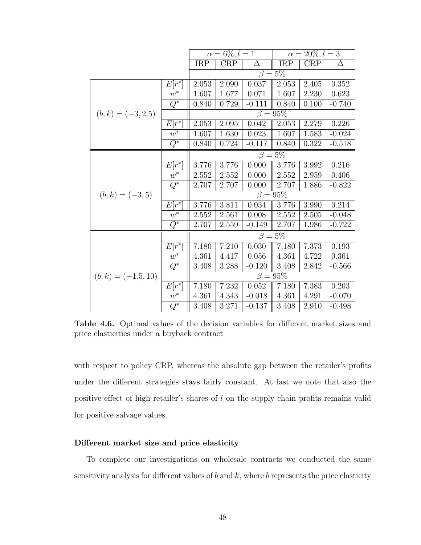|                       |                     |            | $\alpha = 6\%, l = 1$ |          | $\alpha = 20\%, l = 3$ |       |          |
|-----------------------|---------------------|------------|-----------------------|----------|------------------------|-------|----------|
|                       |                     | <b>IRP</b> | CRP                   | Δ        | <b>IRP</b>             | CRP   | Δ        |
|                       |                     |            |                       |          | $\beta = 5\%$          |       |          |
|                       | $E[r^*]$            | 2.053      | 2.090                 | 0.037    | 2.053                  | 2.405 | 0.352    |
|                       | $w^*$               | 1.607      | 1.677                 | 0.071    | 1.607                  | 2.230 | 0.623    |
|                       | $\overline{Q^*}$    | 0.840      | 0.729                 | $-0.111$ | 0.840                  | 0.100 | $-0.740$ |
| $(b, k) = (-3, 2.5)$  |                     |            |                       |          | $\beta = 95\%$         |       |          |
|                       | $E[r^*]$            | 2.053      | 2.095                 | 0.042    | 2.053                  | 2.279 | 0.226    |
|                       | $w^*$               | 1.607      | 1.630                 | 0.023    | 1.607                  | 1.583 | $-0.024$ |
|                       | $\overline{Q^*}$    | 0.840      | 0.724                 | $-0.117$ | 0.840                  | 0.322 | $-0.518$ |
|                       |                     |            | $\beta = 5\%$         |          |                        |       |          |
|                       | $E[r^*]$            | 3.776      | 3.776                 | 0.000    | 3.776                  | 3.992 | 0.216    |
|                       | $w^*$               | 2.552      | 2.552                 | 0.000    | 2.552                  | 2.959 | 0.406    |
|                       | $\overline{Q^*}$    | 2.707      | 2.707                 | 0.000    | 2.707                  | 1.886 | $-0.822$ |
| $(b,k) = (-3,5)$      |                     |            |                       |          | $\beta = 95\%$         |       |          |
|                       | $E[\overline{r^*}]$ | 3.776      | 3.811                 | 0.034    | 3.776                  | 3.990 | 0.214    |
|                       | $w^*$               | 2.552      | 2.561                 | 0.008    | 2.552                  | 2.505 | $-0.048$ |
|                       | $\overline{Q^*}$    | 2.707      | 2.559                 | $-0.149$ | 2.707                  | 1.986 | $-0.722$ |
|                       |                     |            |                       |          | $\beta = 5\%$          |       |          |
|                       | $E[r^*]$            | 7.180      | 7.210                 | 0.030    | 7.180                  | 7.373 | 0.193    |
|                       | $\overline{w^*}$    | 4.361      | 4.417                 | 0.056    | 4.361                  | 4.722 | 0.361    |
|                       | $\overline{Q^*}$    | 3.408      | 3.288                 | $-0.120$ | 3.408                  | 2.842 | $-0.566$ |
| $(b, k) = (-1.5, 10)$ |                     |            |                       |          | $\beta = 95\%$         |       |          |
|                       | $E[\overline{r^*}]$ | 7.180      | 7.232                 | 0.052    | 7.180                  | 7.383 | 0.203    |
|                       | $w^*$               | 4.361      | 4.343                 | $-0.018$ | 4.361                  | 4.291 | $-0.070$ |
|                       | $\overline{Q^*}$    | 3.408      | 3.271                 | $-0.137$ | 3.408                  | 2.910 | $-0.498$ |

Table 4.6. Optimal values of the decision variables for different market sizes and price elasticities under a buyback contract

with respect to policy CRP, whereas the absolute gap between the retailer's profits under the different strategies stays fairly constant. At last we note that also the positive effect of high retailer's shares of l on the supply chain profits remains valid for positive salvage values.

#### Different market size and price elasticity

To complete our investigations on wholesale contracts we conducted the same sensitivity analysis for different values of  $b$  and  $k$ , where  $b$  represents the price elasticity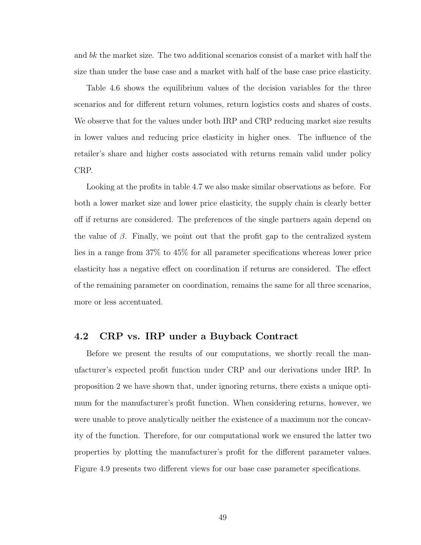and bk the market size. The two additional scenarios consist of a market with half the size than under the base case and a market with half of the base case price elasticity.

Table 4.6 shows the equilibrium values of the decision variables for the three scenarios and for different return volumes, return logistics costs and shares of costs. We observe that for the values under both IRP and CRP reducing market size results in lower values and reducing price elasticity in higher ones. The influence of the retailer's share and higher costs associated with returns remain valid under policy CRP.

Looking at the profits in table 4.7 we also make similar observations as before. For both a lower market size and lower price elasticity, the supply chain is clearly better off if returns are considered. The preferences of the single partners again depend on the value of  $\beta$ . Finally, we point out that the profit gap to the centralized system lies in a range from 37% to 45% for all parameter specifications whereas lower price elasticity has a negative effect on coordination if returns are considered. The effect of the remaining parameter on coordination, remains the same for all three scenarios, more or less accentuated.

## 4.2 CRP vs. IRP under a Buyback Contract

Before we present the results of our computations, we shortly recall the manufacturer's expected profit function under CRP and our derivations under IRP. In proposition 2 we have shown that, under ignoring returns, there exists a unique optimum for the manufacturer's profit function. When considering returns, however, we were unable to prove analytically neither the existence of a maximum nor the concavity of the function. Therefore, for our computational work we ensured the latter two properties by plotting the manufacturer's profit for the different parameter values. Figure 4.9 presents two different views for our base case parameter specifications.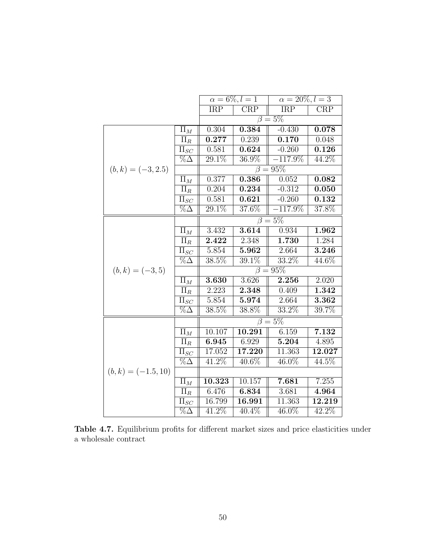|                       |                                  | $\alpha = 6\%, l = 1$   |                     | $\alpha = 20\%, l = 3$    |                         |
|-----------------------|----------------------------------|-------------------------|---------------------|---------------------------|-------------------------|
|                       |                                  | $\overline{\text{IRP}}$ | CRP                 | $\overline{\text{IRP}}$   | $\overline{\text{CRP}}$ |
|                       |                                  |                         |                     | $\overline{\beta} = 5\%$  |                         |
|                       | $\overline{\Pi}_M$               | 0.304                   | 0.384               | $-0.430$                  | 0.078                   |
|                       | $\Pi_R$                          | 0.277                   | 0.239               | 0.170                     | 0.048                   |
|                       | $\overline{\Pi}_{SC}$            | 0.581                   | 0.624               | $-0.260$                  | 0.126                   |
|                       | $\overline{\% \Delta}$           | 29.1%                   | $36.9\%$            | $-117.9\%$                | 44.2%                   |
| $(b, k) = (-3, 2.5)$  |                                  |                         |                     | $\overline{\beta} = 95\%$ |                         |
|                       | $\Pi_M$                          | 0.377                   | 0.386               | 0.052                     | 0.082                   |
|                       | $\Pi_R$                          | 0.204                   | 0.234               | $-0.312$                  | 0.050                   |
|                       | $\Pi_{SC}$                       | 0.581                   | 0.621               | $-0.260$                  | 0.132                   |
|                       | $\% \Delta$                      | 29.1\%                  | $37.6\%$            | $-117.9\%$                | 37.8%                   |
|                       |                                  |                         |                     | $\overline{\beta} = 5\%$  |                         |
|                       | $\Pi_M$                          | 3.432                   | 3.614               | 0.934                     | 1.962                   |
|                       | $\overline{\Pi}_R$               | 2.422                   | 2.348               | 1.730                     | 1.284                   |
|                       | $\Pi_{SC}$                       | 5.854                   | 5.962               | 2.664                     | 3.246                   |
|                       | $\overline{\% \Delta}$           | $\overline{38.5\%}$     | 39.1%               | $33.2\%$                  | $44.6\%$                |
| $(b, k) = (-3, 5)$    |                                  |                         |                     | $\beta = 95\%$            |                         |
|                       | $\Pi_M$                          | $\overline{3.630}$      | 3.626               | 2.256                     | 2.020                   |
|                       | $\Pi_R$                          | 2.223                   | 2.348               | 0.409                     | 1.342                   |
|                       | $\Pi_{SC}$                       | 5.854                   | 5.974               | 2.664                     | 3.362                   |
|                       | $\overline{\%}\overline{\Delta}$ | 38.5%                   | 38.8%               | 33.2%                     | 39.7%                   |
|                       |                                  |                         |                     | $\beta=\overline{5\%}$    |                         |
|                       | $\Pi_M$                          | 10.107                  | 10.291              | 6.159                     | 7.132                   |
|                       | $\Pi_R$                          | 6.945                   | 6.929               | 5.204                     | 4.895                   |
|                       | $\Pi_{SC}$                       | 17.052                  | $\overline{17.220}$ | 11.363                    | 12.027                  |
|                       | $\%\Delta$                       | 41.2%                   | 40.6%               | 46.0%                     | 44.5%                   |
| $(b, k) = (-1.5, 10)$ |                                  |                         |                     |                           |                         |
|                       | $\Pi_M$                          | 10.323                  | 10.157              | 7.681                     | 7.255                   |
|                       | $\Pi_R$                          | 6.476                   | 6.834               | 3.681                     | 4.964                   |
|                       | $\Pi_{SC}$                       | 16.799                  | 16.991              | 11.363                    | 12.219                  |
|                       | $\% \Delta$                      | $41.2\%$                | 40.4%               | 46.0%                     | 42.2%                   |

Table 4.7. Equilibrium profits for different market sizes and price elasticities under a wholesale contract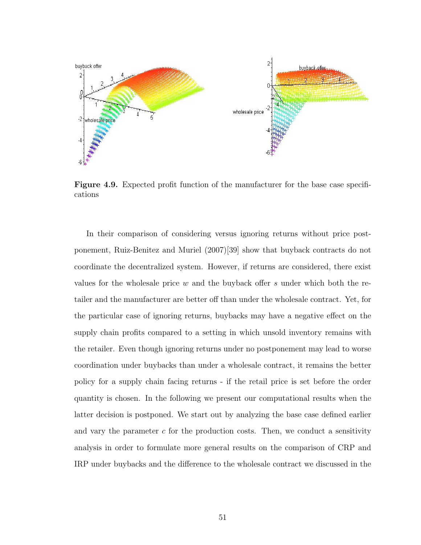

Figure 4.9. Expected profit function of the manufacturer for the base case specifications

In their comparison of considering versus ignoring returns without price postponement, Ruiz-Benitez and Muriel (2007)[39] show that buyback contracts do not coordinate the decentralized system. However, if returns are considered, there exist values for the wholesale price  $w$  and the buyback offer  $s$  under which both the retailer and the manufacturer are better off than under the wholesale contract. Yet, for the particular case of ignoring returns, buybacks may have a negative effect on the supply chain profits compared to a setting in which unsold inventory remains with the retailer. Even though ignoring returns under no postponement may lead to worse coordination under buybacks than under a wholesale contract, it remains the better policy for a supply chain facing returns - if the retail price is set before the order quantity is chosen. In the following we present our computational results when the latter decision is postponed. We start out by analyzing the base case defined earlier and vary the parameter  $c$  for the production costs. Then, we conduct a sensitivity analysis in order to formulate more general results on the comparison of CRP and IRP under buybacks and the difference to the wholesale contract we discussed in the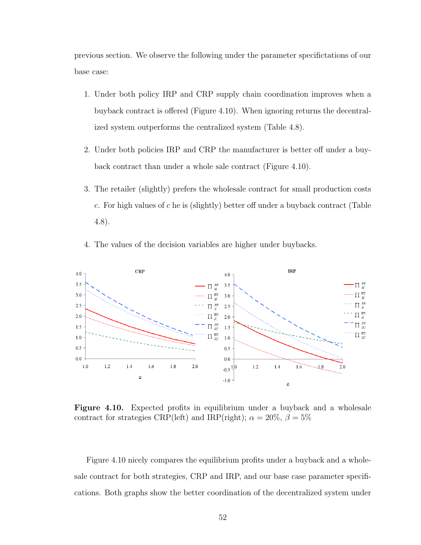previous section. We observe the following under the parameter specifictations of our base case:

- 1. Under both policy IRP and CRP supply chain coordination improves when a buyback contract is offered (Figure 4.10). When ignoring returns the decentralized system outperforms the centralized system (Table 4.8).
- 2. Under both policies IRP and CRP the manufacturer is better off under a buyback contract than under a whole sale contract (Figure 4.10).
- 3. The retailer (slightly) prefers the wholesale contract for small production costs c. For high values of c he is (slightly) better off under a buyback contract (Table 4.8).
- 4. The values of the decision variables are higher under buybacks.



Figure 4.10. Expected profits in equilibrium under a buyback and a wholesale contract for strategies CRP(left) and IRP(right);  $\alpha = 20\%$ ,  $\beta = 5\%$ 

Figure 4.10 nicely compares the equilibrium profits under a buyback and a wholesale contract for both strategies, CRP and IRP, and our base case parameter specifications. Both graphs show the better coordination of the decentralized system under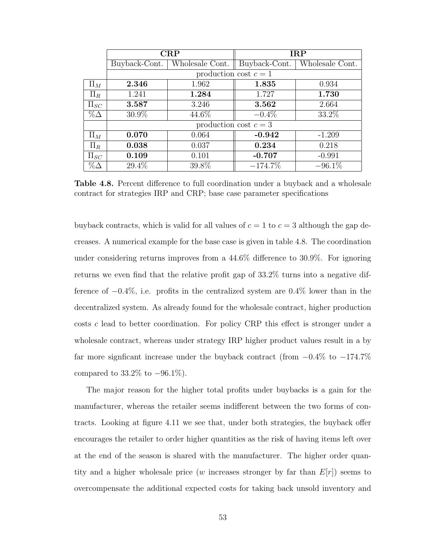|            |               | CRP                   |                       | <b>IRP</b>      |
|------------|---------------|-----------------------|-----------------------|-----------------|
|            | Buyback-Cont. | Wholesale Cont.       | Buyback-Cont.         | Wholesale Cont. |
|            |               | production cost $c=1$ |                       |                 |
| $\Pi_M$    | 2.346         | 1.962                 | 1.835                 | 0.934           |
| $\Pi_R$    | 1.241         | 1.284                 | 1.727                 | 1.730           |
| $\Pi_{SC}$ | 3.587         | 3.246                 | 3.562                 | 2.664           |
| $\%\Delta$ | 30.9%         | 44.6%                 | $-0.4\%$              | 33.2%           |
|            |               |                       | production cost $c=3$ |                 |
| $\Pi_M$    | 0.070         | 0.064                 | $-0.942$              | $-1.209$        |
| $\Pi_R$    | 0.038         | 0.037                 | 0.234                 | 0.218           |
| $\Pi_{SC}$ | 0.109         | 0.101                 | $-0.707$              | $-0.991$        |
| $\%\Delta$ | 29.4%         | 39.8%                 | $-174.7\%$            | $-96.1\%$       |

Table 4.8. Percent difference to full coordination under a buyback and a wholesale contract for strategies IRP and CRP; base case parameter specifications

buyback contracts, which is valid for all values of  $c = 1$  to  $c = 3$  although the gap decreases. A numerical example for the base case is given in table 4.8. The coordination under considering returns improves from a 44.6% difference to 30.9%. For ignoring returns we even find that the relative profit gap of 33.2% turns into a negative difference of  $-0.4\%$ , i.e. profits in the centralized system are 0.4% lower than in the decentralized system. As already found for the wholesale contract, higher production costs c lead to better coordination. For policy CRP this effect is stronger under a wholesale contract, whereas under strategy IRP higher product values result in a by far more signficant increase under the buyback contract (from −0.4% to −174.7% compared to  $33.2\%$  to  $-96.1\%$ ).

The major reason for the higher total profits under buybacks is a gain for the manufacturer, whereas the retailer seems indifferent between the two forms of contracts. Looking at figure 4.11 we see that, under both strategies, the buyback offer encourages the retailer to order higher quantities as the risk of having items left over at the end of the season is shared with the manufacturer. The higher order quantity and a higher wholesale price (w increases stronger by far than  $E[r]$ ) seems to overcompensate the additional expected costs for taking back unsold inventory and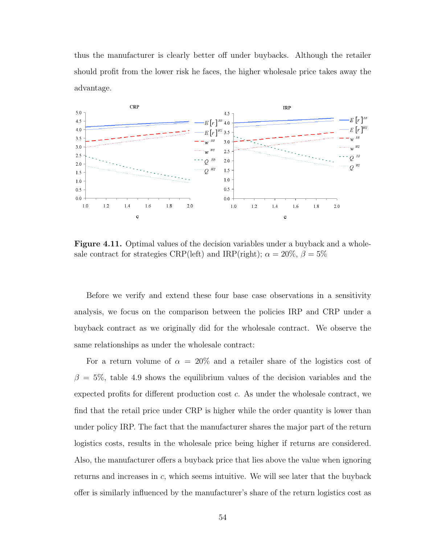thus the manufacturer is clearly better off under buybacks. Although the retailer should profit from the lower risk he faces, the higher wholesale price takes away the advantage.



**Figure 4.11.** Optimal values of the decision variables under a buyback and a wholesale contract for strategies CRP(left) and IRP(right);  $\alpha = 20\%$ ,  $\beta = 5\%$ 

Before we verify and extend these four base case observations in a sensitivity analysis, we focus on the comparison between the policies IRP and CRP under a buyback contract as we originally did for the wholesale contract. We observe the same relationships as under the wholesale contract:

For a return volume of  $\alpha = 20\%$  and a retailer share of the logistics cost of  $\beta = 5\%$ , table 4.9 shows the equilibrium values of the decision variables and the expected profits for different production cost c. As under the wholesale contract, we find that the retail price under CRP is higher while the order quantity is lower than under policy IRP. The fact that the manufacturer shares the major part of the return logistics costs, results in the wholesale price being higher if returns are considered. Also, the manufacturer offers a buyback price that lies above the value when ignoring returns and increases in  $c$ , which seems intuitive. We will see later that the buyback offer is similarly influenced by the manufacturer's share of the return logistics cost as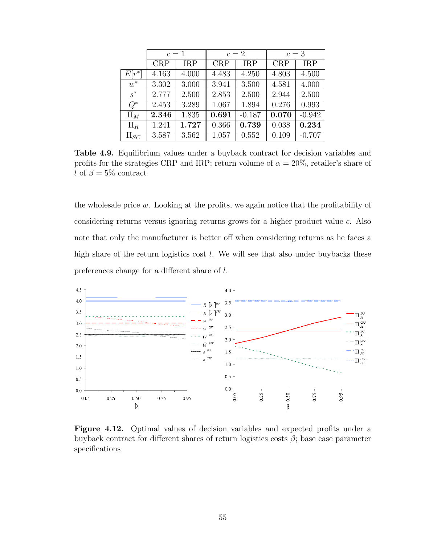|            | $c=1$ |            |            | $c=2$      | $c=3$      |            |
|------------|-------|------------|------------|------------|------------|------------|
|            | CRP   | <b>IRP</b> | <b>CRP</b> | <b>IRP</b> | <b>CRP</b> | <b>IRP</b> |
| $E[r^*]$   | 4.163 | 4.000      | 4.483      | 4.250      | 4.803      | 4.500      |
| $w^*$      | 3.302 | 3.000      | 3.941      | 3.500      | 4.581      | 4.000      |
| $s^*$      | 2.777 | 2.500      | 2.853      | 2.500      | 2.944      | 2.500      |
| $Q^*$      | 2.453 | 3.289      | 1.067      | 1.894      | 0.276      | 0.993      |
| $\Pi_M$    | 2.346 | 1.835      | 0.691      | $-0.187$   | 0.070      | $-0.942$   |
| $\Pi_R$    | 1.241 | 1.727      | 0.366      | 0.739      | 0.038      | 0.234      |
| $\Pi_{SC}$ | 3.587 | 3.562      | 1.057      | 0.552      | 0.109      | $-0.707$   |

Table 4.9. Equilibrium values under a buyback contract for decision variables and profits for the strategies CRP and IRP; return volume of  $\alpha = 20\%$ , retailer's share of l of  $\beta = 5\%$  contract

the wholesale price w. Looking at the profits, we again notice that the profitability of considering returns versus ignoring returns grows for a higher product value c. Also note that only the manufacturer is better off when considering returns as he faces a high share of the return logistics cost *l*. We will see that also under buybacks these preferences change for a different share of l.



Figure 4.12. Optimal values of decision variables and expected profits under a buyback contract for different shares of return logistics costs  $\beta$ ; base case parameter specifications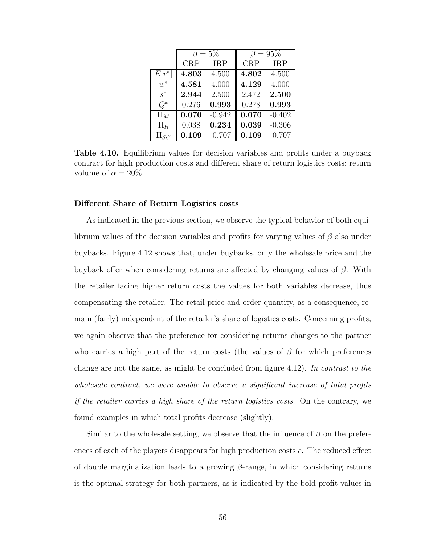|            |       | $\beta=5\%$ | $\beta=95\%$ |            |  |
|------------|-------|-------------|--------------|------------|--|
|            | CRP   | <b>IRP</b>  | <b>CRP</b>   | <b>IRP</b> |  |
| $E[r^*]$   | 4.803 | 4.500       | 4.802        | 4.500      |  |
| $w^*$      | 4.581 | 4.000       | 4.129        | 4.000      |  |
| $s^*$      | 2.944 | 2.500       | 2.472        | 2.500      |  |
| $Q^*$      | 0.276 | 0.993       | 0.278        | 0.993      |  |
| $\Pi_M$    | 0.070 | $-0.942$    | 0.070        | $-0.402$   |  |
| $\Pi_R$    | 0.038 | 0.234       | 0.039        | $-0.306$   |  |
| $\Pi_{SC}$ | 0.109 | $-0.707$    | 0.109        | $-0.707$   |  |

Table 4.10. Equilibrium values for decision variables and profits under a buyback contract for high production costs and different share of return logistics costs; return volume of  $\alpha = 20\%$ 

#### Different Share of Return Logistics costs

As indicated in the previous section, we observe the typical behavior of both equilibrium values of the decision variables and profits for varying values of  $\beta$  also under buybacks. Figure 4.12 shows that, under buybacks, only the wholesale price and the buyback offer when considering returns are affected by changing values of  $\beta$ . With the retailer facing higher return costs the values for both variables decrease, thus compensating the retailer. The retail price and order quantity, as a consequence, remain (fairly) independent of the retailer's share of logistics costs. Concerning profits, we again observe that the preference for considering returns changes to the partner who carries a high part of the return costs (the values of  $\beta$  for which preferences change are not the same, as might be concluded from figure 4.12). In contrast to the wholesale contract, we were unable to observe a significant increase of total profits if the retailer carries a high share of the return logistics costs. On the contrary, we found examples in which total profits decrease (slightly).

Similar to the wholesale setting, we observe that the influence of  $\beta$  on the preferences of each of the players disappears for high production costs c. The reduced effect of double marginalization leads to a growing  $\beta$ -range, in which considering returns is the optimal strategy for both partners, as is indicated by the bold profit values in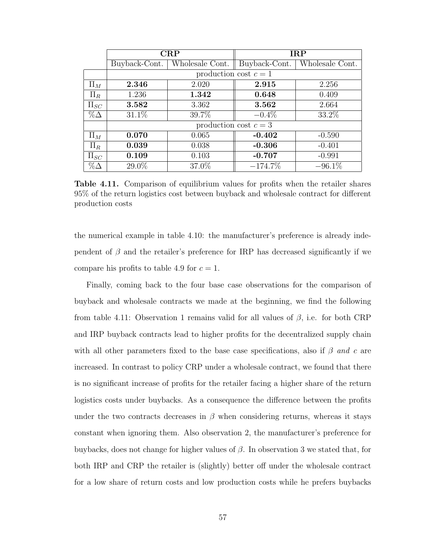|            |               | CRP                   |                       | <b>IRP</b>      |
|------------|---------------|-----------------------|-----------------------|-----------------|
|            | Buyback-Cont. | Wholesale Cont.       | Buyback-Cont.         | Wholesale Cont. |
|            |               | production cost $c=1$ |                       |                 |
| $\Pi_M$    | 2.346         | 2.020                 | 2.915                 | 2.256           |
| $\Pi_R$    | 1.236         | 1.342                 | 0.648                 | 0.409           |
| $\Pi_{SC}$ | 3.582         | 3.362                 | 3.562                 | 2.664           |
| $\%\Delta$ | $31.1\%$      | 39.7%                 | $-0.4\%$              | 33.2%           |
|            |               |                       | production cost $c=3$ |                 |
| $\Pi_M$    | 0.070         | 0.065                 | $-0.402$              | $-0.590$        |
| $\Pi_R$    | 0.039         | 0.038                 | $-0.306$              | $-0.401$        |
| $\Pi_{SC}$ | 0.109         | 0.103                 | $-0.707$              | $-0.991$        |
| $\%\Delta$ | 29.0%         | 37.0%                 | $-174.7\%$            | $-96.1\%$       |

Table 4.11. Comparison of equilibrium values for profits when the retailer shares 95% of the return logistics cost between buyback and wholesale contract for different production costs

the numerical example in table 4.10: the manufacturer's preference is already independent of  $\beta$  and the retailer's preference for IRP has decreased significantly if we compare his profits to table 4.9 for  $c = 1$ .

Finally, coming back to the four base case observations for the comparison of buyback and wholesale contracts we made at the beginning, we find the following from table 4.11: Observation 1 remains valid for all values of  $\beta$ , i.e. for both CRP and IRP buyback contracts lead to higher profits for the decentralized supply chain with all other parameters fixed to the base case specifications, also if  $\beta$  and c are increased. In contrast to policy CRP under a wholesale contract, we found that there is no significant increase of profits for the retailer facing a higher share of the return logistics costs under buybacks. As a consequence the difference between the profits under the two contracts decreases in  $\beta$  when considering returns, whereas it stays constant when ignoring them. Also observation 2, the manufacturer's preference for buybacks, does not change for higher values of  $\beta$ . In observation 3 we stated that, for both IRP and CRP the retailer is (slightly) better off under the wholesale contract for a low share of return costs and low production costs while he prefers buybacks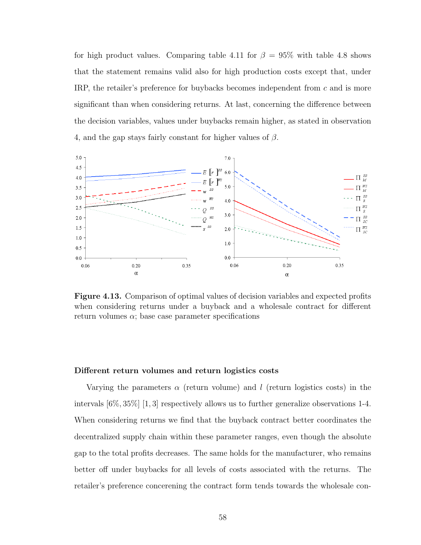for high product values. Comparing table 4.11 for  $\beta = 95\%$  with table 4.8 shows that the statement remains valid also for high production costs except that, under IRP, the retailer's preference for buybacks becomes independent from c and is more significant than when considering returns. At last, concerning the difference between the decision variables, values under buybacks remain higher, as stated in observation 4, and the gap stays fairly constant for higher values of  $\beta$ .



Figure 4.13. Comparison of optimal values of decision variables and expected profits when considering returns under a buyback and a wholesale contract for different return volumes  $\alpha$ ; base case parameter specifications

#### Different return volumes and return logistics costs

Varying the parameters  $\alpha$  (return volume) and l (return logistics costs) in the intervals  $[6\%, 35\%]$  [1, 3] respectively allows us to further generalize observations 1-4. When considering returns we find that the buyback contract better coordinates the decentralized supply chain within these parameter ranges, even though the absolute gap to the total profits decreases. The same holds for the manufacturer, who remains better off under buybacks for all levels of costs associated with the returns. The retailer's preference concerening the contract form tends towards the wholesale con-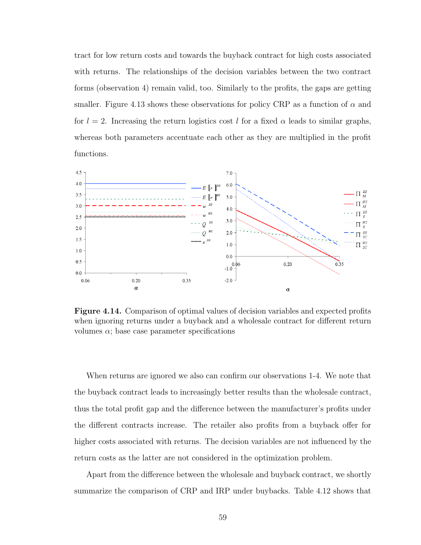tract for low return costs and towards the buyback contract for high costs associated with returns. The relationships of the decision variables between the two contract forms (observation 4) remain valid, too. Similarly to the profits, the gaps are getting smaller. Figure 4.13 shows these observations for policy CRP as a function of  $\alpha$  and for  $l = 2$ . Increasing the return logistics cost l for a fixed  $\alpha$  leads to similar graphs, whereas both parameters accentuate each other as they are multiplied in the profit functions.



Figure 4.14. Comparison of optimal values of decision variables and expected profits when ignoring returns under a buyback and a wholesale contract for different return volumes  $\alpha$ ; base case parameter specifications

When returns are ignored we also can confirm our observations 1-4. We note that the buyback contract leads to increasingly better results than the wholesale contract, thus the total profit gap and the difference between the manufacturer's profits under the different contracts increase. The retailer also profits from a buyback offer for higher costs associated with returns. The decision variables are not influenced by the return costs as the latter are not considered in the optimization problem.

Apart from the difference between the wholesale and buyback contract, we shortly summarize the comparison of CRP and IRP under buybacks. Table 4.12 shows that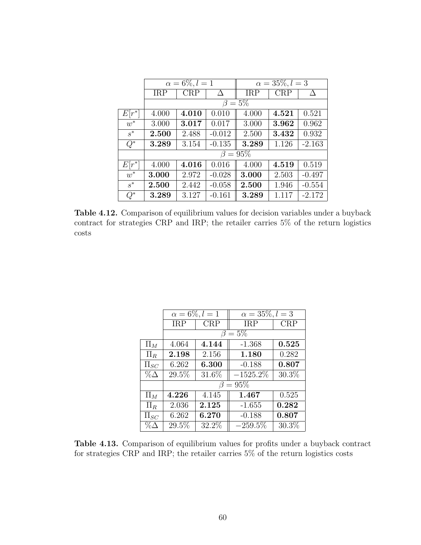|          |            | $\alpha = 6\%, l = 1$ |          | $\alpha = 35\%, l = 3$ |            |          |  |
|----------|------------|-----------------------|----------|------------------------|------------|----------|--|
|          | <b>IRP</b> | <b>CRP</b>            | Δ        | <b>IRP</b>             | <b>CRP</b> |          |  |
|          |            |                       |          | $\beta=5\%$            |            |          |  |
| $E[r^*]$ | 4.000      | 4.010                 | 0.010    | 4.000                  | 4.521      | 0.521    |  |
| $w^*$    | 3.000      | 3.017                 | 0.017    | 3.000                  | 3.962      | 0.962    |  |
| $s^*$    | 2.500      | 2.488                 | $-0.012$ | 2.500                  | 3.432      | 0.932    |  |
| $Q^*$    | 3.289      | 3.154                 | $-0.135$ | 3.289                  | 1.126      | $-2.163$ |  |
|          |            |                       |          | $\beta=95\%$           |            |          |  |
| $E[r^*]$ | 4.000      | 4.016                 | 0.016    | 4.000                  | 4.519      | 0.519    |  |
| $w^*$    | 3.000      | 2.972                 | $-0.028$ | 3.000                  | 2.503      | $-0.497$ |  |
| $s^*$    | 2.500      | 2.442                 | $-0.058$ | 2.500                  | 1.946      | $-0.554$ |  |
| $Q^\ast$ | 3.289      | 3.127                 | $-0.161$ | 3.289                  | 1.117      | $-2.172$ |  |

Table 4.12. Comparison of equilibrium values for decision variables under a buyback contract for strategies CRP and IRP; the retailer carries 5% of the return logistics costs

|            | $\alpha = 6\%, l = 1$ |            | $\overline{\alpha} = 35\%, l = 3$ |          |
|------------|-----------------------|------------|-----------------------------------|----------|
|            | <b>IRP</b>            | <b>CRP</b> | <b>IRP</b>                        | CRP      |
|            | $\beta = 5\%$         |            |                                   |          |
| $\Pi_M$    | 4.064                 | 4.144      | $-1.368$                          | 0.525    |
| $\Pi_R$    | 2.198                 | 2.156      | 1.180                             | 0.282    |
| $\Pi_{SC}$ | 6.262                 | 6.300      | $-0.188$                          | 0.807    |
| $\%\Delta$ | 29.5%                 | $31.6\%$   | $-1525.2\%$                       | $30.3\%$ |
|            | $\beta = 95\%$        |            |                                   |          |
| $\Pi_M$    | 4.226                 | 4.145      | 1.467                             | 0.525    |
| $\Pi_R$    | 2.036                 | 2.125      | $-1.655$                          | 0.282    |
| $\Pi_{SC}$ | 6.262                 | 6.270      | $-0.188$                          | 0.807    |
| $\%\Delta$ | 29.5%                 | 32.2%      | $-259.5\%$                        | 30.3%    |

Table 4.13. Comparison of equilibrium values for profits under a buyback contract for strategies CRP and IRP; the retailer carries 5% of the return logistics costs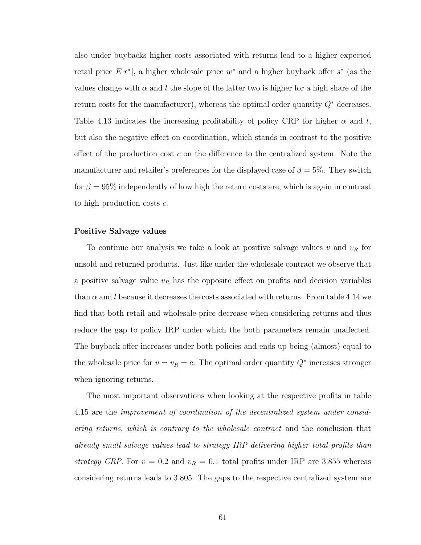also under buybacks higher costs associated with returns lead to a higher expected retail price  $E[r^*]$ , a higher wholesale price  $w^*$  and a higher buyback offer  $s^*$  (as the values change with  $\alpha$  and l the slope of the latter two is higher for a high share of the return costs for the manufacturer), whereas the optimal order quantity  $Q^*$  decreases. Table 4.13 indicates the increasing profitability of policy CRP for higher  $\alpha$  and l, but also the negative effect on coordination, which stands in contrast to the positive effect of the production cost c on the difference to the centralized system. Note the manufacturer and retailer's preferences for the displayed case of  $\beta = 5\%$ . They switch for  $\beta = 95\%$  independently of how high the return costs are, which is again in contrast to high production costs  $c$ .

#### Positive Salvage values

To continue our analysis we take a look at positive salvage values  $v$  and  $v_R$  for unsold and returned products. Just like under the wholesale contract we observe that a positive salvage value  $v_R$  has the opposite effect on profits and decision variables than  $\alpha$  and l because it decreases the costs associated with returns. From table 4.14 we find that both retail and wholesale price decrease when considering returns and thus reduce the gap to policy IRP under which the both parameters remain unaffected. The buyback offer increases under both policies and ends up being (almost) equal to the wholesale price for  $v = v_R = c$ . The optimal order quantity  $Q^*$  increases stronger when ignoring returns.

The most important observations when looking at the respective profits in table 4.15 are the improvement of coordination of the decentralized system under considering returns, which is contrary to the wholesale contract and the conclusion that already small salvage values lead to strategy IRP delivering higher total profits than strategy CRP. For  $v = 0.2$  and  $v_R = 0.1$  total profits under IRP are 3.855 whereas considering returns leads to 3.805. The gaps to the respective centralized system are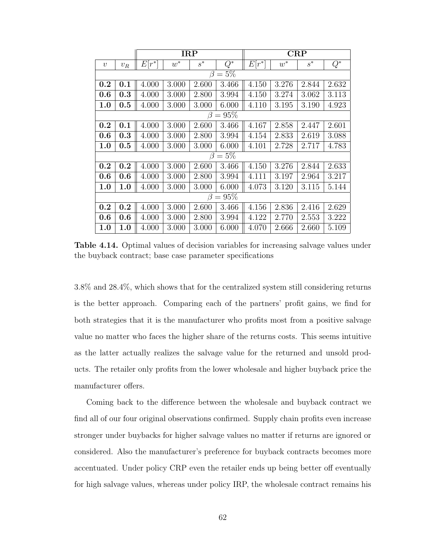|                  |       |          |       | <b>IRP</b> |                | CRP      |       |       |       |  |
|------------------|-------|----------|-------|------------|----------------|----------|-------|-------|-------|--|
| $\boldsymbol{v}$ | $v_R$ | $E[r^*]$ | $w^*$ | $s^*$      | $Q^*$          | $E[r^*]$ | $w^*$ | $s^*$ | $Q^*$ |  |
|                  |       |          |       | $\beta$    | $=5%$          |          |       |       |       |  |
| 0.2              | 0.1   | 4.000    | 3.000 | 2.600      | 3.466          | 4.150    | 3.276 | 2.844 | 2.632 |  |
| 0.6              | 0.3   | 4.000    | 3.000 | 2.800      | 3.994          | 4.150    | 3.274 | 3.062 | 3.113 |  |
| 1.0              | 0.5   | 4.000    | 3.000 | 3.000      | 6.000          | 4.110    | 3.195 | 3.190 | 4.923 |  |
|                  |       |          |       |            | $\beta = 95\%$ |          |       |       |       |  |
| 0.2              | 0.1   | 4.000    | 3.000 | 2.600      | 3.466          | 4.167    | 2.858 | 2.447 | 2.601 |  |
| 0.6              | 0.3   | 4.000    | 3.000 | 2.800      | 3.994          | 4.154    | 2.833 | 2.619 | 3.088 |  |
| 1.0              | 0.5   | 4.000    | 3.000 | 3.000      | 6.000          | 4.101    | 2.728 | 2.717 | 4.783 |  |
|                  |       |          |       |            | $\beta = 5\%$  |          |       |       |       |  |
| 0.2              | 0.2   | 4.000    | 3.000 | 2.600      | 3.466          | 4.150    | 3.276 | 2.844 | 2.633 |  |
| 0.6              | 0.6   | 4.000    | 3.000 | 2.800      | 3.994          | 4.111    | 3.197 | 2.964 | 3.217 |  |
| 1.0              | 1.0   | 4.000    | 3.000 | 3.000      | 6.000          | 4.073    | 3.120 | 3.115 | 5.144 |  |
|                  |       |          |       |            | $\beta = 95\%$ |          |       |       |       |  |
| 0.2              | 0.2   | 4.000    | 3.000 | 2.600      | 3.466          | 4.156    | 2.836 | 2.416 | 2.629 |  |
| 0.6              | 0.6   | 4.000    | 3.000 | 2.800      | 3.994          | 4.122    | 2.770 | 2.553 | 3.222 |  |
| 1.0              | 1.0   | 4.000    | 3.000 | 3.000      | 6.000          | 4.070    | 2.666 | 2.660 | 5.109 |  |

Table 4.14. Optimal values of decision variables for increasing salvage values under the buyback contract; base case parameter specifications

3.8% and 28.4%, which shows that for the centralized system still considering returns is the better approach. Comparing each of the partners' profit gains, we find for both strategies that it is the manufacturer who profits most from a positive salvage value no matter who faces the higher share of the returns costs. This seems intuitive as the latter actually realizes the salvage value for the returned and unsold products. The retailer only profits from the lower wholesale and higher buyback price the manufacturer offers.

Coming back to the difference between the wholesale and buyback contract we find all of our four original observations confirmed. Supply chain profits even increase stronger under buybacks for higher salvage values no matter if returns are ignored or considered. Also the manufacturer's preference for buyback contracts becomes more accentuated. Under policy CRP even the retailer ends up being better off eventually for high salvage values, whereas under policy IRP, the wholesale contract remains his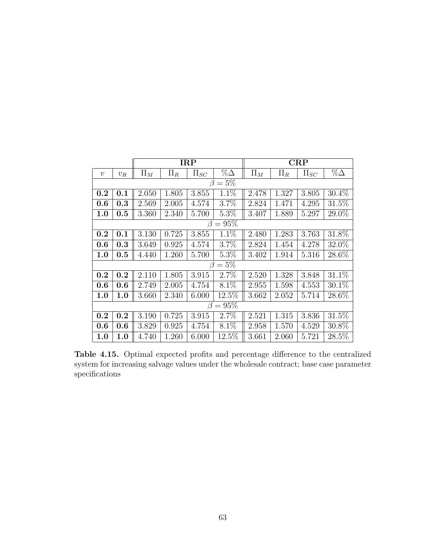|                  |                                                                            |         |         | <b>IRP</b> |            | <b>CRP</b> |           |            |             |  |  |
|------------------|----------------------------------------------------------------------------|---------|---------|------------|------------|------------|-----------|------------|-------------|--|--|
| $\boldsymbol{v}$ | $v_{R}$                                                                    | $\Pi_M$ | $\Pi_R$ | $\Pi_{SC}$ | $\%\Delta$ | $\Pi_M$    | $\Pi_R$   | $\Pi_{SC}$ | $\% \Delta$ |  |  |
|                  |                                                                            |         |         | $\beta$    | $=5%$      |            |           |            |             |  |  |
| 0.2              | 0.1                                                                        | 2.050   | 1.805   | 3.855      | 1.1%       | 2.478      | 1.327     | 3.805      | 30.4%       |  |  |
| 0.6              | 0.3                                                                        | 2.569   | 2.005   | 4.574      | 3.7%       | 2.824      | 1.471     | 4.295      | 31.5%       |  |  |
| 1.0              | $0.5\,$                                                                    | 3.360   | 2.340   | 5.700      | $5.3\%$    | 3.407      | 1.889     | 5.297      | 29.0%       |  |  |
|                  | $= 95\%$<br>B                                                              |         |         |            |            |            |           |            |             |  |  |
| 0.2              | 31.8%<br>1.1%<br>3.130<br>3.763<br>0.725<br>3.855<br>1.283<br>0.1<br>2.480 |         |         |            |            |            |           |            |             |  |  |
| 0.6              | 0.3                                                                        | 3.649   | 0.925   | 4.574      | 3.7%       | 2.824      | 1.454     | 4.278      | 32.0%       |  |  |
| 1.0              | $0.5\,$                                                                    | 4.440   | 1.260   | 5.700      | $5.3\%$    | 3.402      | 1.914     | 5.316      | $28.6\%$    |  |  |
|                  |                                                                            |         |         | $\beta$    | $=5\%$     |            |           |            |             |  |  |
| 0.2              | 0.2                                                                        | 2.110   | 1.805   | 3.915      | $2.7\%$    | 2.520      | 1.328     | 3.848      | 31.1%       |  |  |
| 0.6              | 0.6                                                                        | 2.749   | 2.005   | 4.754      | $8.1\%$    | 2.955      | 1.598     | 4.553      | 30.1%       |  |  |
| 1.0              | 1.0                                                                        | 3.660   | 2.340   | 6.000      | 12.5%      | 3.662      | 2.052     | 5.714      | $28.6\%$    |  |  |
|                  |                                                                            |         |         | β          | $= 95\%$   |            |           |            |             |  |  |
| 0.2              | 0.2                                                                        | 3.190   | 0.725   | 3.915      | 2.7%       | 2.521      | $1.315\,$ | 3.836      | 31.5%       |  |  |
| 0.6              | $8.1\%$<br>3.829<br>0.925<br>4.754<br>0.6                                  |         |         |            |            |            | 1.570     | 4.529      | 30.8%       |  |  |
| 1.0              | 1.0                                                                        | 4.740   | 1.260   | 6.000      | $12.5\%$   | 3.661      | 2.060     | 5.721      | 28.5%       |  |  |

Table 4.15. Optimal expected profits and percentage difference to the centralized system for increasing salvage values under the wholesale contract; base case parameter specifications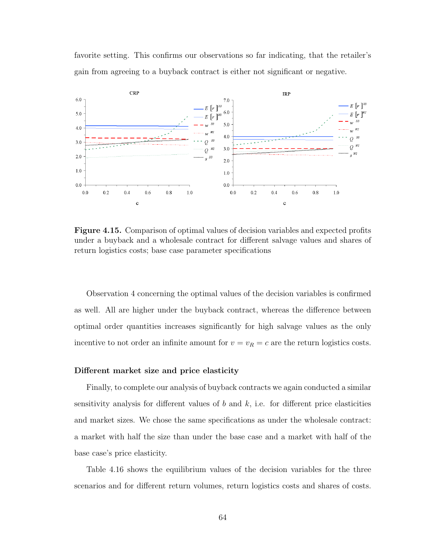favorite setting. This confirms our observations so far indicating, that the retailer's gain from agreeing to a buyback contract is either not significant or negative.



Figure 4.15. Comparison of optimal values of decision variables and expected profits under a buyback and a wholesale contract for different salvage values and shares of return logistics costs; base case parameter specifications

Observation 4 concerning the optimal values of the decision variables is confirmed as well. All are higher under the buyback contract, whereas the difference between optimal order quantities increases significantly for high salvage values as the only incentive to not order an infinite amount for  $v = v_R = c$  are the return logistics costs.

#### Different market size and price elasticity

Finally, to complete our analysis of buyback contracts we again conducted a similar sensitivity analysis for different values of b and  $k$ , i.e. for different price elasticities and market sizes. We chose the same specifications as under the wholesale contract: a market with half the size than under the base case and a market with half of the base case's price elasticity.

Table 4.16 shows the equilibrium values of the decision variables for the three scenarios and for different return volumes, return logistics costs and shares of costs.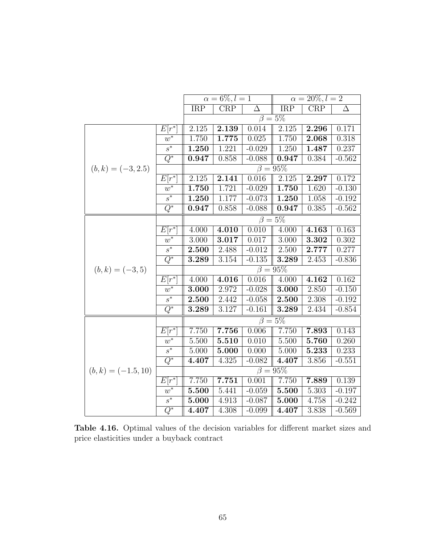|                       |                   |                         | $\alpha = 6\%, l = 1$ |                    |                          | $\alpha = 20\%, l = 2$ |          |
|-----------------------|-------------------|-------------------------|-----------------------|--------------------|--------------------------|------------------------|----------|
|                       |                   | $\overline{\text{IRP}}$ | CRP                   | $\Delta$           | $\overline{\text{IRP}}$  | CRP                    | $\Delta$ |
|                       |                   |                         |                       |                    | $\overline{\beta} = 5\%$ |                        |          |
|                       | $E[r^*]$          | 2.125                   | 2.139                 | 0.014              | 2.125                    | 2.296                  | 0.171    |
|                       | $w^*$             | $\overline{1.750}$      | 1.775                 | $\overline{0.025}$ | 1.750                    | 2.068                  | 0.318    |
|                       | $\overline{s^*}$  | 1.250                   | 1.221                 | $-0.029$           | 1.250                    | 1.487                  | 0.237    |
|                       | $\overline{Q^*}$  | 0.947                   | 0.858                 | $-0.088$           | 0.947                    | 0.384                  | $-0.562$ |
| $(b,k) = (-3,2.5)$    |                   |                         |                       |                    | $\beta = 95\%$           |                        |          |
|                       | $E\overline{r^*}$ | 2.125                   | 2.141                 | 0.016              | 2.125                    | 2.297                  | 0.172    |
|                       | $w^*$             | 1.750                   | 1.721                 | $-0.029$           | 1.750                    | 1.620                  | $-0.130$ |
|                       | $\overline{s^*}$  | 1.250                   | 1.177                 | $-0.073$           | 1.250                    | 1.058                  | $-0.192$ |
|                       | $\overline{Q^*}$  | 0.947                   | 0.858                 | $-0.088$           | 0.947                    | 0.385                  | $-0.562$ |
|                       |                   |                         |                       |                    | $\overline{\beta} = 5\%$ |                        |          |
|                       | $E[r^*]$          | 4.000                   | 4.010                 | 0.010              | 4.000                    | 4.163                  | 0.163    |
|                       | $w^*$             | 3.000                   | 3.017                 | 0.017              | 3.000                    | 3.302                  | 0.302    |
|                       | $s^*$             | 2.500                   | 2.488                 | $-0.012$           | 2.500                    | 2.777                  | 0.277    |
|                       | $\overline{Q^*}$  | 3.289                   | 3.154                 | $-0.135$           | 3.289                    | 2.453                  | $-0.836$ |
| $(b,k) = (-3,5)$      |                   |                         |                       |                    | $\beta = 95\%$           |                        |          |
|                       | $E[r^*]$          | 4.000                   | 4.016                 | 0.016              | 4.000                    | 4.162                  | 0.162    |
|                       | $w^*$             | 3.000                   | 2.972                 | $-0.028$           | 3.000                    | 2.850                  | $-0.150$ |
|                       | $\overline{s^*}$  | 2.500                   | 2.442                 | $-0.058$           | 2.500                    | 2.308                  | $-0.192$ |
|                       | $Q^*$             | 3.289                   | 3.127                 | $-0.161$           | 3.289                    | 2.434                  | $-0.854$ |
|                       |                   |                         |                       |                    | $\beta = 5\%$            |                        |          |
|                       | $E[r^*]$          | 7.750                   | 7.756                 | 0.006              | 7.750                    | 7.893                  | 0.143    |
|                       | $w^*$             | 5.500                   | 5.510                 | 0.010              | 5.500                    | 5.760                  | 0.260    |
|                       | $\overline{s^*}$  | 5.000                   | 5.000                 | 0.000              | 5.000                    | 5.233                  | 0.233    |
|                       | $\overline{Q^*}$  | 4.407                   | 4.325                 | $-0.082$           | 4.407                    | 3.856                  | $-0.551$ |
| $(b, k) = (-1.5, 10)$ |                   |                         |                       |                    | $\beta = 95\%$           |                        |          |
|                       | $E[r^*]$          | 7.750                   | 7.751                 | 0.001              | 7.750                    | 7.889                  | 0.139    |
|                       | $w^*$             | 5.500                   | 5.441                 | $-0.059$           | 5.500                    | 5.303                  | $-0.197$ |
|                       | $s^*$             | 5.000                   | 4.913                 | $-0.087$           | 5.000                    | 4.758                  | $-0.242$ |
|                       | $\overline{Q^*}$  | 4.407                   | 4.308                 | $-0.099$           | 4.407                    | 3.838                  | $-0.569$ |

Table 4.16. Optimal values of the decision variables for different market sizes and price elasticities under a buyback contract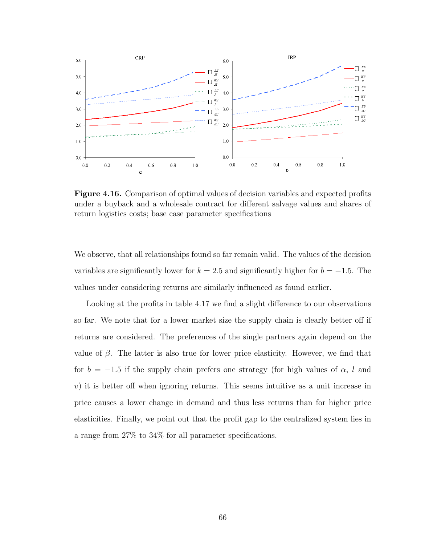

Figure 4.16. Comparison of optimal values of decision variables and expected profits under a buyback and a wholesale contract for different salvage values and shares of return logistics costs; base case parameter specifications

We observe, that all relationships found so far remain valid. The values of the decision variables are significantly lower for  $k = 2.5$  and significantly higher for  $b = -1.5$ . The values under considering returns are similarly influenced as found earlier.

Looking at the profits in table 4.17 we find a slight difference to our observations so far. We note that for a lower market size the supply chain is clearly better off if returns are considered. The preferences of the single partners again depend on the value of  $\beta$ . The latter is also true for lower price elasticity. However, we find that for  $b = -1.5$  if the supply chain prefers one strategy (for high values of  $\alpha$ , l and  $v$ ) it is better off when ignoring returns. This seems intuitive as a unit increase in price causes a lower change in demand and thus less returns than for higher price elasticities. Finally, we point out that the profit gap to the centralized system lies in a range from 27% to 34% for all parameter specifications.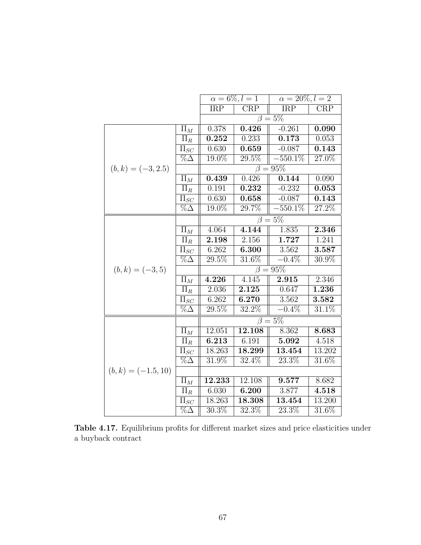|                       |                                  |                         | $\alpha = 6\%, l = 1$ | $\alpha = 20\%, l = 2$   |          |
|-----------------------|----------------------------------|-------------------------|-----------------------|--------------------------|----------|
|                       |                                  | $\overline{\text{IRP}}$ | CRP                   | IRP                      | CRP      |
|                       |                                  |                         |                       | $\overline{\beta} = 5\%$ |          |
|                       | $\Pi_M$                          | 0.378                   | 0.426                 | $-0.261$                 | 0.090    |
|                       | $\Pi_R$                          | 0.252                   | 0.233                 | 0.173                    | 0.053    |
|                       | $\overline{\Pi}_{SC}$            | 0.630                   | 0.659                 | $-0.087$                 | 0.143    |
|                       | $\% \Delta$                      | 19.0%                   | $\overline{29.5\%}$   | $-550.1\%$               | 27.0%    |
| $(b,k) = (-3,2.5)$    |                                  |                         |                       | $\beta = 95\%$           |          |
|                       | $\Pi_M$                          | 0.439                   | 0.426                 | 0.144                    | 0.090    |
|                       | $\Pi_R$                          | 0.191                   | 0.232                 | $-0.232$                 | 0.053    |
|                       | $\overline{\Pi_{SC}}$            | 0.630                   | 0.658                 | $-0.087$                 | 0.143    |
|                       | $\%\Delta$                       | $19.0\%$                | 29.7%                 | $-550.1\%$               | 27.2%    |
|                       |                                  |                         |                       | $\beta = \overline{5\%}$ |          |
|                       | $\Pi_M$                          | 4.064                   | 4.144                 | 1.835                    | 2.346    |
|                       | $\Pi_R$                          | 2.198                   | 2.156                 | 1.727                    | 1.241    |
|                       | $\Pi_{SC}$                       | 6.262                   | 6.300                 | 3.562                    | 3.587    |
|                       | $\overline{\%}\overline{\Delta}$ | $29.5\%$                | $3\overline{1.6\%}$   | $-0.4\%$                 | $30.9\%$ |
| $(b, k) = (-3, 5)$    |                                  |                         |                       | $\beta=95\%$             |          |
|                       | $\Pi_M$                          | 4.226                   | 4.145                 | 2.915                    | 2.346    |
|                       | $\overline{\Pi_R}$               | 2.036                   | 2.125                 | 0.647                    | 1.236    |
|                       | $\overline{\Pi}_{SC}$            | 6.262                   | 6.270                 | 3.562                    | 3.582    |
|                       | $\% \Delta$                      | 29.5%                   | 32.2%                 | $-0.4\%$                 | 31.1%    |
|                       |                                  |                         |                       | $\overline{\beta} = 5\%$ |          |
|                       | $\Pi_M$                          | 12.051                  | 12.108                | 8.362                    | 8.683    |
|                       | $\Pi_R$                          | 6.213                   | 6.191                 | 5.092                    | 4.518    |
|                       | $\overline{\Pi}_{SC}$            | 18.263                  | 18.299                | 13.454                   | 13.202   |
|                       | $\% \Delta$                      | 31.9%                   | $32.4\%$              | 23.3%                    | $31.6\%$ |
| $(b, k) = (-1.5, 10)$ |                                  |                         |                       |                          |          |
|                       | $\Pi_M$                          | 12.233                  | 12.108                | 9.577                    | 8.682    |
|                       | $\overline{\Pi_R}$               | 6.030                   | 6.200                 | 3.877                    | 4.518    |
|                       | $\Pi_{SC}$                       | 18.263                  | 18.308                | 13.454                   | 13.200   |
|                       | $\overline{\% \Delta}$           | 30.3%                   | $\overline{32.3\%}$   | 23.3%                    | $31.6\%$ |

Table 4.17. Equilibrium profits for different market sizes and price elasticities under a buyback contract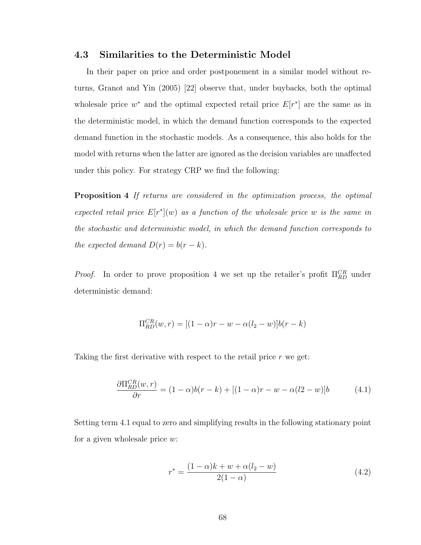#### 4.3 Similarities to the Deterministic Model

In their paper on price and order postponement in a similar model without returns, Granot and Yin (2005) [22] observe that, under buybacks, both the optimal wholes ale price  $w^*$  and the optimal expected retail price  $E[r^*]$  are the same as in the deterministic model, in which the demand function corresponds to the expected demand function in the stochastic models. As a consequence, this also holds for the model with returns when the latter are ignored as the decision variables are unaffected under this policy. For strategy CRP we find the following:

**Proposition 4** If returns are considered in the optimization process, the optimal expected retail price  $E[r^*](w)$  as a function of the wholesale price w is the same in the stochastic and deterministic model, in which the demand function corresponds to the expected demand  $D(r) = b(r - k)$ .

*Proof.* In order to prove proposition 4 we set up the retailer's profit  $\Pi_{RD}^{CR}$  under deterministic demand:

$$
\Pi_{RD}^{CR}(w,r) = [(1-\alpha)r - w - \alpha(l_2-w)]b(r-k)
$$

Taking the first derivative with respect to the retail price  $r$  we get:

$$
\frac{\partial \Pi_{RD}^{CR}(w,r)}{\partial r} = (1 - \alpha)b(r - k) + [(1 - \alpha)r - w - \alpha(l2 - w)]b \tag{4.1}
$$

Setting term 4.1 equal to zero and simplifying results in the following stationary point for a given wholesale price w:

$$
r^* = \frac{(1 - \alpha)k + w + \alpha(l_2 - w)}{2(1 - \alpha)}
$$
\n(4.2)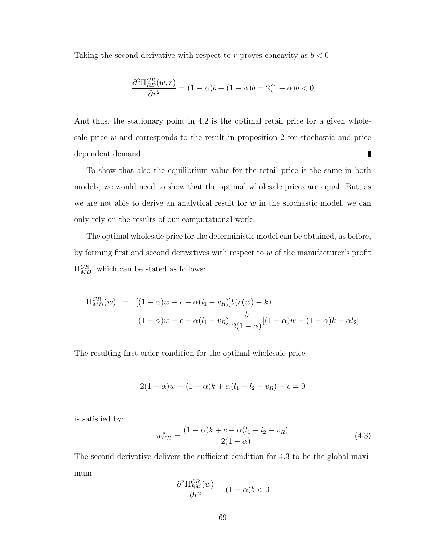Taking the second derivative with respect to r proves concavity as  $b < 0$ :

$$
\frac{\partial^2 \Pi_{RD}^{CR}(w,r)}{\partial r^2} = (1 - \alpha)b + (1 - \alpha)b = 2(1 - \alpha)b < 0
$$

And thus, the stationary point in 4.2 is the optimal retail price for a given wholesale price  $w$  and corresponds to the result in proposition 2 for stochastic and price dependent demand. ш

To show that also the equilibrium value for the retail price is the same in both models, we would need to show that the optimal wholesale prices are equal. But, as we are not able to derive an analytical result for  $w$  in the stochastic model, we can only rely on the results of our computational work.

The optimal wholesale price for the deterministic model can be obtained, as before, by forming first and second derivatives with respect to w of the manufacturer's profit  $\Pi_{MD}^{CR}$ , which can be stated as follows:

$$
\Pi_{MD}^{CR}(w) = [(1 - \alpha)w - c - \alpha(l_1 - v_R)]b(r(w) - k)
$$
  
= 
$$
[(1 - \alpha)w - c - \alpha(l_1 - v_R)]\frac{b}{2(1 - \alpha)}[(1 - \alpha)w - (1 - \alpha)k + \alpha l_2]
$$

The resulting first order condition for the optimal wholesale price

$$
2(1 - \alpha)w - (1 - \alpha)k + \alpha(l_1 - l_2 - v_R) - c = 0
$$

is satisfied by:

$$
w_{CD}^* = \frac{(1 - \alpha)k + c + \alpha(l_1 - l_2 - v_R)}{2(1 - \alpha)}
$$
(4.3)

The second derivative delivers the sufficient condition for 4.3 to be the global maximum:

$$
\frac{\partial^2 \Pi_{RM}^{CR}(w)}{\partial r^2} = (1 - \alpha)b < 0
$$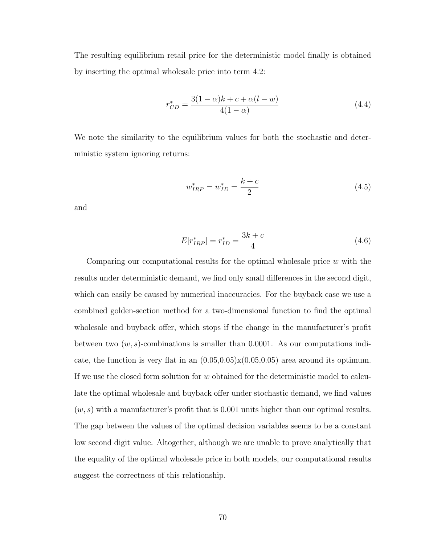The resulting equilibrium retail price for the deterministic model finally is obtained by inserting the optimal wholesale price into term 4.2:

$$
r_{CD}^* = \frac{3(1-\alpha)k + c + \alpha(l-w)}{4(1-\alpha)}
$$
\n(4.4)

We note the similarity to the equilibrium values for both the stochastic and deterministic system ignoring returns:

$$
w_{IRP}^* = w_{ID}^* = \frac{k+c}{2}
$$
\n(4.5)

and

$$
E[r_{IRP}^*] = r_{ID}^* = \frac{3k + c}{4}
$$
\n(4.6)

Comparing our computational results for the optimal wholesale price w with the results under deterministic demand, we find only small differences in the second digit, which can easily be caused by numerical inaccuracies. For the buyback case we use a combined golden-section method for a two-dimensional function to find the optimal wholesale and buyback offer, which stops if the change in the manufacturer's profit between two  $(w, s)$ -combinations is smaller than 0.0001. As our computations indicate, the function is very flat in an  $(0.05,0.05)\times(0.05,0.05)$  area around its optimum. If we use the closed form solution for w obtained for the deterministic model to calculate the optimal wholesale and buyback offer under stochastic demand, we find values  $(w, s)$  with a manufacturer's profit that is 0.001 units higher than our optimal results. The gap between the values of the optimal decision variables seems to be a constant low second digit value. Altogether, although we are unable to prove analytically that the equality of the optimal wholesale price in both models, our computational results suggest the correctness of this relationship.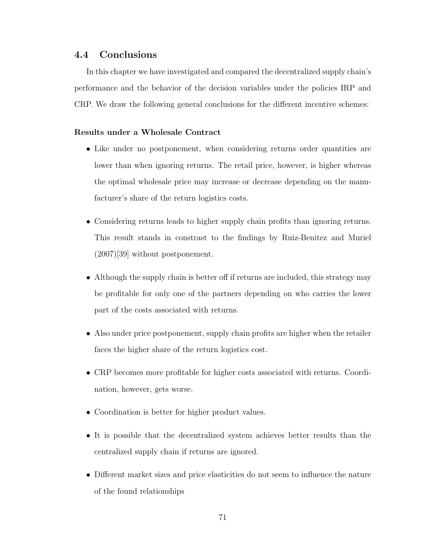### 4.4 Conclusions

In this chapter we have investigated and compared the decentralized supply chain's performance and the behavior of the decision variables under the policies IRP and CRP. We draw the following general conclusions for the different incentive schemes:

#### Results under a Wholesale Contract

- Like under no postponement, when considering returns order quantities are lower than when ignoring returns. The retail price, however, is higher whereas the optimal wholesale price may increase or decrease depending on the manufacturer's share of the return logistics costs.
- Considering returns leads to higher supply chain profits than ignoring returns. This result stands in constrast to the findings by Ruiz-Benitez and Muriel (2007)[39] without postponement.
- Although the supply chain is better off if returns are included, this strategy may be profitable for only one of the partners depending on who carries the lower part of the costs associated with returns.
- Also under price postponement, supply chain profits are higher when the retailer faces the higher share of the return logistics cost.
- CRP becomes more profitable for higher costs associated with returns. Coordination, however, gets worse.
- Coordination is better for higher product values.
- It is possible that the decentralized system achieves better results than the centralized supply chain if returns are ignored.
- Different market sizes and price elasticities do not seem to influence the nature of the found relationships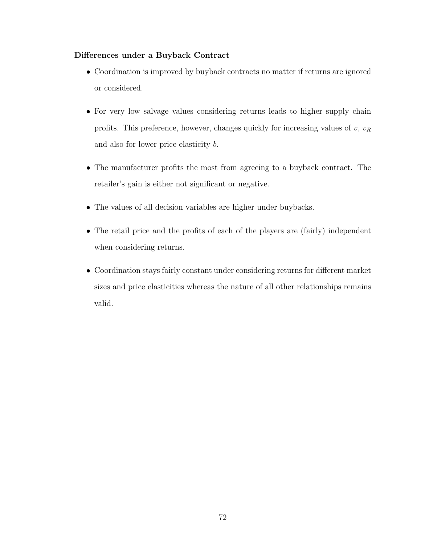### Differences under a Buyback Contract

- Coordination is improved by buyback contracts no matter if returns are ignored or considered.
- For very low salvage values considering returns leads to higher supply chain profits. This preference, however, changes quickly for increasing values of  $v, v_R$ and also for lower price elasticity b.
- The manufacturer profits the most from agreeing to a buyback contract. The retailer's gain is either not significant or negative.
- The values of all decision variables are higher under buybacks.
- The retail price and the profits of each of the players are (fairly) independent when considering returns.
- Coordination stays fairly constant under considering returns for different market sizes and price elasticities whereas the nature of all other relationships remains valid.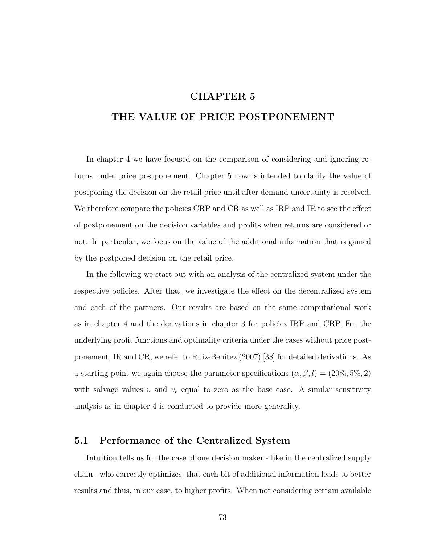## CHAPTER 5

# THE VALUE OF PRICE POSTPONEMENT

In chapter 4 we have focused on the comparison of considering and ignoring returns under price postponement. Chapter 5 now is intended to clarify the value of postponing the decision on the retail price until after demand uncertainty is resolved. We therefore compare the policies CRP and CR as well as IRP and IR to see the effect of postponement on the decision variables and profits when returns are considered or not. In particular, we focus on the value of the additional information that is gained by the postponed decision on the retail price.

In the following we start out with an analysis of the centralized system under the respective policies. After that, we investigate the effect on the decentralized system and each of the partners. Our results are based on the same computational work as in chapter 4 and the derivations in chapter 3 for policies IRP and CRP. For the underlying profit functions and optimality criteria under the cases without price postponement, IR and CR, we refer to Ruiz-Benitez (2007) [38] for detailed derivations. As a starting point we again choose the parameter specifications  $(\alpha, \beta, l) = (20\%, 5\%, 2)$ with salvage values v and  $v_r$  equal to zero as the base case. A similar sensitivity analysis as in chapter 4 is conducted to provide more generality.

### 5.1 Performance of the Centralized System

Intuition tells us for the case of one decision maker - like in the centralized supply chain - who correctly optimizes, that each bit of additional information leads to better results and thus, in our case, to higher profits. When not considering certain available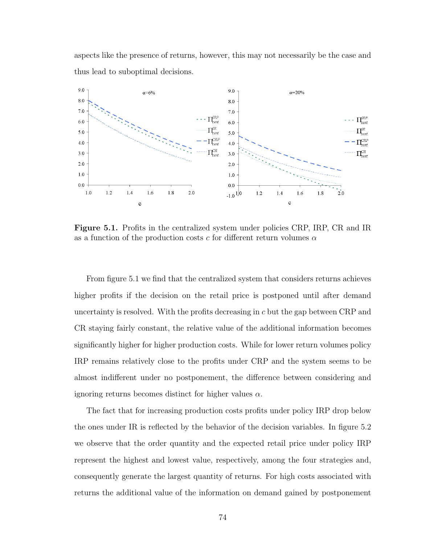aspects like the presence of returns, however, this may not necessarily be the case and thus lead to suboptimal decisions.



Figure 5.1. Profits in the centralized system under policies CRP, IRP, CR and IR as a function of the production costs c for different return volumes  $\alpha$ 

From figure 5.1 we find that the centralized system that considers returns achieves higher profits if the decision on the retail price is postponed until after demand uncertainty is resolved. With the profits decreasing in  $c$  but the gap between CRP and CR staying fairly constant, the relative value of the additional information becomes significantly higher for higher production costs. While for lower return volumes policy IRP remains relatively close to the profits under CRP and the system seems to be almost indifferent under no postponement, the difference between considering and ignoring returns becomes distinct for higher values  $\alpha$ .

The fact that for increasing production costs profits under policy IRP drop below the ones under IR is reflected by the behavior of the decision variables. In figure 5.2 we observe that the order quantity and the expected retail price under policy IRP represent the highest and lowest value, respectively, among the four strategies and, consequently generate the largest quantity of returns. For high costs associated with returns the additional value of the information on demand gained by postponement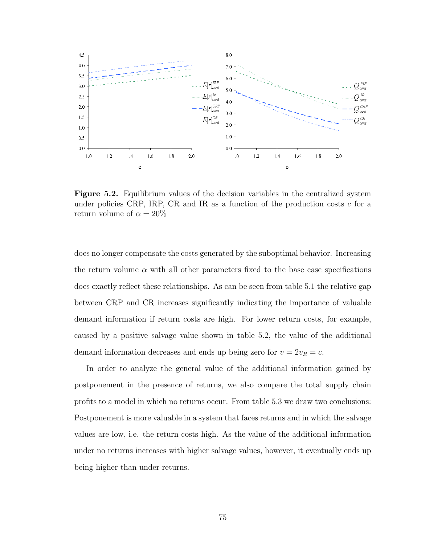

Figure 5.2. Equilibrium values of the decision variables in the centralized system under policies CRP, IRP, CR and IR as a function of the production costs  $c$  for a return volume of  $\alpha = 20\%$ 

does no longer compensate the costs generated by the suboptimal behavior. Increasing the return volume  $\alpha$  with all other parameters fixed to the base case specifications does exactly reflect these relationships. As can be seen from table 5.1 the relative gap between CRP and CR increases significantly indicating the importance of valuable demand information if return costs are high. For lower return costs, for example, caused by a positive salvage value shown in table 5.2, the value of the additional demand information decreases and ends up being zero for  $v = 2v_R = c$ .

In order to analyze the general value of the additional information gained by postponement in the presence of returns, we also compare the total supply chain profits to a model in which no returns occur. From table 5.3 we draw two conclusions: Postponement is more valuable in a system that faces returns and in which the salvage values are low, i.e. the return costs high. As the value of the additional information under no returns increases with higher salvage values, however, it eventually ends up being higher than under returns.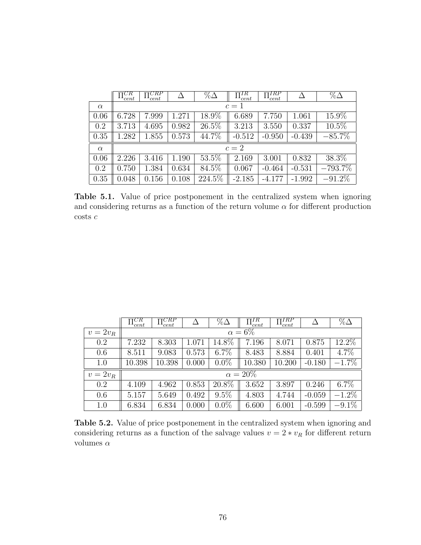|          | $\P^{CR}$<br>cent | CRP<br>cent |       | $\%\Delta$ | $\Pi_{cent}^{TR}$ | $\Pi_{cent}^{IRP}$ |          | $\%\Delta$ |
|----------|-------------------|-------------|-------|------------|-------------------|--------------------|----------|------------|
| $\alpha$ |                   |             |       |            | $c=1$             |                    |          |            |
| 0.06     | 6.728             | 7.999       | 1.271 | 18.9%      | 6.689             | 7.750              | 1.061    | 15.9%      |
| 0.2      | 3.713             | 4.695       | 0.982 | $26.5\%$   | 3.213             | 3.550              | 0.337    | $10.5\%$   |
| 0.35     | 1.282             | 1.855       | 0.573 | 44.7%      | $-0.512$          | $-0.950$           | $-0.439$ | $-85.7%$   |
| $\alpha$ |                   |             |       |            | $c=2$             |                    |          |            |
| 0.06     | 2.226             | 3.416       | 1.190 | 53.5%      | 2.169             | 3.001              | 0.832    | 38.3%      |
| 0.2      | 0.750             | 1.384       | 0.634 | 84.5%      | 0.067             | $-0.464$           | $-0.531$ | $-793.7%$  |
| 0.35     | 0.048             | 0.156       | 0.108 | 224.5%     | $-2.185$          | $-4.177$           | $-1.992$ | $-91.2\%$  |

Table 5.1. Value of price postponement in the centralized system when ignoring and considering returns as a function of the return volume  $\alpha$  for different production costs  $\boldsymbol{c}$ 

|          | тCR<br>$-$ cent | $\overline{\Pi}_{cent}^{CRP}$ |       | $\%\Delta$ | $\Pi_{cent}^{IR}$ | $\Pi_{cent}^{IRP}$ |          | $\%\Delta$ |
|----------|-----------------|-------------------------------|-------|------------|-------------------|--------------------|----------|------------|
| $v=2v_R$ |                 |                               |       |            | $\alpha = 6\%$    |                    |          |            |
| 0.2      | 7.232           | 8.303                         | 1.071 | 14.8%      | 7.196             | 8.071              | 0.875    | 12.2%      |
| 0.6      | 8.511           | 9.083                         | 0.573 | $6.7\%$    | 8.483             | 8.884              | 0.401    | 4.7%       |
| 1.0      | 10.398          | 10.398                        | 0.000 | $0.0\%$    | 10.380            | 10.200             | $-0.180$ | $-1.7\%$   |
| $v=2v_R$ |                 |                               |       |            | $\alpha = 20\%$   |                    |          |            |
| 0.2      | 4.109           | 4.962                         | 0.853 | 20.8%      | 3.652             | 3.897              | 0.246    | 6.7%       |
| 0.6      | 5.157           | 5.649                         | 0.492 | $9.5\%$    | 4.803             | 4.744              | $-0.059$ | $-1.2\%$   |
| 1.0      | 6.834           | 6.834                         | 0.000 | $0.0\%$    | 6.600             | 6.001              | $-0.599$ | $-9.1\%$   |

Table 5.2. Value of price postponement in the centralized system when ignoring and considering returns as a function of the salvage values  $v=2*v_R$  for different return volumes  $\alpha$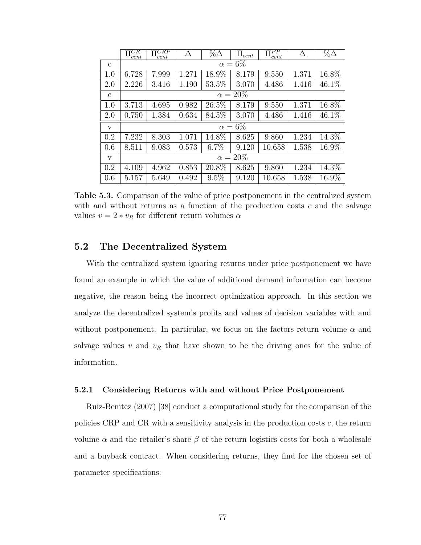|              | $\Pi^{CR}$<br>cent | $\Pi^{CRP}$<br>cent |       | $\% \Delta$ | $\Pi_{cent}$    | $\Pi_{cent}^{PP}$ | Δ     | $\% \Delta$ |  |  |  |
|--------------|--------------------|---------------------|-------|-------------|-----------------|-------------------|-------|-------------|--|--|--|
| $\mathbf{c}$ | $\alpha = 6\%$     |                     |       |             |                 |                   |       |             |  |  |  |
| 1.0          | 6.728              | 7.999               | 1.271 | $18.9\%$    | 8.179           | 9.550             | 1.371 | 16.8%       |  |  |  |
| 2.0          | 2.226              | 3.416               | 1.190 | 53.5%       | 3.070           | 4.486             | 1.416 | 46.1%       |  |  |  |
| $\mathbf{c}$ |                    |                     |       |             | $\alpha = 20\%$ |                   |       |             |  |  |  |
| 1.0          | 3.713              | 4.695               | 0.982 | 26.5%       | 8.179           | 9.550             | 1.371 | 16.8%       |  |  |  |
| 2.0          | 0.750              | 1.384               | 0.634 | 84.5%       | 3.070           | 4.486             | 1.416 | 46.1%       |  |  |  |
| $\mathbf{V}$ |                    |                     |       |             | $\alpha = 6\%$  |                   |       |             |  |  |  |
| 0.2          | 7.232              | 8.303               | 1.071 | $14.8\%$    | 8.625           | 9.860             | 1.234 | 14.3%       |  |  |  |
| 0.6          | 8.511              | 9.083               | 0.573 | $6.7\%$     | 9.120           | 10.658            | 1.538 | 16.9%       |  |  |  |
| $\mathbf{V}$ | $\alpha = 20\%$    |                     |       |             |                 |                   |       |             |  |  |  |
| 0.2          | 4.109              | 4.962               | 0.853 | 20.8%       | 8.625           | 9.860             | 1.234 | 14.3%       |  |  |  |
| 0.6          | 5.157              | 5.649               | 0.492 | 9.5%        | 9.120           | 10.658            | 1.538 | 16.9%       |  |  |  |

Table 5.3. Comparison of the value of price postponement in the centralized system with and without returns as a function of the production costs  $c$  and the salvage values  $v = 2 * v_R$  for different return volumes  $\alpha$ 

## 5.2 The Decentralized System

With the centralized system ignoring returns under price postponement we have found an example in which the value of additional demand information can become negative, the reason being the incorrect optimization approach. In this section we analyze the decentralized system's profits and values of decision variables with and without postponement. In particular, we focus on the factors return volume  $\alpha$  and salvage values  $v$  and  $v_R$  that have shown to be the driving ones for the value of information.

#### 5.2.1 Considering Returns with and without Price Postponement

Ruiz-Benitez (2007) [38] conduct a computational study for the comparison of the policies CRP and CR with a sensitivity analysis in the production costs c, the return volume  $\alpha$  and the retailer's share  $\beta$  of the return logistics costs for both a wholesale and a buyback contract. When considering returns, they find for the chosen set of parameter specifications: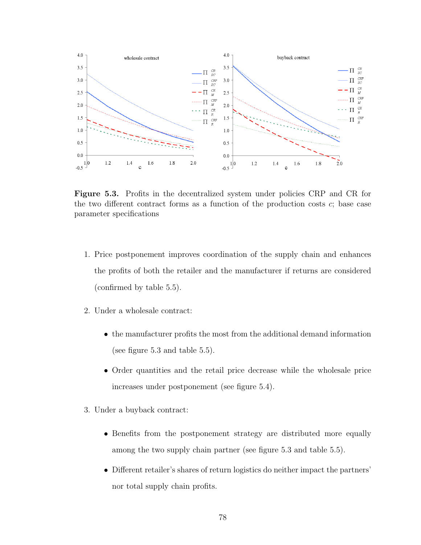

Figure 5.3. Profits in the decentralized system under policies CRP and CR for the two different contract forms as a function of the production costs  $c$ ; base case parameter specifications

- 1. Price postponement improves coordination of the supply chain and enhances the profits of both the retailer and the manufacturer if returns are considered (confirmed by table 5.5).
- 2. Under a wholesale contract:
	- the manufacturer profits the most from the additional demand information (see figure 5.3 and table 5.5).
	- Order quantities and the retail price decrease while the wholesale price increases under postponement (see figure 5.4).
- 3. Under a buyback contract:
	- Benefits from the postponement strategy are distributed more equally among the two supply chain partner (see figure 5.3 and table 5.5).
	- Different retailer's shares of return logistics do neither impact the partners' nor total supply chain profits.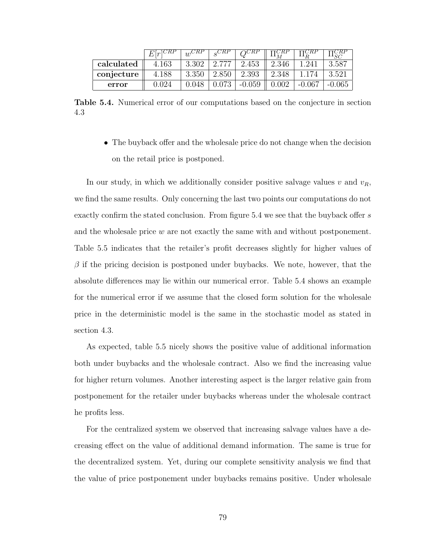|            | $E r ^{\text{C}RT}$ | $\overline{u}$ |       |          |       |          |        |
|------------|---------------------|----------------|-------|----------|-------|----------|--------|
| calculated | 4.163               | 3.302          | 2.777 | 2.453    | 2.346 | 1.241    | 3.587  |
| conjecture | 4.188               | 3.350          | 2.850 | 2.393    | 2.348 |          | 3.521  |
| error      | 0.024               | 0.048          |       | $-0.059$ |       | $-0.067$ | -0.065 |

Table 5.4. Numerical error of our computations based on the conjecture in section 4.3

• The buyback offer and the wholesale price do not change when the decision on the retail price is postponed.

In our study, in which we additionally consider positive salvage values  $v$  and  $v_R$ , we find the same results. Only concerning the last two points our computations do not exactly confirm the stated conclusion. From figure 5.4 we see that the buyback offer s and the wholesale price  $w$  are not exactly the same with and without postponement. Table 5.5 indicates that the retailer's profit decreases slightly for higher values of  $\beta$  if the pricing decision is postponed under buybacks. We note, however, that the absolute differences may lie within our numerical error. Table 5.4 shows an example for the numerical error if we assume that the closed form solution for the wholesale price in the deterministic model is the same in the stochastic model as stated in section 4.3.

As expected, table 5.5 nicely shows the positive value of additional information both under buybacks and the wholesale contract. Also we find the increasing value for higher return volumes. Another interesting aspect is the larger relative gain from postponement for the retailer under buybacks whereas under the wholesale contract he profits less.

For the centralized system we observed that increasing salvage values have a decreasing effect on the value of additional demand information. The same is true for the decentralized system. Yet, during our complete sensitivity analysis we find that the value of price postponement under buybacks remains positive. Under wholesale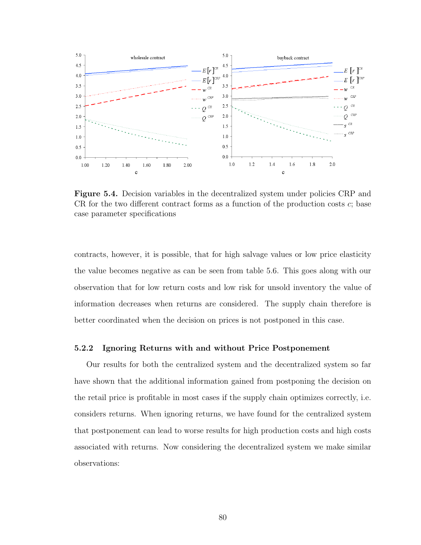

Figure 5.4. Decision variables in the decentralized system under policies CRP and CR for the two different contract forms as a function of the production costs  $c$ ; base case parameter specifications

contracts, however, it is possible, that for high salvage values or low price elasticity the value becomes negative as can be seen from table 5.6. This goes along with our observation that for low return costs and low risk for unsold inventory the value of information decreases when returns are considered. The supply chain therefore is better coordinated when the decision on prices is not postponed in this case.

#### 5.2.2 Ignoring Returns with and without Price Postponement

Our results for both the centralized system and the decentralized system so far have shown that the additional information gained from postponing the decision on the retail price is profitable in most cases if the supply chain optimizes correctly, i.e. considers returns. When ignoring returns, we have found for the centralized system that postponement can lead to worse results for high production costs and high costs associated with returns. Now considering the decentralized system we make similar observations: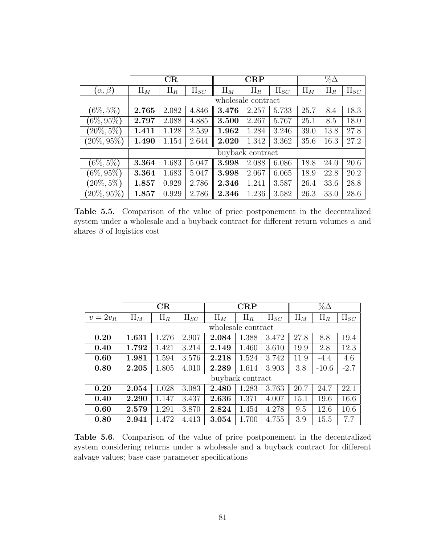|                   |         | CR      |            |         | $\rm CRP$          |            | $\%\Delta$ |         |            |  |
|-------------------|---------|---------|------------|---------|--------------------|------------|------------|---------|------------|--|
| $(\alpha, \beta)$ | $\Pi_M$ | $\Pi_R$ | $\Pi_{SC}$ | $\Pi_M$ | $\Pi_R$            | $\Pi_{SC}$ | $\Pi_M$    | $\Pi_R$ | $\Pi_{SC}$ |  |
|                   |         |         |            |         | wholesale contract |            |            |         |            |  |
| $(6\%, 5\%)$      | 2.765   | 2.082   | 4.846      | 3.476   | 2.257              | 5.733      | 25.7       | 8.4     | 18.3       |  |
| $(6\%, 95\%)$     | 2.797   | 2.088   | 4.885      | 3.500   | 2.267              | 5.767      | 25.1       | 8.5     | 18.0       |  |
| $(20\%, 5\%)$     | 1.411   | 1.128   | 2.539      | 1.962   | 1.284              | 3.246      | 39.0       | 13.8    | 27.8       |  |
| $(20\%, 95\%)$    | 1.490   | 1.154   | 2.644      | 2.020   | 1.342              | 3.362      | 35.6       | 16.3    | 27.2       |  |
|                   |         |         |            |         | buyback contract   |            |            |         |            |  |
| $(6\%, 5\%)$      | 3.364   | 1.683   | 5.047      | 3.998   | 2.088              | 6.086      | 18.8       | 24.0    | 20.6       |  |
| $(6\%, 95\%)$     | 3.364   | 1.683   | 5.047      | 3.998   | 2.067              | 6.065      | 18.9       | 22.8    | 20.2       |  |
| $(20\%, 5\%)$     | 1.857   | 0.929   | 2.786      | 2.346   | 1.241              | 3.587      | 26.4       | 33.6    | 28.8       |  |
| $(20\%, 95\%)$    | 1.857   | 0.929   | 2.786      | 2.346   | 1.236              | 3.582      | 26.3       | 33.0    | 28.6       |  |

Table 5.5. Comparison of the value of price postponement in the decentralized system under a wholesale and a buyback contract for different return volumes  $\alpha$  and shares  $\beta$  of logistics cost

|          |         | CR      |            |                    | CRP              |            |         | $\%\Delta$ |            |
|----------|---------|---------|------------|--------------------|------------------|------------|---------|------------|------------|
| $v=2v_R$ | $\Pi_M$ | $\Pi_R$ | $\Pi_{SC}$ | $\Pi_M$            | $\Pi_R$          | $\Pi_{SC}$ | $\Pi_M$ | $\Pi_R$    | $\Pi_{SC}$ |
|          |         |         |            | wholesale contract |                  |            |         |            |            |
| 0.20     | 1.631   | 1.276   | 2.907      | 2.084              | 1.388            | 3.472      | 27.8    | 8.8        | 19.4       |
| 0.40     | 1.792   | 1.421   | 3.214      | 2.149              | 1.460            | 3.610      | 19.9    | 2.8        | 12.3       |
| 0.60     | 1.981   | 1.594   | 3.576      | 2.218              | 1.524            | 3.742      | 11.9    | $-4.4$     | 4.6        |
| 0.80     | 2.205   | 1.805   | 4.010      | 2.289              | 1.614            | 3.903      | 3.8     | $-10.6$    | $-2.7$     |
|          |         |         |            |                    | buyback contract |            |         |            |            |
| 0.20     | 2.054   | 1.028   | 3.083      | 2.480              | 1.283            | 3.763      | 20.7    | 24.7       | 22.1       |
| 0.40     | 2.290   | 1.147   | 3.437      | 2.636              | 1.371            | 4.007      | 15.1    | 19.6       | 16.6       |
| 0.60     | 2.579   | 1.291   | 3.870      | 2.824              | 1.454            | 4.278      | 9.5     | 12.6       | 10.6       |
| 0.80     | 2.941   | 1.472   | 4.413      | 3.054              | 1.700            | 4.755      | 3.9     | 15.5       | 7.7        |

Table 5.6. Comparison of the value of price postponement in the decentralized system considering returns under a wholesale and a buyback contract for different salvage values; base case parameter specifications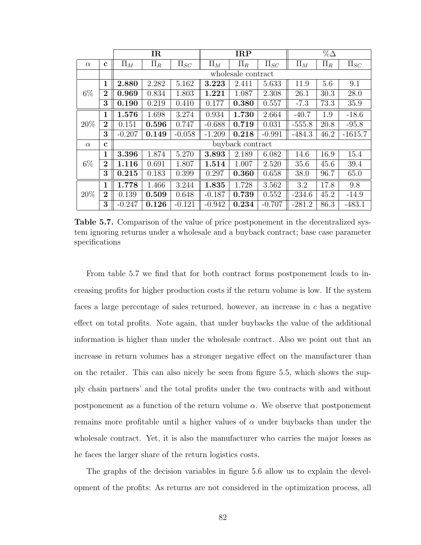|          |                | <b>IR</b> |         |            |          | <b>IRP</b>         |            |          | $\% \Delta$ |            |
|----------|----------------|-----------|---------|------------|----------|--------------------|------------|----------|-------------|------------|
| $\alpha$ | $\mathbf c$    | $\Pi_M$   | $\Pi_R$ | $\Pi_{SC}$ | $\Pi_M$  | $\Pi_R$            | $\Pi_{SC}$ | $\Pi_M$  | $\Pi_R$     | $\Pi_{SC}$ |
|          |                |           |         |            |          | wholesale contract |            |          |             |            |
|          | $\mathbf{1}$   | 2.880     | 2.282   | 5.162      | 3.223    | 2.411              | 5.633      | 11.9     | 5.6         | 9.1        |
| $6\%$    | $\overline{2}$ | 0.969     | 0.834   | 1.803      | 1.221    | 1.087              | 2.308      | 26.1     | 30.3        | 28.0       |
|          | 3              | 0.190     | 0.219   | 0.410      | 0.177    | 0.380              | 0.557      | $-7.3$   | 73.3        | 35.9       |
|          | $\mathbf{1}$   | 1.576     | 1.698   | 3.274      | 0.934    | 1.730              | 2.664      | $-40.7$  | 1.9         | $-18.6$    |
| 20%      | $\overline{2}$ | 0.151     | 0.596   | 0.747      | $-0.688$ | 0.719              | 0.031      | $-555.8$ | 20.8        | $-95.8$    |
|          | 3              | $-0.207$  | 0.149   | $-0.058$   | $-1.209$ | 0.218              | $-0.991$   | $-484.3$ | 46.2        | $-1615.7$  |
| $\alpha$ | $\mathbf c$    |           |         |            |          | buyback contract   |            |          |             |            |
|          | 1              | 3.396     | 1.874   | 5.270      | 3.893    | 2.189              | 6.082      | 14.6     | 16.9        | 15.4       |
| $6\%$    | $\overline{2}$ | 1.116     | 0.691   | 1.807      | 1.514    | 1.007              | 2.520      | 35.6     | 45.6        | 39.4       |
|          | 3              | 0.215     | 0.183   | 0.399      | 0.297    | 0.360              | 0.658      | 38.0     | 96.7        | 65.0       |
|          | $\mathbf{1}$   | 1.778     | 1.466   | 3.244      | 1.835    | 1.728              | 3.562      | 3.2      | 17.8        | 9.8        |
| 20%      | $\overline{2}$ | 0.139     | 0.509   | 0.648      | $-0.187$ | 0.739              | 0.552      | $-234.6$ | 45.2        | $-14.9$    |
|          | 3              | $-0.247$  | 0.126   | $-0.121$   | $-0.942$ | 0.234              | $-0.707$   | $-281.2$ | 86.3        | $-483.1$   |

Table 5.7. Comparison of the value of price postponement in the decentralized system ignoring returns under a wholesale and a buyback contract; base case parameter specifications

From table 5.7 we find that for both contract forms postponement leads to increasing profits for higher production costs if the return volume is low. If the system faces a large percentage of sales returned, however, an increase in  $c$  has a negative effect on total profits. Note again, that under buybacks the value of the additional information is higher than under the wholesale contract. Also we point out that an increase in return volumes has a stronger negative effect on the manufacturer than on the retailer. This can also nicely be seen from figure 5.5, which shows the supply chain partners' and the total profits under the two contracts with and without postponement as a function of the return volume  $\alpha$ . We observe that postponement remains more profitable until a higher values of  $\alpha$  under buybacks than under the wholesale contract. Yet, it is also the manufacturer who carries the major losses as he faces the larger share of the return logistics costs.

The graphs of the decision variables in figure 5.6 allow us to explain the development of the profits: As returns are not considered in the optimization process, all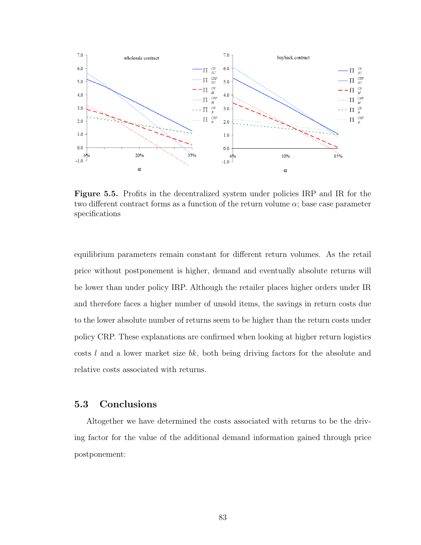

Figure 5.5. Profits in the decentralized system under policies IRP and IR for the two different contract forms as a function of the return volume  $\alpha$ ; base case parameter specifications

equilibrium parameters remain constant for different return volumes. As the retail price without postponement is higher, demand and eventually absolute returns will be lower than under policy IRP. Although the retailer places higher orders under IR and therefore faces a higher number of unsold items, the savings in return costs due to the lower absolute number of returns seem to be higher than the return costs under policy CRP. These explanations are confirmed when looking at higher return logistics costs  $l$  and a lower market size  $bk$ , both being driving factors for the absolute and relative costs associated with returns.

#### 5.3 Conclusions

Altogether we have determined the costs associated with returns to be the driving factor for the value of the additional demand information gained through price postponement: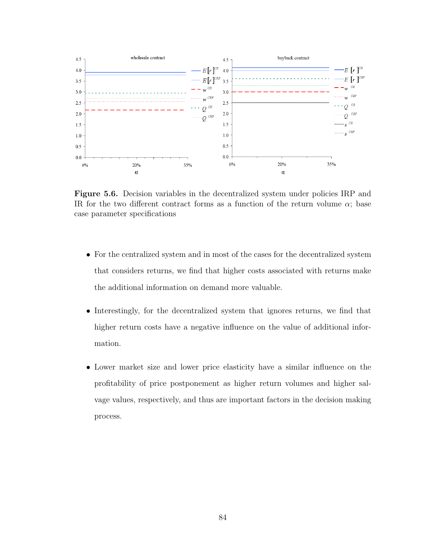

Figure 5.6. Decision variables in the decentralized system under policies IRP and IR for the two different contract forms as a function of the return volume  $\alpha$ ; base case parameter specifications

- For the centralized system and in most of the cases for the decentralized system that considers returns, we find that higher costs associated with returns make the additional information on demand more valuable.
- Interestingly, for the decentralized system that ignores returns, we find that higher return costs have a negative influence on the value of additional information.
- Lower market size and lower price elasticity have a similar influence on the profitability of price postponement as higher return volumes and higher salvage values, respectively, and thus are important factors in the decision making process.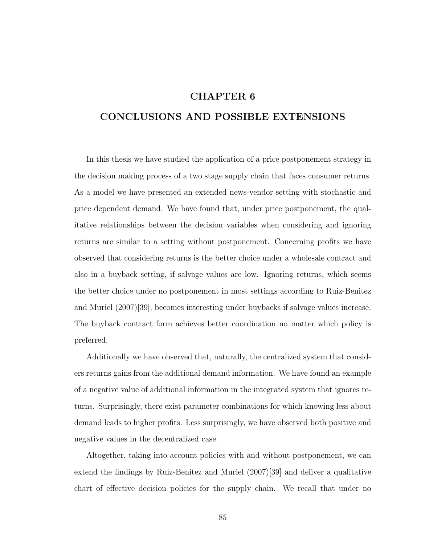# CHAPTER 6

# CONCLUSIONS AND POSSIBLE EXTENSIONS

In this thesis we have studied the application of a price postponement strategy in the decision making process of a two stage supply chain that faces consumer returns. As a model we have presented an extended news-vendor setting with stochastic and price dependent demand. We have found that, under price postponement, the qualitative relationships between the decision variables when considering and ignoring returns are similar to a setting without postponement. Concerning profits we have observed that considering returns is the better choice under a wholesale contract and also in a buyback setting, if salvage values are low. Ignoring returns, which seems the better choice under no postponement in most settings according to Ruiz-Benitez and Muriel (2007)[39], becomes interesting under buybacks if salvage values increase. The buyback contract form achieves better coordination no matter which policy is preferred.

Additionally we have observed that, naturally, the centralized system that considers returns gains from the additional demand information. We have found an example of a negative value of additional information in the integrated system that ignores returns. Surprisingly, there exist parameter combinations for which knowing less about demand leads to higher profits. Less surprisingly, we have observed both positive and negative values in the decentralized case.

Altogether, taking into account policies with and without postponement, we can extend the findings by Ruiz-Benitez and Muriel (2007)[39] and deliver a qualitative chart of effective decision policies for the supply chain. We recall that under no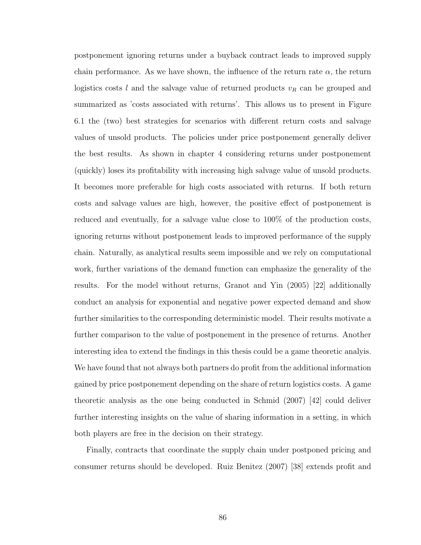postponement ignoring returns under a buyback contract leads to improved supply chain performance. As we have shown, the influence of the return rate  $\alpha$ , the return logistics costs  $l$  and the salvage value of returned products  $v_R$  can be grouped and summarized as 'costs associated with returns'. This allows us to present in Figure 6.1 the (two) best strategies for scenarios with different return costs and salvage values of unsold products. The policies under price postponement generally deliver the best results. As shown in chapter 4 considering returns under postponement (quickly) loses its profitability with increasing high salvage value of unsold products. It becomes more preferable for high costs associated with returns. If both return costs and salvage values are high, however, the positive effect of postponement is reduced and eventually, for a salvage value close to 100% of the production costs, ignoring returns without postponement leads to improved performance of the supply chain. Naturally, as analytical results seem impossible and we rely on computational work, further variations of the demand function can emphasize the generality of the results. For the model without returns, Granot and Yin (2005) [22] additionally conduct an analysis for exponential and negative power expected demand and show further similarities to the corresponding deterministic model. Their results motivate a further comparison to the value of postponement in the presence of returns. Another interesting idea to extend the findings in this thesis could be a game theoretic analyis. We have found that not always both partners do profit from the additional information gained by price postponement depending on the share of return logistics costs. A game theoretic analysis as the one being conducted in Schmid (2007) [42] could deliver further interesting insights on the value of sharing information in a setting, in which both players are free in the decision on their strategy.

Finally, contracts that coordinate the supply chain under postponed pricing and consumer returns should be developed. Ruiz Benitez (2007) [38] extends profit and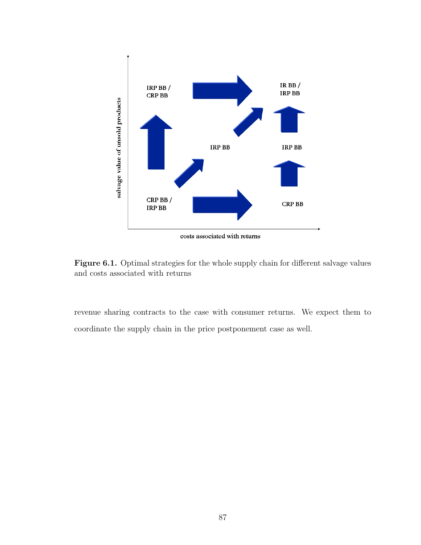

Figure 6.1. Optimal strategies for the whole supply chain for different salvage values and costs associated with returns

revenue sharing contracts to the case with consumer returns. We expect them to coordinate the supply chain in the price postponement case as well.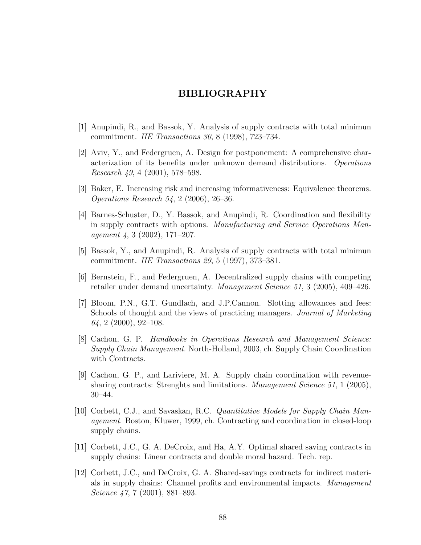# BIBLIOGRAPHY

- [1] Anupindi, R., and Bassok, Y. Analysis of supply contracts with total minimun commitment. IIE Transactions 30, 8 (1998), 723–734.
- [2] Aviv, Y., and Federgruen, A. Design for postponement: A comprehensive characterization of its benefits under unknown demand distributions. Operations Research  $49, 4$  (2001), 578–598.
- [3] Baker, E. Increasing risk and increasing informativeness: Equivalence theorems. Operations Research 54, 2 (2006), 26–36.
- [4] Barnes-Schuster, D., Y. Bassok, and Anupindi, R. Coordination and flexibility in supply contracts with options. Manufacturing and Service Operations Management 4, 3 (2002), 171–207.
- [5] Bassok, Y., and Anupindi, R. Analysis of supply contracts with total minimun commitment. IIE Transactions 29, 5 (1997), 373–381.
- [6] Bernstein, F., and Federgruen, A. Decentralized supply chains with competing retailer under demand uncertainty. Management Science 51, 3 (2005), 409–426.
- [7] Bloom, P.N., G.T. Gundlach, and J.P.Cannon. Slotting allowances and fees: Schools of thought and the views of practicing managers. Journal of Marketing  $64, 2$  (2000), 92-108.
- [8] Cachon, G. P. Handbooks in Operations Research and Management Science: Supply Chain Management. North-Holland, 2003, ch. Supply Chain Coordination with Contracts.
- [9] Cachon, G. P., and Lariviere, M. A. Supply chain coordination with revenuesharing contracts: Strenghts and limitations. Management Science 51, 1 (2005), 30–44.
- [10] Corbett, C.J., and Savaskan, R.C. Quantitative Models for Supply Chain Management. Boston, Kluwer, 1999, ch. Contracting and coordination in closed-loop supply chains.
- [11] Corbett, J.C., G. A. DeCroix, and Ha, A.Y. Optimal shared saving contracts in supply chains: Linear contracts and double moral hazard. Tech. rep.
- [12] Corbett, J.C., and DeCroix, G. A. Shared-savings contracts for indirect materials in supply chains: Channel profits and environmental impacts. *Management* Science 47, 7 (2001), 881–893.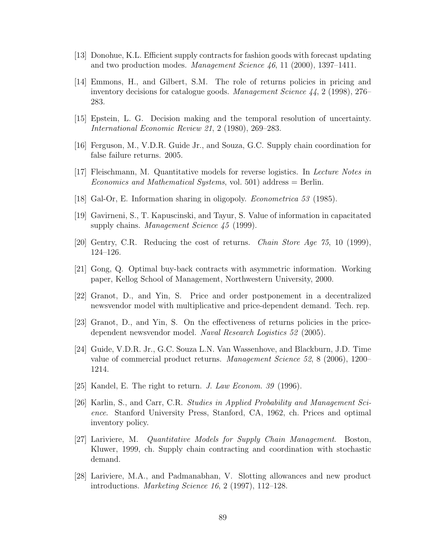- [13] Donohue, K.L. Efficient supply contracts for fashion goods with forecast updating and two production modes. *Management Science*  $46$ , 11 (2000), 1397-1411.
- [14] Emmons, H., and Gilbert, S.M. The role of returns policies in pricing and inventory decisions for catalogue goods. Management Science 44, 2 (1998), 276– 283.
- [15] Epstein, L. G. Decision making and the temporal resolution of uncertainty. International Economic Review 21, 2 (1980), 269–283.
- [16] Ferguson, M., V.D.R. Guide Jr., and Souza, G.C. Supply chain coordination for false failure returns. 2005.
- [17] Fleischmann, M. Quantitative models for reverse logistics. In Lecture Notes in Economics and Mathematical Systems, vol. 501) address  $=$  Berlin.
- [18] Gal-Or, E. Information sharing in oligopoly. Econometrica 53 (1985).
- [19] Gavirneni, S., T. Kapuscinski, and Tayur, S. Value of information in capacitated supply chains. *Management Science 45* (1999).
- [20] Gentry, C.R. Reducing the cost of returns. Chain Store Age 75, 10 (1999), 124–126.
- [21] Gong, Q. Optimal buy-back contracts with asymmetric information. Working paper, Kellog School of Management, Northwestern University, 2000.
- [22] Granot, D., and Yin, S. Price and order postponement in a decentralized newsvendor model with multiplicative and price-dependent demand. Tech. rep.
- [23] Granot, D., and Yin, S. On the effectiveness of returns policies in the pricedependent newsvendor model. Naval Research Logistics 52 (2005).
- [24] Guide, V.D.R. Jr., G.C. Souza L.N. Van Wassenhove, and Blackburn, J.D. Time value of commercial product returns. Management Science 52, 8 (2006), 1200– 1214.
- [25] Kandel, E. The right to return. J. Law Econom. 39 (1996).
- [26] Karlin, S., and Carr, C.R. Studies in Applied Probability and Management Science. Stanford University Press, Stanford, CA, 1962, ch. Prices and optimal inventory policy.
- [27] Lariviere, M. Quantitative Models for Supply Chain Management. Boston, Kluwer, 1999, ch. Supply chain contracting and coordination with stochastic demand.
- [28] Lariviere, M.A., and Padmanabhan, V. Slotting allowances and new product introductions. Marketing Science 16, 2 (1997), 112–128.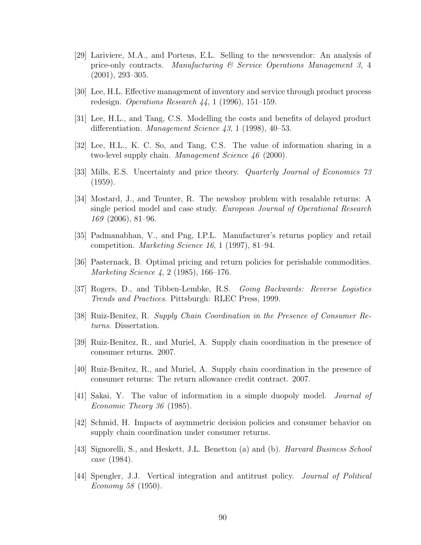- [29] Lariviere, M.A., and Porteus, E.L. Selling to the newsvendor: An analysis of price-only contracts. Manufacturing  $\mathcal{B}$  Service Operations Manufacture 3, 4 (2001), 293–305.
- [30] Lee, H.L. Effective management of inventory and service through product process redesign. Operations Research 44, 1 (1996), 151–159.
- [31] Lee, H.L., and Tang, C.S. Modelling the costs and benefits of delayed product differentiation. *Management Science*  $43, 1$  (1998), 40–53.
- [32] Lee, H.L., K. C. So, and Tang, C.S. The value of information sharing in a two-level supply chain. Management Science 46 (2000).
- [33] Mills, E.S. Uncertainty and price theory. Quarterly Journal of Economics 73 (1959).
- [34] Mostard, J., and Teunter, R. The newsboy problem with resalable returns: A single period model and case study. European Journal of Operational Research 169 (2006), 81–96.
- [35] Padmanabhan, V., and Png, I.P.L. Manufacturer's returns poplicy and retail competition. Marketing Science 16, 1 (1997), 81–94.
- [36] Pasternack, B. Optimal pricing and return policies for perishable commodities. Marketing Science 4, 2 (1985), 166–176.
- [37] Rogers, D., and Tibben-Lembke, R.S. Going Backwards: Reverse Logistics Trends and Practices. Pittsburgh: RLEC Press, 1999.
- [38] Ruiz-Benitez, R. Supply Chain Coordination in the Presence of Consumer Returns. Dissertation.
- [39] Ruiz-Benitez, R., and Muriel, A. Supply chain coordination in the presence of consumer returns. 2007.
- [40] Ruiz-Benitez, R., and Muriel, A. Supply chain coordination in the presence of consumer returns: The return allowance credit contract. 2007.
- [41] Sakai, Y. The value of information in a simple duopoly model. *Journal of* Economic Theory 36 (1985).
- [42] Schmid, H. Impacts of asymmetric decision policies and consumer behavior on supply chain coordination under consumer returns.
- [43] Signorelli, S., and Heskett, J.L. Benetton (a) and (b). Harvard Business School case (1984).
- [44] Spengler, J.J. Vertical integration and antitrust policy. Journal of Political Economy 58 (1950).